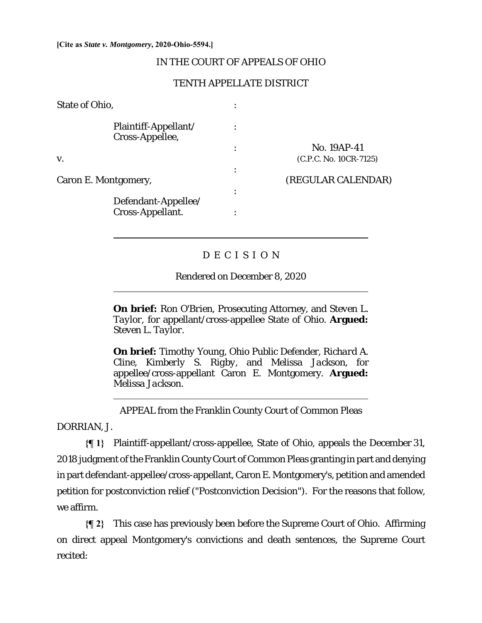#### **[Cite as** *State v. Montgomery***, 2020-Ohio-5594.]**

 $\overline{a}$ 

 $\overline{a}$ 

l

# IN THE COURT OF APPEALS OF OHIO

# TENTH APPELLATE DISTRICT

| State of Ohio,                          |           |                        |
|-----------------------------------------|-----------|------------------------|
| Plaintiff-Appellant/<br>Cross-Appellee, |           |                        |
|                                         | $\bullet$ | No. 19AP-41            |
| V.                                      |           | (C.P.C. No. 10CR-7125) |
|                                         | $\bullet$ |                        |
| Caron E. Montgomery,                    |           | (REGULAR CALENDAR)     |
|                                         | $\bullet$ |                        |
| Defendant-Appellee/<br>Cross-Appellant. |           |                        |

# D E C I S I O N

Rendered on December 8, 2020

**On brief:** *Ron O'Brien,* Prosecuting Attorney, and *Steven L. Taylor*, for appellant/cross-appellee State of Ohio. **Argued:**  *Steven L. Taylor.* 

**On brief:** *Timothy Young*, Ohio Public Defender, *Richard A. Cline, Kimberly S. Rigby,* and *Melissa Jackson,* for appellee/cross-appellant Caron E. Montgomery. **Argued:**  *Melissa Jackson.* 

APPEAL from the Franklin County Court of Common Pleas

DORRIAN, J.

**{¶ 1}** Plaintiff-appellant/cross-appellee, State of Ohio, appeals the December 31, 2018 judgment of the Franklin County Court of Common Pleas granting in part and denying in part defendant-appellee/cross-appellant, Caron E. Montgomery's, petition and amended petition for postconviction relief ("Postconviction Decision"). For the reasons that follow, we affirm.

**{¶ 2}** This case has previously been before the Supreme Court of Ohio. Affirming on direct appeal Montgomery's convictions and death sentences, the Supreme Court recited: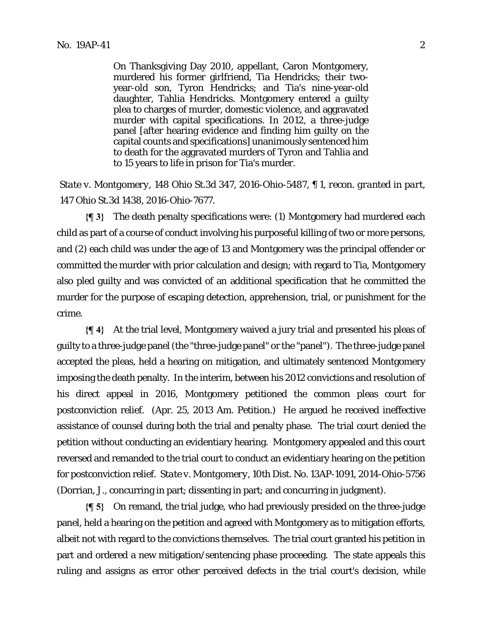On Thanksgiving Day 2010, appellant, Caron Montgomery, murdered his former girlfriend, Tia Hendricks; their twoyear-old son, Tyron Hendricks; and Tia's nine-year-old daughter, Tahlia Hendricks. Montgomery entered a guilty plea to charges of murder, domestic violence, and aggravated murder with capital specifications. In 2012, a three-judge panel [after hearing evidence and finding him guilty on the capital counts and specifications] unanimously sentenced him to death for the aggravated murders of Tyron and Tahlia and to 15 years to life in prison for Tia's murder.

*State v. Montgomery*, 148 Ohio St.3d 347, 2016-Ohio-5487, ¶ 1, *recon. granted in part*, 147 Ohio St.3d 1438, 2016-Ohio-7677.

**{¶ 3}** The death penalty specifications were: (1) Montgomery had murdered each child as part of a course of conduct involving his purposeful killing of two or more persons, and (2) each child was under the age of 13 and Montgomery was the principal offender or committed the murder with prior calculation and design; with regard to Tia, Montgomery also pled guilty and was convicted of an additional specification that he committed the murder for the purpose of escaping detection, apprehension, trial, or punishment for the crime.

**{¶ 4}** At the trial level, Montgomery waived a jury trial and presented his pleas of guilty to a three-judge panel (the "three-judge panel" or the "panel"). The three-judge panel accepted the pleas, held a hearing on mitigation, and ultimately sentenced Montgomery imposing the death penalty. In the interim, between his 2012 convictions and resolution of his direct appeal in 2016, Montgomery petitioned the common pleas court for postconviction relief. (Apr. 25, 2013 Am. Petition.) He argued he received ineffective assistance of counsel during both the trial and penalty phase. The trial court denied the petition without conducting an evidentiary hearing. Montgomery appealed and this court reversed and remanded to the trial court to conduct an evidentiary hearing on the petition for postconviction relief. *State v. Montgomery*, 10th Dist. No. 13AP-1091, 2014-Ohio-5756 (Dorrian, J., concurring in part; dissenting in part; and concurring in judgment).

**{¶ 5}** On remand, the trial judge, who had previously presided on the three-judge panel, held a hearing on the petition and agreed with Montgomery as to mitigation efforts, albeit not with regard to the convictions themselves. The trial court granted his petition in part and ordered a new mitigation/sentencing phase proceeding. The state appeals this ruling and assigns as error other perceived defects in the trial court's decision, while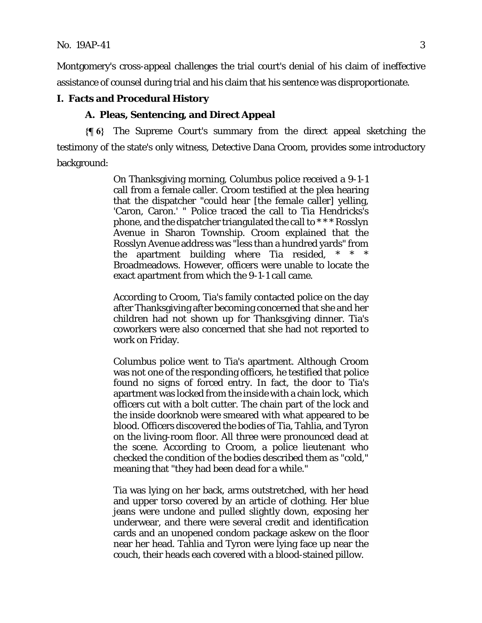Montgomery's cross-appeal challenges the trial court's denial of his claim of ineffective assistance of counsel during trial and his claim that his sentence was disproportionate.

### **I. Facts and Procedural History**

#### **A. Pleas, Sentencing, and Direct Appeal**

**{¶ 6}** The Supreme Court's summary from the direct appeal sketching the testimony of the state's only witness, Detective Dana Croom, provides some introductory background:

> On Thanksgiving morning, Columbus police received a 9-1-1 call from a female caller. Croom testified at the plea hearing that the dispatcher "could hear [the female caller] yelling, 'Caron, Caron.' " Police traced the call to Tia Hendricks's phone, and the dispatcher triangulated the call to \* \* \* Rosslyn Avenue in Sharon Township. Croom explained that the Rosslyn Avenue address was "less than a hundred yards" from the apartment building where Tia resided, \* \* \* Broadmeadows. However, officers were unable to locate the exact apartment from which the 9-1-1 call came.

> According to Croom, Tia's family contacted police on the day after Thanksgiving after becoming concerned that she and her children had not shown up for Thanksgiving dinner. Tia's coworkers were also concerned that she had not reported to work on Friday.

> Columbus police went to Tia's apartment. Although Croom was not one of the responding officers, he testified that police found no signs of forced entry. In fact, the door to Tia's apartment was locked from the *inside* with a chain lock, which officers cut with a bolt cutter. The chain part of the lock and the inside doorknob were smeared with what appeared to be blood. Officers discovered the bodies of Tia, Tahlia, and Tyron on the living-room floor. All three were pronounced dead at the scene. According to Croom, a police lieutenant who checked the condition of the bodies described them as "cold," meaning that "they had been dead for a while."

> Tia was lying on her back, arms outstretched, with her head and upper torso covered by an article of clothing. Her blue jeans were undone and pulled slightly down, exposing her underwear, and there were several credit and identification cards and an unopened condom package askew on the floor near her head. Tahlia and Tyron were lying face up near the couch, their heads each covered with a blood-stained pillow.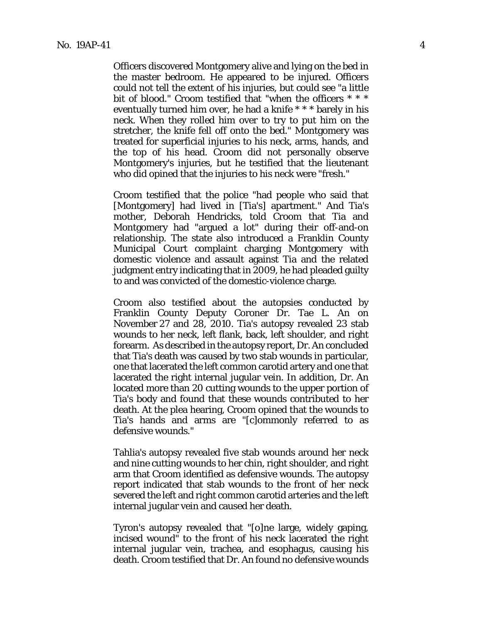Officers discovered Montgomery alive and lying on the bed in the master bedroom. He appeared to be injured. Officers could not tell the extent of his injuries, but could see "a little bit of blood." Croom testified that "when the officers \* \* \* eventually turned him over, he had a knife \* \* \* barely in his neck. When they rolled him over to try to put him on the stretcher, the knife fell off onto the bed." Montgomery was treated for superficial injuries to his neck, arms, hands, and the top of his head. Croom did not personally observe Montgomery's injuries, but he testified that the lieutenant who did opined that the injuries to his neck were "fresh."

Croom testified that the police "had people who said that [Montgomery] had lived in [Tia's] apartment." And Tia's mother, Deborah Hendricks, told Croom that Tia and Montgomery had "argued a lot" during their off-and-on relationship. The state also introduced a Franklin County Municipal Court complaint charging Montgomery with domestic violence and assault against Tia and the related judgment entry indicating that in 2009, he had pleaded guilty to and was convicted of the domestic-violence charge.

Croom also testified about the autopsies conducted by Franklin County Deputy Coroner Dr. Tae L. An on November 27 and 28, 2010. Tia's autopsy revealed 23 stab wounds to her neck, left flank, back, left shoulder, and right forearm. As described in the autopsy report, Dr. An concluded that Tia's death was caused by two stab wounds in particular, one that lacerated the left common carotid artery and one that lacerated the right internal jugular vein. In addition, Dr. An located more than 20 cutting wounds to the upper portion of Tia's body and found that these wounds contributed to her death. At the plea hearing, Croom opined that the wounds to Tia's hands and arms are "[c]ommonly referred to as defensive wounds."

Tahlia's autopsy revealed five stab wounds around her neck and nine cutting wounds to her chin, right shoulder, and right arm that Croom identified as defensive wounds. The autopsy report indicated that stab wounds to the front of her neck severed the left and right common carotid arteries and the left internal jugular vein and caused her death.

Tyron's autopsy revealed that "[o]ne large, widely gaping, incised wound" to the front of his neck lacerated the right internal jugular vein, trachea, and esophagus, causing his death. Croom testified that Dr. An found no defensive wounds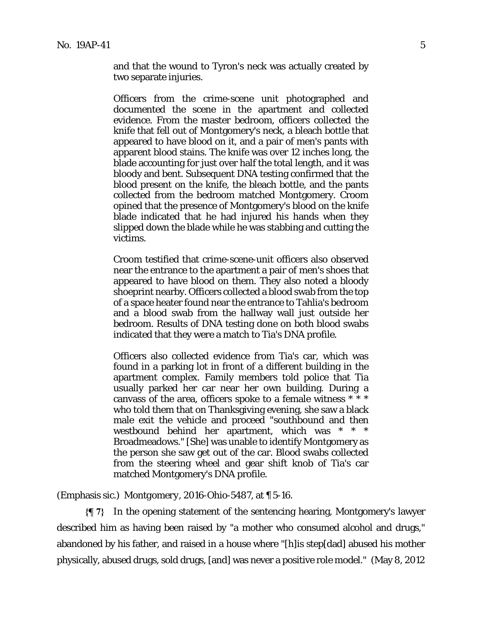and that the wound to Tyron's neck was actually created by two separate injuries.

Officers from the crime-scene unit photographed and documented the scene in the apartment and collected evidence. From the master bedroom, officers collected the knife that fell out of Montgomery's neck, a bleach bottle that appeared to have blood on it, and a pair of men's pants with apparent blood stains. The knife was over 12 inches long, the blade accounting for just over half the total length, and it was bloody and bent. Subsequent DNA testing confirmed that the blood present on the knife, the bleach bottle, and the pants collected from the bedroom matched Montgomery. Croom opined that the presence of Montgomery's blood on the knife blade indicated that he had injured his hands when they slipped down the blade while he was stabbing and cutting the victims.

Croom testified that crime-scene-unit officers also observed near the entrance to the apartment a pair of men's shoes that appeared to have blood on them. They also noted a bloody shoeprint nearby. Officers collected a blood swab from the top of a space heater found near the entrance to Tahlia's bedroom and a blood swab from the hallway wall just outside her bedroom. Results of DNA testing done on both blood swabs indicated that they were a match to Tia's DNA profile.

Officers also collected evidence from Tia's car, which was found in a parking lot in front of a different building in the apartment complex. Family members told police that Tia usually parked her car near her own building. During a canvass of the area, officers spoke to a female witness \* \* \* who told them that on Thanksgiving evening, she saw a black male exit the vehicle and proceed "southbound and then westbound behind her apartment, which was \* \* \* Broadmeadows." [She] was unable to identify Montgomery as the person she saw get out of the car. Blood swabs collected from the steering wheel and gear shift knob of Tia's car matched Montgomery's DNA profile.

(Emphasis sic.) *Montgomery*, 2016-Ohio-5487, at ¶ 5-16.

**{¶ 7}** In the opening statement of the sentencing hearing, Montgomery's lawyer described him as having been raised by "a mother who consumed alcohol and drugs," abandoned by his father, and raised in a house where "[h]is step[dad] abused his mother physically, abused drugs, sold drugs, [and] was never a positive role model." (May 8, 2012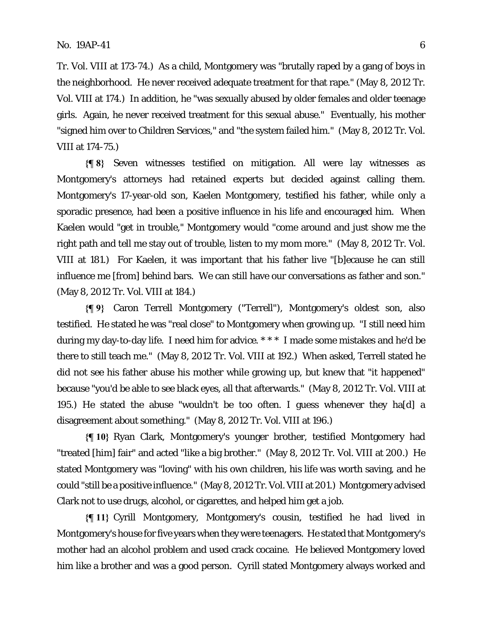Tr. Vol. VIII at 173-74.) As a child, Montgomery was "brutally raped by a gang of boys in the neighborhood. He never received adequate treatment for that rape." (May 8, 2012 Tr. Vol. VIII at 174.) In addition, he "was sexually abused by older females and older teenage girls. Again, he never received treatment for this sexual abuse." Eventually, his mother "signed him over to Children Services," and "the system failed him."(May 8, 2012 Tr. Vol. VIII at 174-75.)

**{¶ 8}** Seven witnesses testified on mitigation. All were lay witnesses as Montgomery's attorneys had retained experts but decided against calling them. Montgomery's 17-year-old son, Kaelen Montgomery, testified his father, while only a sporadic presence, had been a positive influence in his life and encouraged him. When Kaelen would "get in trouble," Montgomery would "come around and just show me the right path and tell me stay out of trouble, listen to my mom more." (May 8, 2012 Tr. Vol. VIII at 181.) For Kaelen, it was important that his father live "[b]ecause he can still influence me [from] behind bars. We can still have our conversations as father and son." (May 8, 2012 Tr. Vol. VIII at 184.)

**{¶ 9}** Caron Terrell Montgomery ("Terrell"), Montgomery's oldest son, also testified. He stated he was "real close" to Montgomery when growing up. "I still need him during my day-to-day life. I need him for advice. \* \* \* I made some mistakes and he'd be there to still teach me." (May 8, 2012 Tr. Vol. VIII at 192.) When asked, Terrell stated he did not see his father abuse his mother while growing up, but knew that "it happened" because "you'd be able to see black eyes, all that afterwards." (May 8, 2012 Tr. Vol. VIII at 195.) He stated the abuse "wouldn't be too often. I guess whenever they ha[d] a disagreement about something." (May 8, 2012 Tr. Vol. VIII at 196*.*)

**{¶ 10}** Ryan Clark, Montgomery's younger brother, testified Montgomery had "treated [him] fair" and acted "like a big brother." (May 8, 2012 Tr. Vol. VIII at 200.) He stated Montgomery was "loving" with his own children, his life was worth saving, and he could "still be a positive influence." (May 8, 2012 Tr. Vol. VIII at 201.) Montgomery advised Clark not to use drugs, alcohol, or cigarettes, and helped him get a job.

**{¶ 11}** Cyrill Montgomery, Montgomery's cousin, testified he had lived in Montgomery's house for five years when they were teenagers. He stated that Montgomery's mother had an alcohol problem and used crack cocaine. He believed Montgomery loved him like a brother and was a good person. Cyrill stated Montgomery always worked and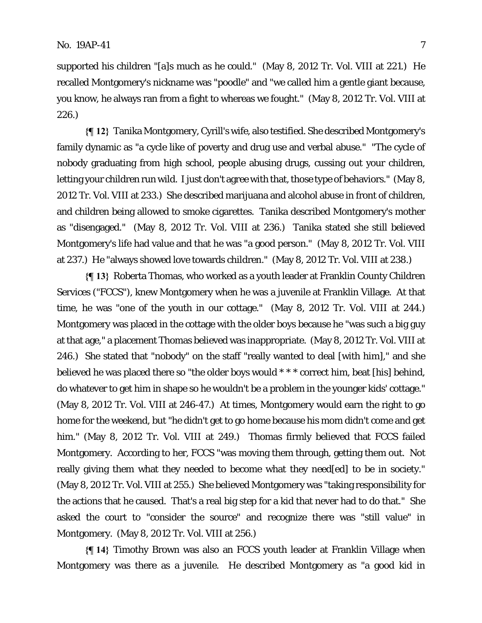supported his children "[a]s much as he could." (May 8, 2012 Tr. Vol. VIII at 221.) He recalled Montgomery's nickname was "poodle" and "we called him a gentle giant because, you know, he always ran from a fight to whereas we fought." (May 8, 2012 Tr. Vol. VIII at 226.)

**{¶ 12}** Tanika Montgomery, Cyrill's wife, also testified. She described Montgomery's family dynamic as "a cycle like of poverty and drug use and verbal abuse." "The cycle of nobody graduating from high school, people abusing drugs, cussing out your children, letting your children run wild. I just don't agree with that, those type of behaviors." (May 8, 2012 Tr. Vol. VIII at 233.) She described marijuana and alcohol abuse in front of children, and children being allowed to smoke cigarettes. Tanika described Montgomery's mother as "disengaged." (May 8, 2012 Tr. Vol. VIII at 236.) Tanika stated she still believed Montgomery's life had value and that he was "a good person." (May 8, 2012 Tr. Vol. VIII at 237.) He "always showed love towards children." (May 8, 2012 Tr. Vol. VIII at 238.)

**{¶ 13}** Roberta Thomas, who worked as a youth leader at Franklin County Children Services ("FCCS"), knew Montgomery when he was a juvenile at Franklin Village. At that time, he was "one of the youth in our cottage." (May 8, 2012 Tr. Vol. VIII at 244.) Montgomery was placed in the cottage with the older boys because he "was such a big guy at that age," a placement Thomas believed was inappropriate. (May 8, 2012 Tr. Vol. VIII at 246.) She stated that "nobody" on the staff "really wanted to deal [with him]," and she believed he was placed there so "the older boys would \* \* \* correct him, beat [his] behind, do whatever to get him in shape so he wouldn't be a problem in the younger kids' cottage." (May 8, 2012 Tr. Vol. VIII at 246-47.) At times, Montgomery would earn the right to go home for the weekend, but "he didn't get to go home because his mom didn't come and get him." (May 8, 2012 Tr. Vol. VIII at 249.) Thomas firmly believed that FCCS failed Montgomery. According to her, FCCS "was moving them through, getting them out. Not really giving them what they needed to become what they need[ed] to be in society." (May 8, 2012 Tr. Vol. VIII at 255.) She believed Montgomery was "taking responsibility for the actions that he caused. That's a real big step for a kid that never had to do that." She asked the court to "consider the source" and recognize there was "still value" in Montgomery. (May 8, 2012 Tr. Vol. VIII at 256.)

**{¶ 14}** Timothy Brown was also an FCCS youth leader at Franklin Village when Montgomery was there as a juvenile. He described Montgomery as "a good kid in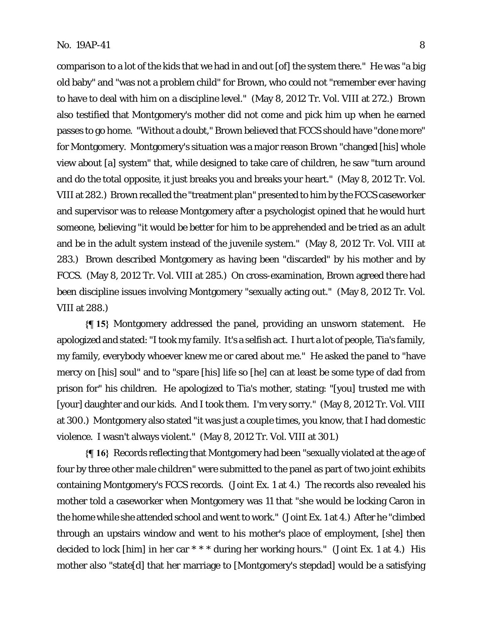comparison to a lot of the kids that we had in and out [of] the system there." He was "a big old baby" and "was not a problem child" for Brown, who could not "remember ever having to have to deal with him on a discipline level." (May 8, 2012 Tr. Vol. VIII at 272.) Brown also testified that Montgomery's mother did not come and pick him up when he earned passes to go home. "Without a doubt," Brown believed that FCCS should have "done more" for Montgomery. Montgomery's situation was a major reason Brown "changed [his] whole view about [a] system" that, while designed to take care of children, he saw "turn around and do the total opposite, it just breaks you and breaks your heart." (May 8, 2012 Tr. Vol. VIII at 282.) Brown recalled the "treatment plan" presented to him by the FCCS caseworker and supervisor was to release Montgomery after a psychologist opined that he would hurt someone, believing "it would be better for him to be apprehended and be tried as an adult and be in the adult system instead of the juvenile system." (May 8, 2012 Tr. Vol. VIII at 283.) Brown described Montgomery as having been "discarded" by his mother and by FCCS. (May 8, 2012 Tr. Vol. VIII at 285.) On cross-examination, Brown agreed there had been discipline issues involving Montgomery "sexually acting out." (May 8, 2012 Tr. Vol. VIII at 288.)

**{¶ 15}** Montgomery addressed the panel, providing an unsworn statement. He apologized and stated: "I took my family. It's a selfish act. I hurt a lot of people, Tia's family, my family, everybody whoever knew me or cared about me." He asked the panel to "have mercy on [his] soul" and to "spare [his] life so [he] can at least be some type of dad from prison for" his children. He apologized to Tia's mother, stating: "[you] trusted me with [your] daughter and our kids. And I took them. I'm very sorry." (May 8, 2012 Tr. Vol. VIII at 300.) Montgomery also stated "it was just a couple times, you know, that I had domestic violence. I wasn't always violent." (May 8, 2012 Tr. Vol. VIII at 301.)

**{¶ 16}** Records reflecting that Montgomery had been "sexually violated at the age of four by three other male children" were submitted to the panel as part of two joint exhibits containing Montgomery's FCCS records. (Joint Ex. 1 at 4.) The records also revealed his mother told a caseworker when Montgomery was 11 that "she would be locking Caron in the home while she attended school and went to work." (Joint Ex. 1 at 4.) After he "climbed through an upstairs window and went to his mother's place of employment, [she] then decided to lock [him] in her car \* \* \* during her working hours." (Joint Ex. 1 at 4.) His mother also "state[d] that her marriage to [Montgomery's stepdad] would be a satisfying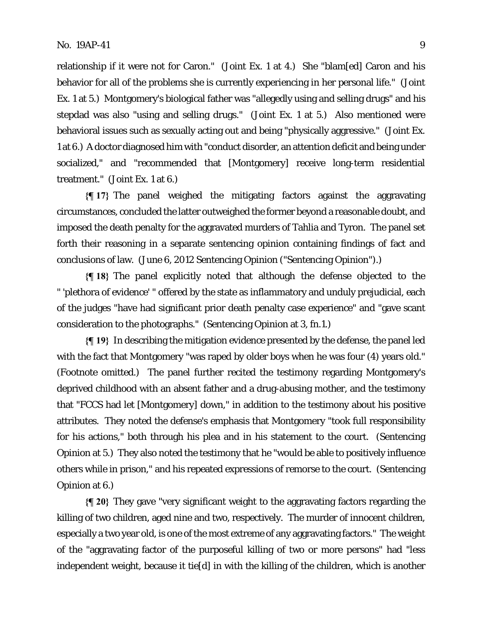relationship if it were not for Caron." (Joint Ex. 1 at 4.) She "blam[ed] Caron and his behavior for all of the problems she is currently experiencing in her personal life." (Joint Ex. 1 at 5.) Montgomery's biological father was "allegedly using and selling drugs" and his stepdad was also "using and selling drugs." (Joint Ex. 1 at 5.) Also mentioned were behavioral issues such as sexually acting out and being "physically aggressive." (Joint Ex. 1 at 6.) A doctor diagnosed him with "conduct disorder, an attention deficit and being under socialized," and "recommended that [Montgomery] receive long-term residential treatment." (Joint Ex. 1 at 6.)

**{¶ 17}** The panel weighed the mitigating factors against the aggravating circumstances, concluded the latter outweighed the former beyond a reasonable doubt, and imposed the death penalty for the aggravated murders of Tahlia and Tyron. The panel set forth their reasoning in a separate sentencing opinion containing findings of fact and conclusions of law. (June 6, 2012 Sentencing Opinion ("Sentencing Opinion").)

**{¶ 18}** The panel explicitly noted that although the defense objected to the " 'plethora of evidence' " offered by the state as inflammatory and unduly prejudicial, each of the judges "have had significant prior death penalty case experience" and "gave scant consideration to the photographs." (Sentencing Opinion at 3, fn.1.)

**{¶ 19}** In describing the mitigation evidence presented by the defense, the panel led with the fact that Montgomery "was raped by older boys when he was four (4) years old." (Footnote omitted.) The panel further recited the testimony regarding Montgomery's deprived childhood with an absent father and a drug-abusing mother, and the testimony that "FCCS had let [Montgomery] down," in addition to the testimony about his positive attributes. They noted the defense's emphasis that Montgomery "took full responsibility for his actions," both through his plea and in his statement to the court. (Sentencing Opinion at 5.)They also noted the testimony that he "would be able to positively influence others while in prison," and his repeated expressions of remorse to the court. (Sentencing Opinion at 6.)

**{¶ 20}** They gave "very significant weight to the aggravating factors regarding the killing of two children, aged nine and two, respectively. The murder of innocent children, especially a two year old, is one of the most extreme of any aggravating factors."The weight of the "aggravating factor of the purposeful killing of two or more persons" had "less independent weight, because it tie[d] in with the killing of the children, which is another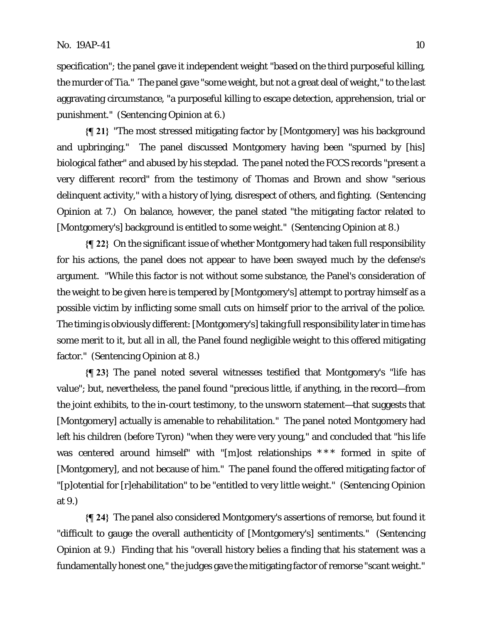specification"; the panel gave it independent weight "based on the third purposeful killing, the murder of Tia." The panel gave "some weight, but not a great deal of weight," to the last aggravating circumstance, "a purposeful killing to escape detection, apprehension, trial or punishment." (Sentencing Opinion at 6.)

**{¶ 21}** "The most stressed mitigating factor by [Montgomery] was his background and upbringing." The panel discussed Montgomery having been "spurned by [his] biological father" and abused by his stepdad. The panel noted the FCCS records "present a very different record" from the testimony of Thomas and Brown and show "serious delinquent activity," with a history of lying, disrespect of others, and fighting. (Sentencing Opinion at 7.) On balance, however, the panel stated "the mitigating factor related to [Montgomery's] background is entitled to some weight." (Sentencing Opinion at 8.)

**{¶ 22}** On the significant issue of whether Montgomery had taken full responsibility for his actions, the panel does not appear to have been swayed much by the defense's argument. "While this factor is not without some substance, the Panel's consideration of the weight to be given here is tempered by [Montgomery's] attempt to portray himself as a possible victim by inflicting some small cuts on himself prior to the arrival of the police. The timing is obviously different: [Montgomery's] taking full responsibility later in time has some merit to it, but all in all, the Panel found negligible weight to this offered mitigating factor." (Sentencing Opinion at 8.)

**{¶ 23}** The panel noted several witnesses testified that Montgomery's "life has value"; but, nevertheless, the panel found "precious little, if anything, in the record—from the joint exhibits, to the in-court testimony, to the unsworn statement—that suggests that [Montgomery] actually is amenable to rehabilitation." The panel noted Montgomery had left his children (before Tyron) "when they were very young," and concluded that "his life was centered around himself" with "[m]ost relationships \*\*\* formed in spite of [Montgomery], and not because of him." The panel found the offered mitigating factor of "[p]otential for [r]ehabilitation" to be "entitled to very little weight." (Sentencing Opinion at 9.)

**{¶ 24}** The panel also considered Montgomery's assertions of remorse, but found it "difficult to gauge the overall authenticity of [Montgomery's] sentiments." (Sentencing Opinion at 9.) Finding that his "overall history belies a finding that his statement was a fundamentally honest one," the judges gave the mitigating factor of remorse "scant weight."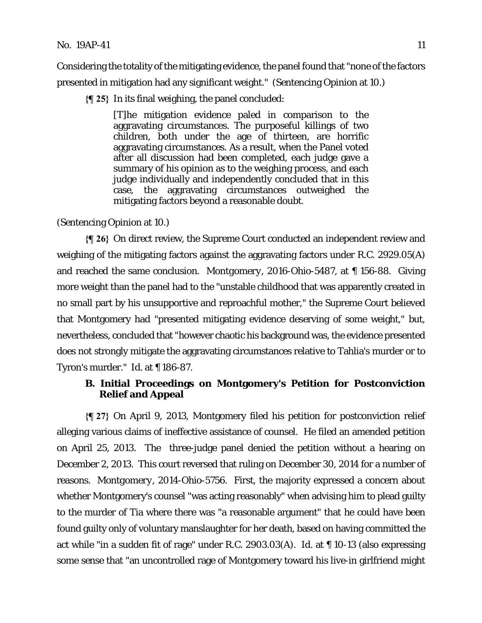#### No. 19AP-41 11

Considering the totality of the mitigating evidence, the panel found that "none of the factors presented in mitigation had any significant weight." (Sentencing Opinion at 10.)

**{¶ 25}** In its final weighing, the panel concluded:

[T]he mitigation evidence paled in comparison to the aggravating circumstances. The purposeful killings of two children, both under the age of thirteen, are horrific aggravating circumstances. As a result, when the Panel voted after all discussion had been completed, each judge gave a summary of his opinion as to the weighing process, and each judge individually and independently concluded that in this case, the aggravating circumstances outweighed the mitigating factors beyond a reasonable doubt.

(Sentencing Opinion at 10.)

**{¶ 26}** On direct review, the Supreme Court conducted an independent review and weighing of the mitigating factors against the aggravating factors under R.C. 2929.05(A) and reached the same conclusion. *Montgomery*, 2016-Ohio-5487, at ¶ 156-88. Giving more weight than the panel had to the "unstable childhood that was apparently created in no small part by his unsupportive and reproachful mother," the Supreme Court believed that Montgomery had "presented mitigating evidence deserving of some weight," but, nevertheless, concluded that "however chaotic his background was, the evidence presented does not strongly mitigate the aggravating circumstances relative to Tahlia's murder or to Tyron's murder." *Id.* at ¶ 186-87.

# **B. Initial Proceedings on Montgomery's Petition for Postconviction Relief and Appeal**

**{¶ 27}** On April 9, 2013, Montgomery filed his petition for postconviction relief alleging various claims of ineffective assistance of counsel. He filed an amended petition on April 25, 2013. The three-judge panel denied the petition without a hearing on December 2, 2013. This court reversed that ruling on December 30, 2014 for a number of reasons. *Montgomery*, 2014-Ohio-5756. First, the majority expressed a concern about whether Montgomery's counsel "was acting reasonably" when advising him to plead guilty to the murder of Tia where there was "a reasonable argument" that he could have been found guilty only of voluntary manslaughter for her death, based on having committed the act while "in a sudden fit of rage" under R.C. 2903.03(A). *Id.* at ¶ 10-13 (also expressing some sense that "an uncontrolled rage of Montgomery toward his live-in girlfriend might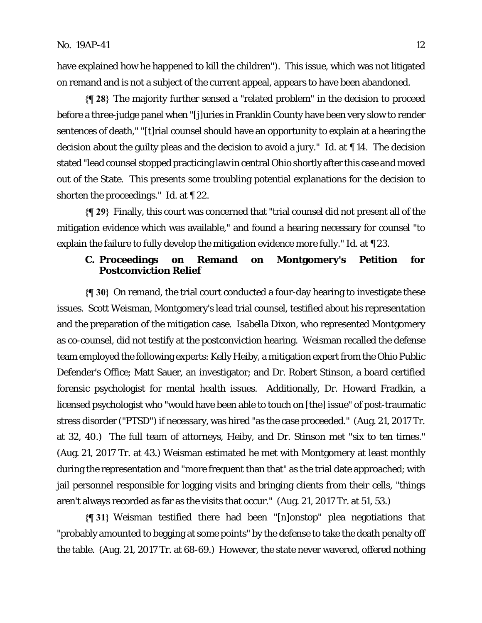have explained how he happened to kill the children"). This issue, which was not litigated on remand and is not a subject of the current appeal, appears to have been abandoned.

**{¶ 28}** The majority further sensed a "related problem" in the decision to proceed before a three-judge panel when "[j]uries in Franklin County have been very slow to render sentences of death," "[t]rial counsel should have an opportunity to explain at a hearing the decision about the guilty pleas and the decision to avoid a jury." *Id.* at ¶ 14. The decision stated "lead counsel stopped practicing law in central Ohio shortly after this case and moved out of the State. This presents some troubling potential explanations for the decision to shorten the proceedings." *Id.* at ¶ 22.

**{¶ 29}** Finally, this court was concerned that "trial counsel did not present all of the mitigation evidence which was available," and found a hearing necessary for counsel "to explain the failure to fully develop the mitigation evidence more fully." *Id.* at ¶ 23.

# **C. Proceedings on Remand on Montgomery's Petition for Postconviction Relief**

**{¶ 30}** On remand, the trial court conducted a four-day hearing to investigate these issues. Scott Weisman, Montgomery's lead trial counsel, testified about his representation and the preparation of the mitigation case. Isabella Dixon, who represented Montgomery as co-counsel, did not testify at the postconviction hearing. Weisman recalled the defense team employed the following experts: Kelly Heiby, a mitigation expert from the Ohio Public Defender's Office; Matt Sauer, an investigator; and Dr. Robert Stinson, a board certified forensic psychologist for mental health issues. Additionally, Dr. Howard Fradkin, a licensed psychologist who "would have been able to touch on [the] issue" of post-traumatic stress disorder ("PTSD") if necessary, was hired "as the case proceeded." (Aug. 21, 2017 Tr. at 32, 40.) The full team of attorneys, Heiby, and Dr. Stinson met "six to ten times." (Aug. 21, 2017 Tr. at 43.) Weisman estimated he met with Montgomery at least monthly during the representation and "more frequent than that" as the trial date approached; with jail personnel responsible for logging visits and bringing clients from their cells, "things aren't always recorded as far as the visits that occur." (Aug. 21, 2017 Tr. at 51, 53.)

**{¶ 31}** Weisman testified there had been "[n]onstop" plea negotiations that "probably amounted to begging at some points" by the defense to take the death penalty off the table. (Aug. 21, 2017 Tr. at 68-69.) However, the state never wavered, offered nothing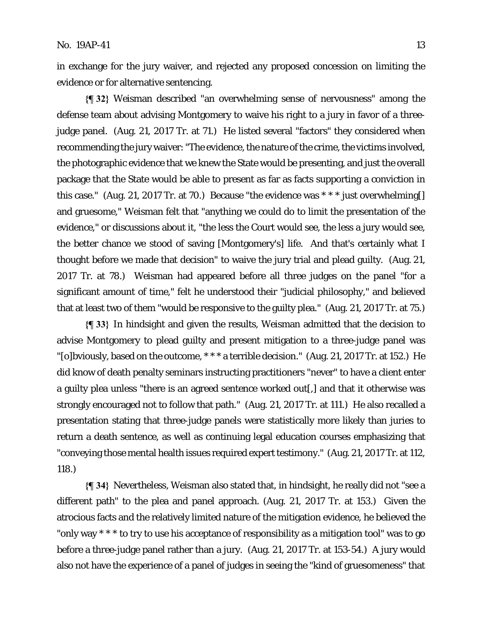in exchange for the jury waiver, and rejected any proposed concession on limiting the evidence or for alternative sentencing.

**{¶ 32}** Weisman described "an overwhelming sense of nervousness" among the defense team about advising Montgomery to waive his right to a jury in favor of a threejudge panel. (Aug. 21, 2017 Tr. at 71.) He listed several "factors" they considered when recommending the jury waiver: "The evidence, the nature of the crime, the victims involved, the photographic evidence that we knew the State would be presenting, and just the overall package that the State would be able to present as far as facts supporting a conviction in this case." (Aug. 21, 2017 Tr. at 70.) Because "the evidence was  $***$  just overwhelming. and gruesome," Weisman felt that "anything we could do to limit the presentation of the evidence," or discussions about it, "the less the Court would see, the less a jury would see, the better chance we stood of saving [Montgomery's] life. And that's certainly what I thought before we made that decision" to waive the jury trial and plead guilty. (Aug. 21, 2017 Tr. at 78.) Weisman had appeared before all three judges on the panel "for a significant amount of time," felt he understood their "judicial philosophy," and believed that at least two of them "would be responsive to the guilty plea." (Aug. 21, 2017 Tr. at 75.)

**{¶ 33}** In hindsight and given the results, Weisman admitted that the decision to advise Montgomery to plead guilty and present mitigation to a three-judge panel was "[o]bviously, based on the outcome, \* \* \* a terrible decision." (Aug. 21, 2017 Tr. at 152.) He did know of death penalty seminars instructing practitioners "never" to have a client enter a guilty plea unless "there is an agreed sentence worked out[,] and that it otherwise was strongly encouraged not to follow that path." (Aug. 21, 2017 Tr. at 111.) He also recalled a presentation stating that three-judge panels were statistically more likely than juries to return a death sentence, as well as continuing legal education courses emphasizing that "conveying those mental health issues required expert testimony." (Aug. 21, 2017 Tr. at 112, 118.)

**{¶ 34}** Nevertheless, Weisman also stated that, in hindsight, he really did not "see a different path" to the plea and panel approach. (Aug. 21, 2017 Tr. at 153.) Given the atrocious facts and the relatively limited nature of the mitigation evidence, he believed the "only way \* \* \* to try to use his acceptance of responsibility as a mitigation tool" was to go before a three-judge panel rather than a jury. (Aug. 21, 2017 Tr. at 153-54.) A jury would also not have the experience of a panel of judges in seeing the "kind of gruesomeness" that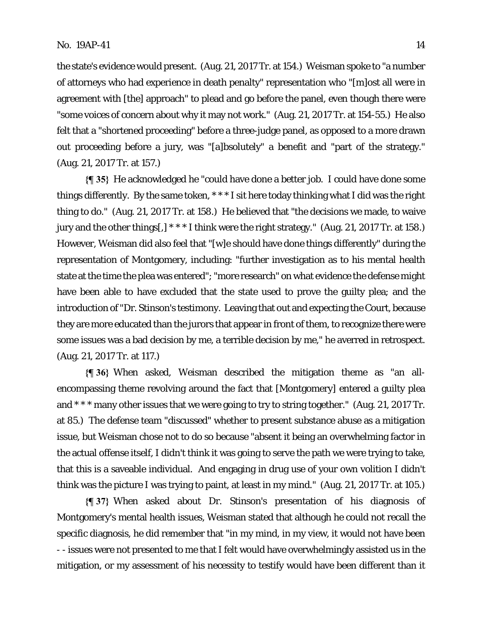the state's evidence would present. (Aug. 21, 2017 Tr. at 154.) Weisman spoke to "a number of attorneys who had experience in death penalty" representation who "[m]ost all were in agreement with [the] approach" to plead and go before the panel, even though there were "some voices of concern about why it may not work." (Aug. 21, 2017 Tr. at 154-55.) He also felt that a "shortened proceeding" before a three-judge panel, as opposed to a more drawn out proceeding before a jury, was "[a]bsolutely" a benefit and "part of the strategy." (Aug. 21, 2017 Tr. at 157.)

**{¶ 35}** He acknowledged he "could have done a better job. I could have done some things differently. By the same token, \* \* \* I sit here today thinking what I did was the right thing to do." (Aug. 21, 2017 Tr. at 158.) He believed that "the decisions we made, to waive jury and the other things[,] \* \* \* I think were the right strategy." (Aug. 21, 2017 Tr. at 158.) However, Weisman did also feel that "[w]e should have done things differently" during the representation of Montgomery, including: "further investigation as to his mental health state at the time the plea was entered"; "more research" on what evidence the defense might have been able to have excluded that the state used to prove the guilty plea; and the introduction of "Dr. Stinson's testimony. Leaving that out and expecting the Court, because they are more educated than the jurors that appear in front of them, to recognize there were some issues was a bad decision by me, a terrible decision by me," he averred in retrospect. (Aug. 21, 2017 Tr. at 117.)

**{¶ 36}** When asked, Weisman described the mitigation theme as "an allencompassing theme revolving around the fact that [Montgomery] entered a guilty plea and \* \* \* many other issues that we were going to try to string together." (Aug. 21, 2017 Tr. at 85.) The defense team "discussed" whether to present substance abuse as a mitigation issue, but Weisman chose not to do so because "absent it being an overwhelming factor in the actual offense itself, I didn't think it was going to serve the path we were trying to take, that this is a saveable individual. And engaging in drug use of your own volition I didn't think was the picture I was trying to paint, at least in my mind." (Aug. 21, 2017 Tr. at 105.)

**{¶ 37}** When asked about Dr. Stinson's presentation of his diagnosis of Montgomery's mental health issues, Weisman stated that although he could not recall the specific diagnosis, he did remember that "in my mind, in my view, it would not have been - - issues were not presented to me that I felt would have overwhelmingly assisted us in the mitigation, or my assessment of his necessity to testify would have been different than it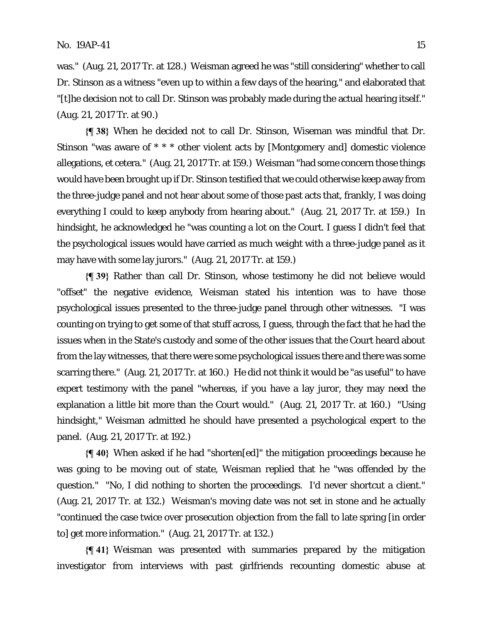was." (Aug. 21, 2017 Tr. at 128.) Weisman agreed he was "still considering" whether to call Dr. Stinson as a witness "even up to within a few days of the hearing," and elaborated that "[t]he decision not to call Dr. Stinson was probably made during the actual hearing itself." (Aug. 21, 2017 Tr. at 90.)

**{¶ 38}** When he decided not to call Dr. Stinson, Wiseman was mindful that Dr. Stinson "was aware of \* \* \* other violent acts by [Montgomery and] domestic violence allegations, et cetera." (Aug. 21, 2017 Tr. at 159.) Weisman "had some concern those things would have been brought up if Dr. Stinson testified that we could otherwise keep away from the three-judge panel and not hear about some of those past acts that, frankly, I was doing everything I could to keep anybody from hearing about." (Aug. 21, 2017 Tr. at 159.) In hindsight, he acknowledged he "was counting a lot on the Court. I guess I didn't feel that the psychological issues would have carried as much weight with a three-judge panel as it may have with some lay jurors." (Aug. 21, 2017 Tr. at 159.)

**{¶ 39}** Rather than call Dr. Stinson, whose testimony he did not believe would "offset" the negative evidence, Weisman stated his intention was to have those psychological issues presented to the three-judge panel through other witnesses. "I was counting on trying to get some of that stuff across, I guess, through the fact that he had the issues when in the State's custody and some of the other issues that the Court heard about from the lay witnesses, that there were some psychological issues there and there was some scarring there." (Aug. 21, 2017 Tr. at 160.) He did not think it would be "as useful" to have expert testimony with the panel "whereas, if you have a lay juror, they may need the explanation a little bit more than the Court would." (Aug. 21, 2017 Tr. at 160.) "Using hindsight," Weisman admitted he should have presented a psychological expert to the panel. (Aug. 21, 2017 Tr. at 192.)

**{¶ 40}** When asked if he had "shorten[ed]" the mitigation proceedings because he was going to be moving out of state, Weisman replied that he "was offended by the question." "No, I did nothing to shorten the proceedings. I'd never shortcut a client." (Aug. 21, 2017 Tr. at 132.) Weisman's moving date was not set in stone and he actually "continued the case twice over prosecution objection from the fall to late spring [in order to] get more information." (Aug. 21, 2017 Tr. at 132.)

**{¶ 41}** Weisman was presented with summaries prepared by the mitigation investigator from interviews with past girlfriends recounting domestic abuse at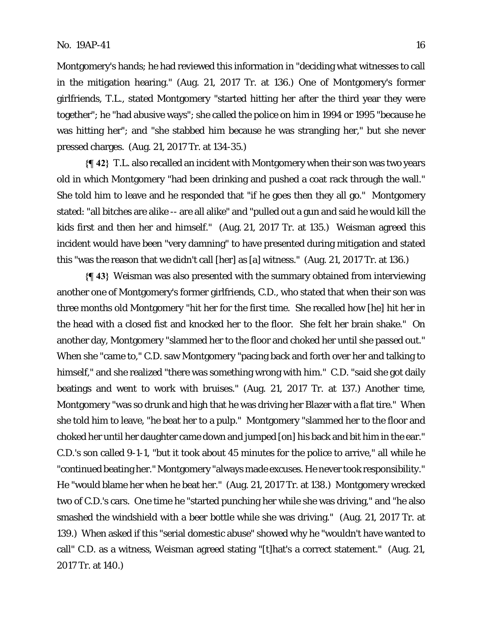Montgomery's hands; he had reviewed this information in "deciding what witnesses to call in the mitigation hearing." (Aug. 21, 2017 Tr. at 136.) One of Montgomery's former girlfriends, T.L., stated Montgomery "started hitting her after the third year they were together"; he "had abusive ways"; she called the police on him in 1994 or 1995 "because he was hitting her"; and "she stabbed him because he was strangling her," but she never pressed charges. (Aug. 21, 2017 Tr. at 134-35.)

**{¶ 42}** T.L. also recalled an incident with Montgomery when their son was two years old in which Montgomery "had been drinking and pushed a coat rack through the wall." She told him to leave and he responded that "if he goes then they all go." Montgomery stated: "all bitches are alike -- are all alike" and "pulled out a gun and said he would kill the kids first and then her and himself." (Aug. 21, 2017 Tr. at 135.) Weisman agreed this incident would have been "very damning" to have presented during mitigation and stated this "was the reason that we didn't call [her] as [a] witness." (Aug. 21, 2017 Tr. at 136.)

**{¶ 43}** Weisman was also presented with the summary obtained from interviewing another one of Montgomery's former girlfriends, C.D., who stated that when their son was three months old Montgomery "hit her for the first time. She recalled how [he] hit her in the head with a closed fist and knocked her to the floor. She felt her brain shake." On another day, Montgomery "slammed her to the floor and choked her until she passed out." When she "came to," C.D. saw Montgomery "pacing back and forth over her and talking to himself," and she realized "there was something wrong with him." C.D. "said she got daily beatings and went to work with bruises." (Aug. 21, 2017 Tr. at 137.) Another time, Montgomery "was so drunk and high that he was driving her Blazer with a flat tire." When she told him to leave, "he beat her to a pulp." Montgomery "slammed her to the floor and choked her until her daughter came down and jumped [on] his back and bit him in the ear." C.D.'s son called 9-1-1, "but it took about 45 minutes for the police to arrive," all while he "continued beating her." Montgomery "always made excuses. He never took responsibility." He "would blame her when he beat her." (Aug. 21, 2017 Tr. at 138.) Montgomery wrecked two of C.D.'s cars. One time he "started punching her while she was driving," and "he also smashed the windshield with a beer bottle while she was driving." (Aug. 21, 2017 Tr. at 139.) When asked if this "serial domestic abuse" showed why he "wouldn't have wanted to call" C.D. as a witness, Weisman agreed stating "[t]hat's a correct statement." (Aug. 21, 2017 Tr. at 140.)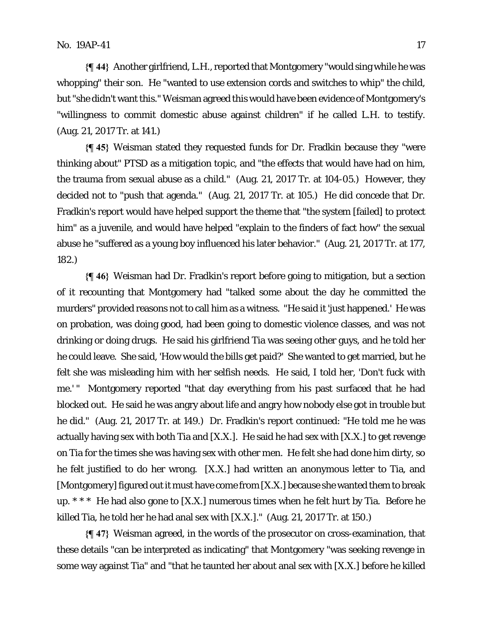**{¶ 44}** Another girlfriend, L.H., reported that Montgomery "would sing while he was whopping" their son. He "wanted to use extension cords and switches to whip" the child, but "she didn't want this." Weisman agreed this would have been evidence of Montgomery's "willingness to commit domestic abuse against children" if he called L.H. to testify. (Aug. 21, 2017 Tr. at 141.)

**{¶ 45}** Weisman stated they requested funds for Dr. Fradkin because they "were thinking about" PTSD as a mitigation topic, and "the effects that would have had on him, the trauma from sexual abuse as a child." (Aug. 21, 2017 Tr. at 104-05.) However, they decided not to "push that agenda." (Aug. 21, 2017 Tr. at 105.) He did concede that Dr. Fradkin's report would have helped support the theme that "the system [failed] to protect him" as a juvenile, and would have helped "explain to the finders of fact how" the sexual abuse he "suffered as a young boy influenced his later behavior." (Aug. 21, 2017 Tr. at 177, 182.)

**{¶ 46}** Weisman had Dr. Fradkin's report before going to mitigation, but a section of it recounting that Montgomery had "talked some about the day he committed the murders" provided reasons not to call him as a witness. "He said it 'just happened.' He was on probation, was doing good, had been going to domestic violence classes, and was not drinking or doing drugs. He said his girlfriend Tia was seeing other guys, and he told her he could leave. She said, 'How would the bills get paid?' She wanted to get married, but he felt she was misleading him with her selfish needs. He said, I told her, 'Don't fuck with me.' " Montgomery reported "that day everything from his past surfaced that he had blocked out. He said he was angry about life and angry how nobody else got in trouble but he did." (Aug. 21, 2017 Tr. at 149.) Dr. Fradkin's report continued: "He told me he was actually having sex with both Tia and [X.X.]. He said he had sex with [X.X.] to get revenge on Tia for the times she was having sex with other men. He felt she had done him dirty, so he felt justified to do her wrong. [X.X.] had written an anonymous letter to Tia, and [Montgomery] figured out it must have come from [X.X.] because she wanted them to break up. \* \* \* He had also gone to [X.X.] numerous times when he felt hurt by Tia. Before he killed Tia, he told her he had anal sex with [X.X.]." (Aug. 21, 2017 Tr. at 150.)

**{¶ 47}** Weisman agreed, in the words of the prosecutor on cross-examination, that these details "can be interpreted as indicating" that Montgomery "was seeking revenge in some way against Tia" and "that he taunted her about anal sex with [X.X.] before he killed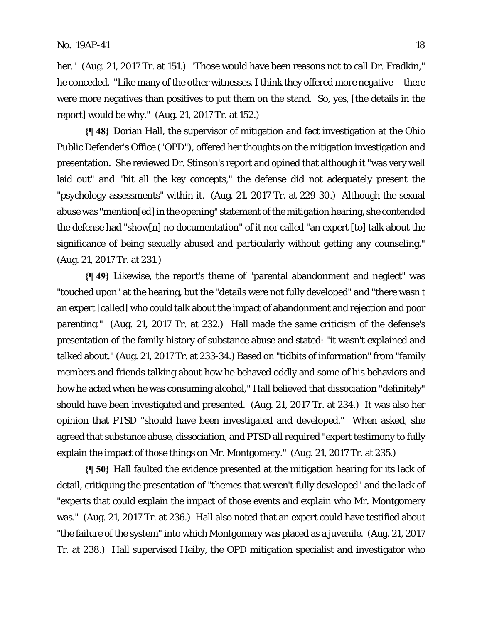her." (Aug. 21, 2017 Tr. at 151.) "Those would have been reasons not to call Dr. Fradkin," he conceded. "Like many of the other witnesses, I think they offered more negative -- there were more negatives than positives to put them on the stand. So, yes, [the details in the report] would be why." (Aug. 21, 2017 Tr. at 152.)

**{¶ 48}** Dorian Hall, the supervisor of mitigation and fact investigation at the Ohio Public Defender's Office ("OPD"), offered her thoughts on the mitigation investigation and presentation. She reviewed Dr. Stinson's report and opined that although it "was very well laid out" and "hit all the key concepts," the defense did not adequately present the "psychology assessments" within it. (Aug. 21, 2017 Tr. at 229-30.) Although the sexual abuse was "mention[ed] in the opening" statement of the mitigation hearing, she contended the defense had "show[n] no documentation" of it nor called "an expert [to] talk about the significance of being sexually abused and particularly without getting any counseling." (Aug. 21, 2017 Tr. at 231.)

**{¶ 49}** Likewise, the report's theme of "parental abandonment and neglect" was "touched upon" at the hearing, but the "details were not fully developed" and "there wasn't an expert [called] who could talk about the impact of abandonment and rejection and poor parenting." (Aug. 21, 2017 Tr. at 232.) Hall made the same criticism of the defense's presentation of the family history of substance abuse and stated: "it wasn't explained and talked about." (Aug. 21, 2017 Tr. at 233-34.) Based on "tidbits of information" from "family members and friends talking about how he behaved oddly and some of his behaviors and how he acted when he was consuming alcohol," Hall believed that dissociation "definitely" should have been investigated and presented. (Aug. 21, 2017 Tr. at 234.) It was also her opinion that PTSD "should have been investigated and developed." When asked, she agreed that substance abuse, dissociation, and PTSD all required "expert testimony to fully explain the impact of those things on Mr. Montgomery." (Aug. 21, 2017 Tr. at 235.)

**{¶ 50}** Hall faulted the evidence presented at the mitigation hearing for its lack of detail, critiquing the presentation of "themes that weren't fully developed" and the lack of "experts that could explain the impact of those events and explain who Mr. Montgomery was." (Aug. 21, 2017 Tr. at 236.) Hall also noted that an expert could have testified about "the failure of the system" into which Montgomery was placed as a juvenile. (Aug. 21, 2017 Tr. at 238.) Hall supervised Heiby, the OPD mitigation specialist and investigator who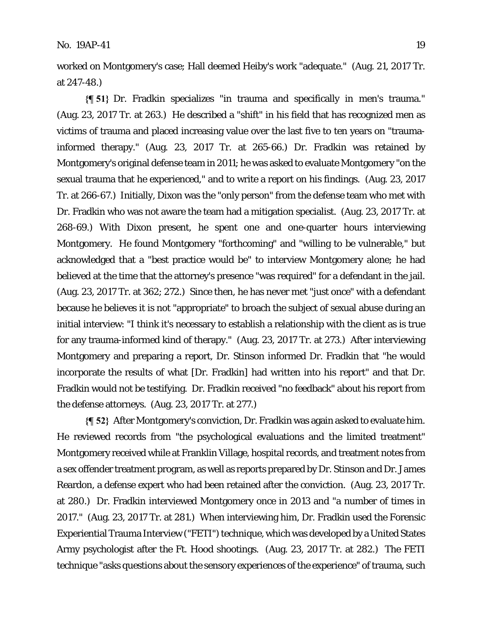worked on Montgomery's case; Hall deemed Heiby's work "adequate." (Aug. 21, 2017 Tr. at 247-48.)

**{¶ 51}** Dr. Fradkin specializes "in trauma and specifically in men's trauma." (Aug. 23, 2017 Tr. at 263.) He described a "shift" in his field that has recognized men as victims of trauma and placed increasing value over the last five to ten years on "traumainformed therapy." (Aug. 23, 2017 Tr. at 265-66.) Dr. Fradkin was retained by Montgomery's original defense team in 2011; he was asked to evaluate Montgomery "on the sexual trauma that he experienced," and to write a report on his findings. (Aug. 23, 2017 Tr. at 266-67.) Initially, Dixon was the "only person" from the defense team who met with Dr. Fradkin who was not aware the team had a mitigation specialist. (Aug. 23, 2017 Tr. at 268-69.) With Dixon present, he spent one and one-quarter hours interviewing Montgomery. He found Montgomery "forthcoming" and "willing to be vulnerable," but acknowledged that a "best practice would be" to interview Montgomery alone; he had believed at the time that the attorney's presence "was required" for a defendant in the jail. (Aug. 23, 2017 Tr. at 362; 272.) Since then, he has never met "just once" with a defendant because he believes it is not "appropriate" to broach the subject of sexual abuse during an initial interview: "I think it's necessary to establish a relationship with the client as is true for any trauma-informed kind of therapy." (Aug. 23, 2017 Tr. at 273.) After interviewing Montgomery and preparing a report, Dr. Stinson informed Dr. Fradkin that "he would incorporate the results of what [Dr. Fradkin] had written into his report" and that Dr. Fradkin would not be testifying. Dr. Fradkin received "no feedback" about his report from the defense attorneys. (Aug. 23, 2017 Tr. at 277.)

**{¶ 52}** After Montgomery's conviction, Dr. Fradkin was again asked to evaluate him. He reviewed records from "the psychological evaluations and the limited treatment" Montgomery received while at Franklin Village, hospital records, and treatment notes from a sex offender treatment program, as well as reports prepared by Dr. Stinson and Dr. James Reardon, a defense expert who had been retained after the conviction. (Aug. 23, 2017 Tr. at 280.) Dr. Fradkin interviewed Montgomery once in 2013 and "a number of times in 2017." (Aug. 23, 2017 Tr. at 281.) When interviewing him, Dr. Fradkin used the Forensic Experiential Trauma Interview ("FETI") technique, which was developed by a United States Army psychologist after the Ft. Hood shootings. (Aug. 23, 2017 Tr. at 282.) The FETI technique "asks questions about the sensory experiences of the experience" of trauma, such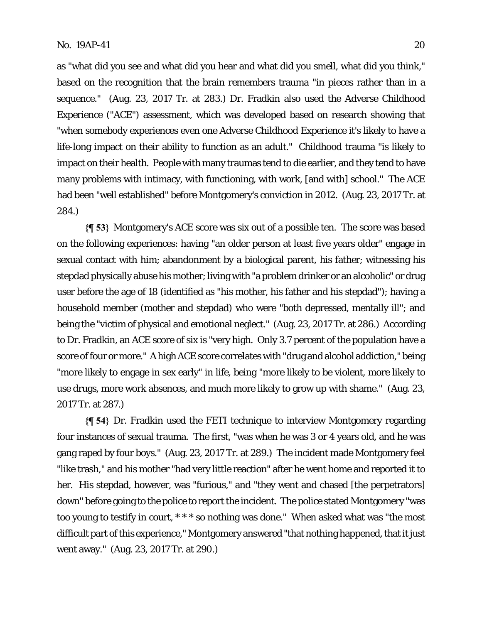as "what did you see and what did you hear and what did you smell, what did you think," based on the recognition that the brain remembers trauma "in pieces rather than in a sequence." (Aug. 23, 2017 Tr. at 283.) Dr. Fradkin also used the Adverse Childhood Experience ("ACE") assessment, which was developed based on research showing that "when somebody experiences even one Adverse Childhood Experience it's likely to have a life-long impact on their ability to function as an adult." Childhood trauma "is likely to impact on their health. People with many traumas tend to die earlier, and they tend to have many problems with intimacy, with functioning, with work, [and with] school." The ACE had been "well established" before Montgomery's conviction in 2012. (Aug. 23, 2017 Tr. at 284.)

**{¶ 53}** Montgomery's ACE score was six out of a possible ten. The score was based on the following experiences: having "an older person at least five years older" engage in sexual contact with him; abandonment by a biological parent, his father; witnessing his stepdad physically abuse his mother; living with "a problem drinker or an alcoholic" or drug user before the age of 18 (identified as "his mother, his father and his stepdad"); having a household member (mother and stepdad) who were "both depressed, mentally ill"; and being the "victim of physical and emotional neglect." (Aug. 23, 2017 Tr. at 286.) According to Dr. Fradkin, an ACE score of six is "very high. Only 3.7 percent of the population have a score of four or more." A high ACE score correlates with "drug and alcohol addiction," being "more likely to engage in sex early" in life, being "more likely to be violent, more likely to use drugs, more work absences, and much more likely to grow up with shame." (Aug. 23, 2017 Tr. at 287.)

**{¶ 54}** Dr. Fradkin used the FETI technique to interview Montgomery regarding four instances of sexual trauma. The first, "was when he was 3 or 4 years old, and he was gang raped by four boys." (Aug. 23, 2017 Tr. at 289.) The incident made Montgomery feel "like trash," and his mother "had very little reaction" after he went home and reported it to her. His stepdad, however, was "furious," and "they went and chased [the perpetrators] down" before going to the police to report the incident. The police stated Montgomery "was too young to testify in court, \* \* \* so nothing was done." When asked what was "the most difficult part of this experience," Montgomery answered "that nothing happened, that it just went away." (Aug. 23, 2017 Tr. at 290.)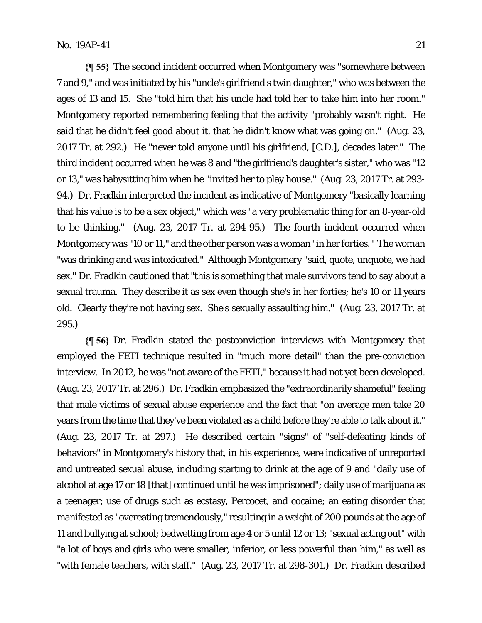**{¶ 55}** The second incident occurred when Montgomery was "somewhere between 7 and 9," and was initiated by his "uncle's girlfriend's twin daughter," who was between the ages of 13 and 15. She "told him that his uncle had told her to take him into her room." Montgomery reported remembering feeling that the activity "probably wasn't right. He said that he didn't feel good about it, that he didn't know what was going on." (Aug. 23, 2017 Tr. at 292.) He "never told anyone until his girlfriend, [C.D.], decades later." The third incident occurred when he was 8 and "the girlfriend's daughter's sister," who was "12 or 13," was babysitting him when he "invited her to play house." (Aug. 23, 2017 Tr. at 293- 94.) Dr. Fradkin interpreted the incident as indicative of Montgomery "basically learning that his value is to be a sex object," which was "a very problematic thing for an 8-year-old to be thinking." (Aug. 23, 2017 Tr. at 294-95.) The fourth incident occurred when Montgomery was "10 or 11," and the other person was a woman "in her forties." The woman "was drinking and was intoxicated." Although Montgomery "said, quote, unquote, we had sex," Dr. Fradkin cautioned that "this is something that male survivors tend to say about a sexual trauma. They describe it as sex even though she's in her forties; he's 10 or 11 years old. Clearly they're not having sex. She's sexually assaulting him." (Aug. 23, 2017 Tr. at 295.)

**{¶ 56}** Dr. Fradkin stated the postconviction interviews with Montgomery that employed the FETI technique resulted in "much more detail" than the pre-conviction interview. In 2012, he was "not aware of the FETI," because it had not yet been developed. (Aug. 23, 2017 Tr. at 296.) Dr. Fradkin emphasized the "extraordinarily shameful" feeling that male victims of sexual abuse experience and the fact that "on average men take 20 years from the time that they've been violated as a child before they're able to talk about it." (Aug. 23, 2017 Tr. at 297.) He described certain "signs" of "self-defeating kinds of behaviors" in Montgomery's history that, in his experience, were indicative of unreported and untreated sexual abuse, including starting to drink at the age of 9 and "daily use of alcohol at age 17 or 18 [that] continued until he was imprisoned"; daily use of marijuana as a teenager; use of drugs such as ecstasy, Percocet, and cocaine; an eating disorder that manifested as "overeating tremendously," resulting in a weight of 200 pounds at the age of 11 and bullying at school; bedwetting from age 4 or 5 until 12 or 13; "sexual acting out" with "a lot of boys and girls who were smaller, inferior, or less powerful than him," as well as "with female teachers, with staff." (Aug. 23, 2017 Tr. at 298-301.) Dr. Fradkin described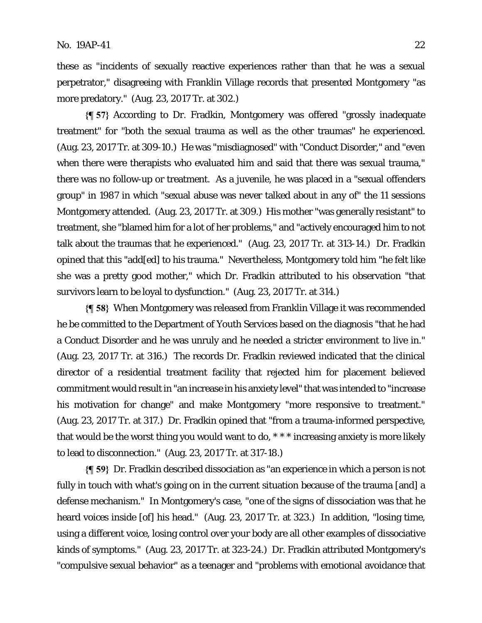these as "incidents of sexually reactive experiences rather than that he was a sexual perpetrator," disagreeing with Franklin Village records that presented Montgomery "as more predatory." (Aug. 23, 2017 Tr. at 302.)

**{¶ 57}** According to Dr. Fradkin, Montgomery was offered "grossly inadequate treatment" for "both the sexual trauma as well as the other traumas" he experienced. (Aug. 23, 2017 Tr. at 309-10.) He was "misdiagnosed" with "Conduct Disorder," and "even when there were therapists who evaluated him and said that there was sexual trauma," there was no follow-up or treatment. As a juvenile, he was placed in a "sexual offenders group" in 1987 in which "sexual abuse was never talked about in any of" the 11 sessions Montgomery attended. (Aug. 23, 2017 Tr. at 309.) His mother "was generally resistant" to treatment, she "blamed him for a lot of her problems," and "actively encouraged him to not talk about the traumas that he experienced." (Aug. 23, 2017 Tr. at 313-14.) Dr. Fradkin opined that this "add[ed] to his trauma." Nevertheless, Montgomery told him "he felt like she was a pretty good mother," which Dr. Fradkin attributed to his observation "that survivors learn to be loyal to dysfunction." (Aug. 23, 2017 Tr. at 314.)

**{¶ 58}** When Montgomery was released from Franklin Village it was recommended he be committed to the Department of Youth Services based on the diagnosis "that he had a Conduct Disorder and he was unruly and he needed a stricter environment to live in." (Aug. 23, 2017 Tr. at 316.) The records Dr. Fradkin reviewed indicated that the clinical director of a residential treatment facility that rejected him for placement believed commitment would result in "an increase in his anxiety level" that was intended to "increase his motivation for change" and make Montgomery "more responsive to treatment." (Aug. 23, 2017 Tr. at 317.) Dr. Fradkin opined that "from a trauma-informed perspective, that would be the worst thing you would want to do, \* \* \* increasing anxiety is more likely to lead to disconnection." (Aug. 23, 2017 Tr. at 317-18.)

**{¶ 59}** Dr. Fradkin described dissociation as "an experience in which a person is not fully in touch with what's going on in the current situation because of the trauma [and] a defense mechanism." In Montgomery's case, "one of the signs of dissociation was that he heard voices inside [of] his head." (Aug. 23, 2017 Tr. at 323.) In addition, "losing time, using a different voice, losing control over your body are all other examples of dissociative kinds of symptoms." (Aug. 23, 2017 Tr. at 323-24.) Dr. Fradkin attributed Montgomery's "compulsive sexual behavior" as a teenager and "problems with emotional avoidance that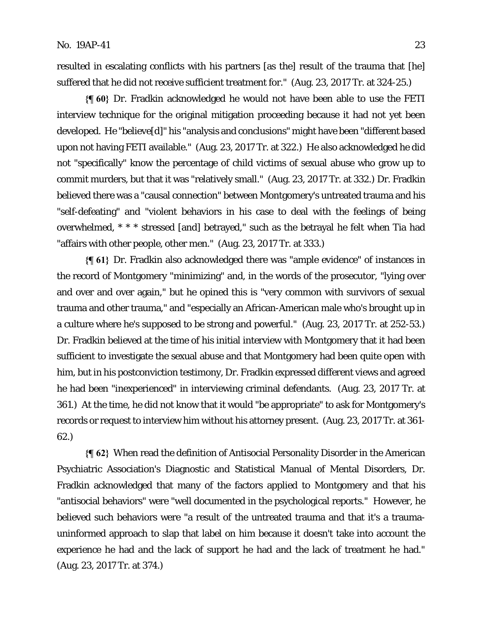resulted in escalating conflicts with his partners [as the] result of the trauma that [he] suffered that he did not receive sufficient treatment for." (Aug. 23, 2017 Tr. at 324-25.)

**{¶ 60}** Dr. Fradkin acknowledged he would not have been able to use the FETI interview technique for the original mitigation proceeding because it had not yet been developed. He "believe[d]" his "analysis and conclusions" might have been "different based upon not having FETI available." (Aug. 23, 2017 Tr. at 322.) He also acknowledged he did not "specifically" know the percentage of child victims of sexual abuse who grow up to commit murders, but that it was "relatively small." (Aug. 23, 2017 Tr. at 332.) Dr. Fradkin believed there was a "causal connection" between Montgomery's untreated trauma and his "self-defeating" and "violent behaviors in his case to deal with the feelings of being overwhelmed, \* \* \* stressed [and] betrayed," such as the betrayal he felt when Tia had "affairs with other people, other men." (Aug. 23, 2017 Tr. at 333*.*)

**{¶ 61}** Dr. Fradkin also acknowledged there was "ample evidence" of instances in the record of Montgomery "minimizing" and, in the words of the prosecutor, "lying over and over and over again," but he opined this is "very common with survivors of sexual trauma and other trauma," and "especially an African-American male who's brought up in a culture where he's supposed to be strong and powerful." (Aug. 23, 2017 Tr. at 252-53.) Dr. Fradkin believed at the time of his initial interview with Montgomery that it had been sufficient to investigate the sexual abuse and that Montgomery had been quite open with him, but in his postconviction testimony, Dr. Fradkin expressed different views and agreed he had been "inexperienced" in interviewing criminal defendants. (Aug. 23, 2017 Tr. at 361.) At the time, he did not know that it would "be appropriate" to ask for Montgomery's records or request to interview him without his attorney present. (Aug. 23, 2017 Tr. at 361- 62.)

**{¶ 62}** When read the definition of Antisocial Personality Disorder in the American Psychiatric Association's Diagnostic and Statistical Manual of Mental Disorders, Dr. Fradkin acknowledged that many of the factors applied to Montgomery and that his "antisocial behaviors" were "well documented in the psychological reports." However, he believed such behaviors were "a result of the untreated trauma and that it's a traumauninformed approach to slap that label on him because it doesn't take into account the experience he had and the lack of support he had and the lack of treatment he had." (Aug. 23, 2017 Tr. at 374.)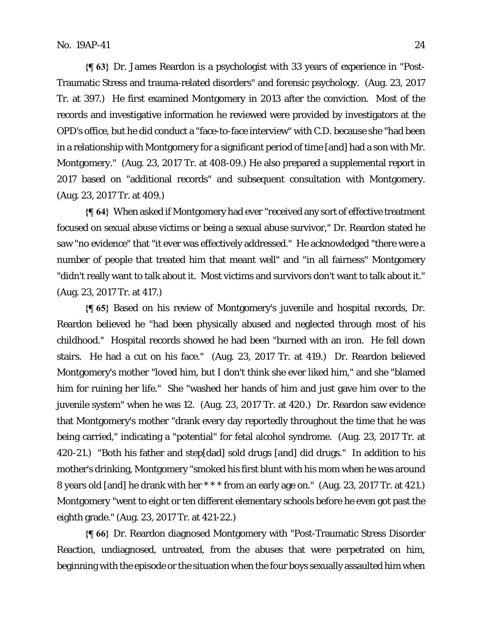**{¶ 63}** Dr. James Reardon is a psychologist with 33 years of experience in "Post-Traumatic Stress and trauma-related disorders" and forensic psychology. (Aug. 23, 2017 Tr. at 397.) He first examined Montgomery in 2013 after the conviction. Most of the records and investigative information he reviewed were provided by investigators at the OPD's office, but he did conduct a "face-to-face interview" with C.D. because she "had been in a relationship with Montgomery for a significant period of time [and] had a son with Mr. Montgomery." (Aug. 23, 2017 Tr. at 408-09.) He also prepared a supplemental report in 2017 based on "additional records" and subsequent consultation with Montgomery. (Aug. 23, 2017 Tr. at 409.)

**{¶ 64}** When asked if Montgomery had ever "received any sort of effective treatment focused on sexual abuse victims or being a sexual abuse survivor," Dr. Reardon stated he saw "no evidence" that "it ever was effectively addressed." He acknowledged "there were a number of people that treated him that meant well" and "in all fairness" Montgomery "didn't really want to talk about it. Most victims and survivors don't want to talk about it." (Aug. 23, 2017 Tr. at 417.)

**{¶ 65}** Based on his review of Montgomery's juvenile and hospital records, Dr. Reardon believed he "had been physically abused and neglected through most of his childhood." Hospital records showed he had been "burned with an iron. He fell down stairs. He had a cut on his face." (Aug. 23, 2017 Tr. at 419.) Dr. Reardon believed Montgomery's mother "loved him, but I don't think she ever liked him," and she "blamed him for ruining her life." She "washed her hands of him and just gave him over to the juvenile system" when he was 12. (Aug. 23, 2017 Tr. at 420.) Dr. Reardon saw evidence that Montgomery's mother "drank every day reportedly throughout the time that he was being carried," indicating a "potential" for fetal alcohol syndrome. (Aug. 23, 2017 Tr. at 420-21.) "Both his father and step[dad] sold drugs [and] did drugs." In addition to his mother's drinking, Montgomery "smoked his first blunt with his mom when he was around 8 years old [and] he drank with her \* \* \* from an early age on." (Aug. 23, 2017 Tr. at 421.) Montgomery "went to eight or ten different elementary schools before he even got past the eighth grade." (Aug. 23, 2017 Tr. at 421-22.)

**{¶ 66}** Dr. Reardon diagnosed Montgomery with "Post-Traumatic Stress Disorder Reaction, undiagnosed, untreated, from the abuses that were perpetrated on him, beginning with the episode or the situation when the four boys sexually assaulted him when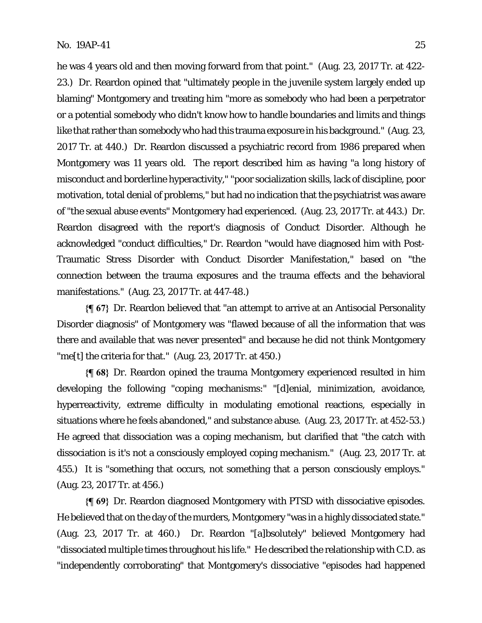he was 4 years old and then moving forward from that point." (Aug. 23, 2017 Tr. at 422- 23.) Dr. Reardon opined that "ultimately people in the juvenile system largely ended up blaming" Montgomery and treating him "more as somebody who had been a perpetrator or a potential somebody who didn't know how to handle boundaries and limits and things like that rather than somebody who had this trauma exposure in his background." (Aug. 23, 2017 Tr. at 440.) Dr. Reardon discussed a psychiatric record from 1986 prepared when Montgomery was 11 years old. The report described him as having "a long history of misconduct and borderline hyperactivity," "poor socialization skills, lack of discipline, poor motivation, total denial of problems," but had no indication that the psychiatrist was aware of "the sexual abuse events" Montgomery had experienced. (Aug. 23, 2017 Tr. at 443.) Dr. Reardon disagreed with the report's diagnosis of Conduct Disorder. Although he acknowledged "conduct difficulties," Dr. Reardon "would have diagnosed him with Post-Traumatic Stress Disorder with Conduct Disorder Manifestation," based on "the connection between the trauma exposures and the trauma effects and the behavioral manifestations." (Aug. 23, 2017 Tr. at 447-48.)

**{¶ 67}** Dr. Reardon believed that "an attempt to arrive at an Antisocial Personality Disorder diagnosis" of Montgomery was "flawed because of all the information that was there and available that was never presented" and because he did not think Montgomery "me[t] the criteria for that."  $(Aug. 23, 2017$  Tr. at 450.)

**{¶ 68}** Dr. Reardon opined the trauma Montgomery experienced resulted in him developing the following "coping mechanisms:" "[d]enial, minimization, avoidance, hyperreactivity, extreme difficulty in modulating emotional reactions, especially in situations where he feels abandoned," and substance abuse. (Aug. 23, 2017 Tr. at 452-53.) He agreed that dissociation was a coping mechanism, but clarified that "the catch with dissociation is it's not a consciously employed coping mechanism." (Aug. 23, 2017 Tr. at 455.) It is "something that occurs, not something that a person consciously employs." (Aug. 23, 2017 Tr. at 456.)

**{¶ 69}** Dr. Reardon diagnosed Montgomery with PTSD with dissociative episodes. He believed that on the day of the murders, Montgomery "was in a highly dissociated state." (Aug. 23, 2017 Tr. at 460.) Dr. Reardon "[a]bsolutely" believed Montgomery had "dissociated multiple times throughout his life." He described the relationship with C.D. as "independently corroborating" that Montgomery's dissociative "episodes had happened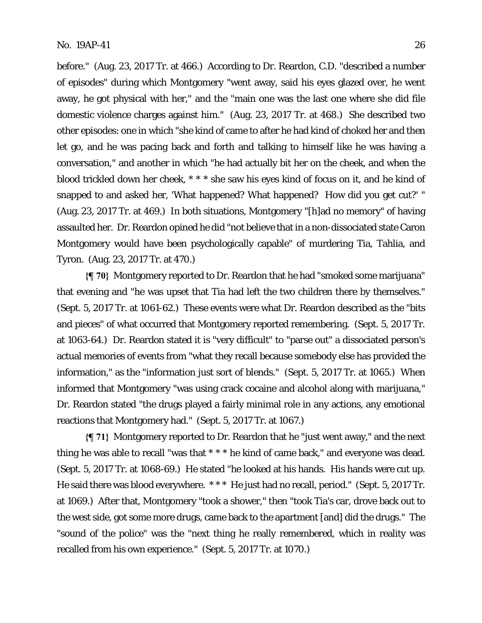before." (Aug. 23, 2017 Tr. at 466.) According to Dr. Reardon, C.D. "described a number of episodes" during which Montgomery "went away, said his eyes glazed over, he went away, he got physical with her," and the "main one was the last one where she did file domestic violence charges against him." (Aug. 23, 2017 Tr. at 468.) She described two other episodes: one in which "she kind of came to after he had kind of choked her and then let go, and he was pacing back and forth and talking to himself like he was having a conversation," and another in which "he had actually bit her on the cheek, and when the blood trickled down her cheek, \* \* \* she saw his eyes kind of focus on it, and he kind of snapped to and asked her, 'What happened? What happened? How did you get cut?' " (Aug. 23, 2017 Tr. at 469.) In both situations, Montgomery "[h]ad no memory" of having assaulted her. Dr. Reardon opined he did "not believe that in a non-dissociated state Caron Montgomery would have been psychologically capable" of murdering Tia, Tahlia, and Tyron. (Aug. 23, 2017 Tr. at 470.)

**{¶ 70}** Montgomery reported to Dr. Reardon that he had "smoked some marijuana" that evening and "he was upset that Tia had left the two children there by themselves." (Sept. 5, 2017 Tr. at 1061-62.) These events were what Dr. Reardon described as the "bits and pieces" of what occurred that Montgomery reported remembering. (Sept. 5, 2017 Tr. at 1063-64.) Dr. Reardon stated it is "very difficult" to "parse out" a dissociated person's actual memories of events from "what they recall because somebody else has provided the information," as the "information just sort of blends." (Sept. 5, 2017 Tr. at 1065.) When informed that Montgomery "was using crack cocaine and alcohol along with marijuana," Dr. Reardon stated "the drugs played a fairly minimal role in any actions, any emotional reactions that Montgomery had." (Sept. 5, 2017 Tr. at 1067.)

**{¶ 71}** Montgomery reported to Dr. Reardon that he "just went away," and the next thing he was able to recall "was that \* \* \* he kind of came back," and everyone was dead. (Sept. 5, 2017 Tr. at 1068-69.) He stated "he looked at his hands. His hands were cut up. He said there was blood everywhere. \*\*\* He just had no recall, period." (Sept. 5, 2017 Tr. at 1069.) After that, Montgomery "took a shower," then "took Tia's car, drove back out to the west side, got some more drugs, came back to the apartment [and] did the drugs." The "sound of the police" was the "next thing he really remembered, which in reality was recalled from his own experience." (Sept. 5, 2017 Tr. at 1070.)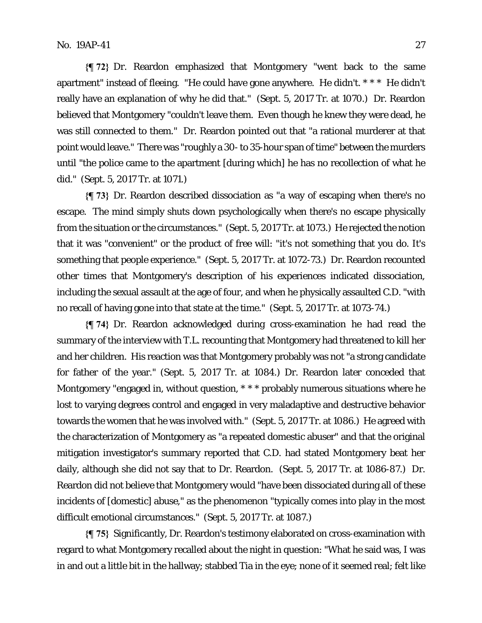**{¶ 72}** Dr. Reardon emphasized that Montgomery "went back to the same apartment" instead of fleeing. "He could have gone anywhere. He didn't. \* \* \* He didn't really have an explanation of why he did that." (Sept. 5, 2017 Tr. at 1070.) Dr. Reardon believed that Montgomery "couldn't leave them. Even though he knew they were dead, he was still connected to them." Dr. Reardon pointed out that "a rational murderer at that point would leave." There was "roughly a 30- to 35-hour span of time" between the murders until "the police came to the apartment [during which] he has no recollection of what he did." (Sept. 5, 2017 Tr. at 1071.)

**{¶ 73}** Dr. Reardon described dissociation as "a way of escaping when there's no escape. The mind simply shuts down psychologically when there's no escape physically from the situation or the circumstances." (Sept. 5, 2017 Tr. at 1073.) He rejected the notion that it was "convenient" or the product of free will: "it's not something that you do. It's something that people experience." (Sept. 5, 2017 Tr. at 1072-73.) Dr. Reardon recounted other times that Montgomery's description of his experiences indicated dissociation, including the sexual assault at the age of four, and when he physically assaulted C.D. "with no recall of having gone into that state at the time." (Sept. 5, 2017 Tr. at 1073-74.)

**{¶ 74}** Dr. Reardon acknowledged during cross-examination he had read the summary of the interview with T.L. recounting that Montgomery had threatened to kill her and her children. His reaction was that Montgomery probably was not "a strong candidate for father of the year." (Sept. 5, 2017 Tr. at 1084.) Dr. Reardon later conceded that Montgomery "engaged in, without question, \* \* \* probably numerous situations where he lost to varying degrees control and engaged in very maladaptive and destructive behavior towards the women that he was involved with." (Sept. 5, 2017 Tr. at 1086.) He agreed with the characterization of Montgomery as "a repeated domestic abuser" and that the original mitigation investigator's summary reported that C.D. had stated Montgomery beat her daily, although she did not say that to Dr. Reardon. (Sept. 5, 2017 Tr. at 1086-87.) Dr. Reardon did not believe that Montgomery would "have been dissociated during all of these incidents of [domestic] abuse," as the phenomenon "typically comes into play in the most difficult emotional circumstances." (Sept. 5, 2017 Tr. at 1087.)

**{¶ 75}** Significantly, Dr. Reardon's testimony elaborated on cross-examination with regard to what Montgomery recalled about the night in question: "What he said was, I was in and out a little bit in the hallway; stabbed Tia in the eye; none of it seemed real; felt like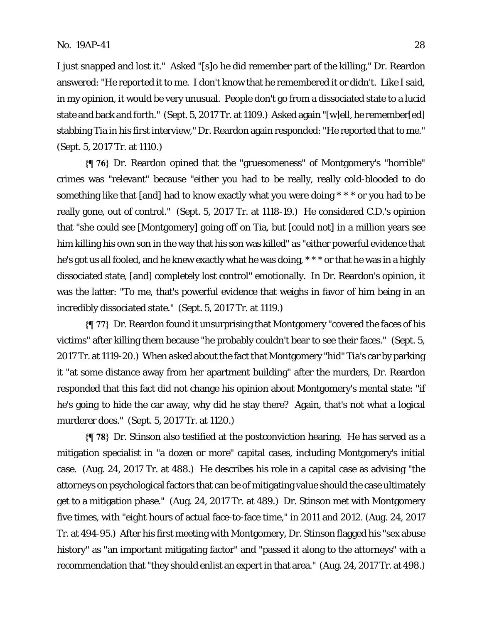I just snapped and lost it." Asked "[s]o he did remember part of the killing," Dr. Reardon answered: "He reported it to me. I don't know that he remembered it or didn't. Like I said, in my opinion, it would be very unusual. People don't go from a dissociated state to a lucid state and back and forth." (Sept. 5, 2017 Tr. at 1109.) Asked again "[w]ell, he remember[ed] stabbing Tia in his first interview," Dr. Reardon again responded: "He reported that to me." (Sept. 5, 2017 Tr. at 1110.)

**{¶ 76}** Dr. Reardon opined that the "gruesomeness" of Montgomery's "horrible" crimes was "relevant" because "either you had to be really, really cold-blooded to do something like that [and] had to know exactly what you were doing \* \* \* or you had to be really gone, out of control." (Sept. 5, 2017 Tr. at 1118-19.) He considered C.D.'s opinion that "she could see [Montgomery] going off on Tia, but [could not] in a million years see him killing his own son in the way that his son was killed" as "either powerful evidence that he's got us all fooled, and he knew exactly what he was doing, \*\*\* or that he was in a highly dissociated state, [and] completely lost control" emotionally. In Dr. Reardon's opinion, it was the latter: "To me, that's powerful evidence that weighs in favor of him being in an incredibly dissociated state." (Sept. 5, 2017 Tr. at 1119.)

**{¶ 77}** Dr. Reardon found it unsurprising that Montgomery "covered the faces of his victims" after killing them because "he probably couldn't bear to see their faces." (Sept. 5, 2017 Tr. at 1119-20.) When asked about the fact that Montgomery "hid" Tia's car by parking it "at some distance away from her apartment building" after the murders, Dr. Reardon responded that this fact did not change his opinion about Montgomery's mental state: "if he's going to hide the car away, why did he stay there? Again, that's not what a logical murderer does." (Sept. 5, 2017 Tr. at 1120.)

**{¶ 78}** Dr. Stinson also testified at the postconviction hearing. He has served as a mitigation specialist in "a dozen or more" capital cases, including Montgomery's initial case. (Aug. 24, 2017 Tr. at 488.) He describes his role in a capital case as advising "the attorneys on psychological factors that can be of mitigating value should the case ultimately get to a mitigation phase." (Aug. 24, 2017 Tr. at 489.) Dr. Stinson met with Montgomery five times, with "eight hours of actual face-to-face time," in 2011 and 2012. (Aug. 24, 2017 Tr. at 494-95.) After his first meeting with Montgomery, Dr. Stinson flagged his "sex abuse history" as "an important mitigating factor" and "passed it along to the attorneys" with a recommendation that "they should enlist an expert in that area." (Aug. 24, 2017 Tr. at 498.)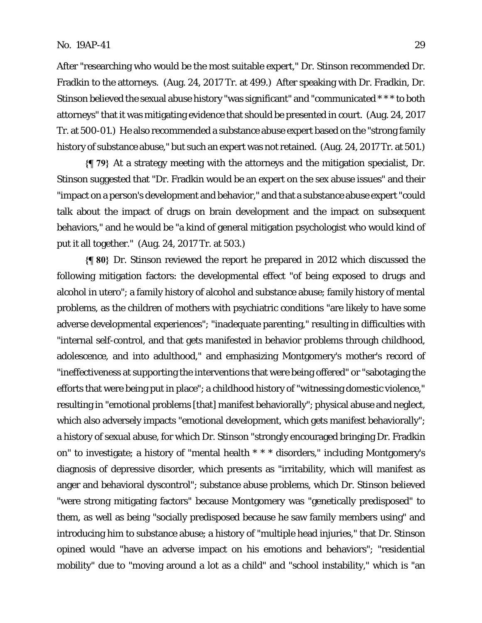After "researching who would be the most suitable expert," Dr. Stinson recommended Dr. Fradkin to the attorneys. (Aug. 24, 2017 Tr. at 499.) After speaking with Dr. Fradkin, Dr. Stinson believed the sexual abuse history "was significant" and "communicated \* \* \* to both attorneys" that it was mitigating evidence that should be presented in court. (Aug. 24, 2017 Tr. at 500-01.) He also recommended a substance abuse expert based on the "strong family history of substance abuse," but such an expert was not retained. (Aug. 24, 2017 Tr. at 501.)

**{¶ 79}** At a strategy meeting with the attorneys and the mitigation specialist, Dr. Stinson suggested that "Dr. Fradkin would be an expert on the sex abuse issues" and their "impact on a person's development and behavior," and that a substance abuse expert "could talk about the impact of drugs on brain development and the impact on subsequent behaviors," and he would be "a kind of general mitigation psychologist who would kind of put it all together." (Aug. 24, 2017 Tr. at 503.)

**{¶ 80}** Dr. Stinson reviewed the report he prepared in 2012 which discussed the following mitigation factors: the developmental effect "of being exposed to drugs and alcohol in utero"; a family history of alcohol and substance abuse; family history of mental problems, as the children of mothers with psychiatric conditions "are likely to have some adverse developmental experiences"; "inadequate parenting," resulting in difficulties with "internal self-control, and that gets manifested in behavior problems through childhood, adolescence, and into adulthood," and emphasizing Montgomery's mother's record of "ineffectiveness at supporting the interventions that were being offered" or "sabotaging the efforts that were being put in place"; a childhood history of "witnessing domestic violence," resulting in "emotional problems [that] manifest behaviorally"; physical abuse and neglect, which also adversely impacts "emotional development, which gets manifest behaviorally"; a history of sexual abuse, for which Dr. Stinson "strongly encouraged bringing Dr. Fradkin on" to investigate; a history of "mental health \* \* \* disorders," including Montgomery's diagnosis of depressive disorder, which presents as "irritability, which will manifest as anger and behavioral dyscontrol"; substance abuse problems, which Dr. Stinson believed "were strong mitigating factors" because Montgomery was "genetically predisposed" to them, as well as being "socially predisposed because he saw family members using" and introducing him to substance abuse; a history of "multiple head injuries," that Dr. Stinson opined would "have an adverse impact on his emotions and behaviors"; "residential mobility" due to "moving around a lot as a child" and "school instability," which is "an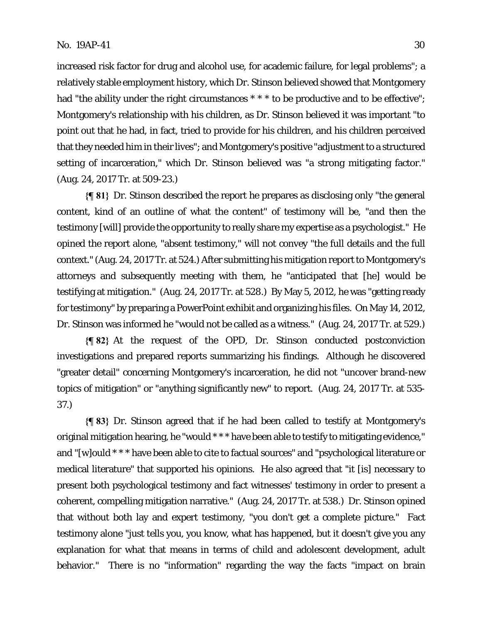increased risk factor for drug and alcohol use, for academic failure, for legal problems"; a relatively stable employment history, which Dr. Stinson believed showed that Montgomery had "the ability under the right circumstances \* \* \* to be productive and to be effective"; Montgomery's relationship with his children, as Dr. Stinson believed it was important "to point out that he had, in fact, tried to provide for his children, and his children perceived that they needed him in their lives"; and Montgomery's positive "adjustment to a structured setting of incarceration," which Dr. Stinson believed was "a strong mitigating factor." (Aug. 24, 2017 Tr. at 509-23.)

**{¶ 81}** Dr. Stinson described the report he prepares as disclosing only "the general content, kind of an outline of what the content" of testimony will be, "and then the testimony [will] provide the opportunity to really share my expertise as a psychologist." He opined the report alone, "absent testimony," will not convey "the full details and the full context." (Aug. 24, 2017 Tr. at 524.) After submitting his mitigation report to Montgomery's attorneys and subsequently meeting with them, he "anticipated that [he] would be testifying at mitigation." (Aug. 24, 2017 Tr. at 528.) By May 5, 2012, he was "getting ready for testimony" by preparing a PowerPoint exhibit and organizing his files. On May 14, 2012, Dr. Stinson was informed he "would not be called as a witness." (Aug. 24, 2017 Tr. at 529.)

**{¶ 82}** At the request of the OPD, Dr. Stinson conducted postconviction investigations and prepared reports summarizing his findings. Although he discovered "greater detail" concerning Montgomery's incarceration, he did not "uncover brand-new topics of mitigation" or "anything significantly new" to report. (Aug. 24, 2017 Tr. at 535- 37.)

**{¶ 83}** Dr. Stinson agreed that if he had been called to testify at Montgomery's original mitigation hearing, he "would \* \* \* have been able to testify to mitigating evidence," and "[w]ould \* \* \* have been able to cite to factual sources" and "psychological literature or medical literature" that supported his opinions. He also agreed that "it [is] necessary to present both psychological testimony and fact witnesses' testimony in order to present a coherent, compelling mitigation narrative." (Aug. 24, 2017 Tr. at 538.) Dr. Stinson opined that without both lay and expert testimony, "you don't get a complete picture." Fact testimony alone "just tells you, you know, what has happened, but it doesn't give you any explanation for what that means in terms of child and adolescent development, adult behavior." There is no "information" regarding the way the facts "impact on brain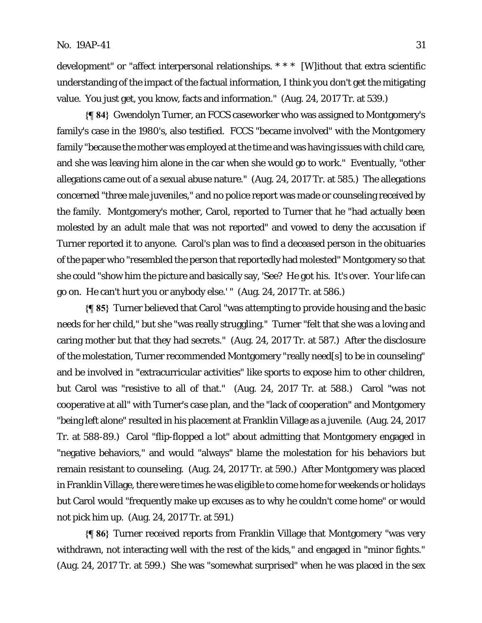development" or "affect interpersonal relationships. \* \* \* [W]ithout that extra scientific understanding of the impact of the factual information, I think you don't get the mitigating value. You just get, you know, facts and information." (Aug. 24, 2017 Tr. at 539.)

**{¶ 84}** Gwendolyn Turner, an FCCS caseworker who was assigned to Montgomery's family's case in the 1980's, also testified. FCCS "became involved" with the Montgomery family "because the mother was employed at the time and was having issues with child care, and she was leaving him alone in the car when she would go to work." Eventually, "other allegations came out of a sexual abuse nature." (Aug. 24, 2017 Tr. at 585.) The allegations concerned "three male juveniles," and no police report was made or counseling received by the family. Montgomery's mother, Carol, reported to Turner that he "had actually been molested by an adult male that was not reported" and vowed to deny the accusation if Turner reported it to anyone. Carol's plan was to find a deceased person in the obituaries of the paper who "resembled the person that reportedly had molested" Montgomery so that she could "show him the picture and basically say, 'See? He got his. It's over. Your life can go on. He can't hurt you or anybody else.' " (Aug. 24, 2017 Tr. at 586.)

**{¶ 85}** Turner believed that Carol "was attempting to provide housing and the basic needs for her child," but she "was really struggling." Turner "felt that she was a loving and caring mother but that they had secrets." (Aug. 24, 2017 Tr. at 587.) After the disclosure of the molestation, Turner recommended Montgomery "really need[s] to be in counseling" and be involved in "extracurricular activities" like sports to expose him to other children, but Carol was "resistive to all of that." (Aug. 24, 2017 Tr. at 588*.*) Carol "was not cooperative at all" with Turner's case plan, and the "lack of cooperation" and Montgomery "being left alone" resulted in his placement at Franklin Village as a juvenile. (Aug. 24, 2017 Tr. at 588-89.) Carol "flip-flopped a lot" about admitting that Montgomery engaged in "negative behaviors," and would "always" blame the molestation for his behaviors but remain resistant to counseling. (Aug. 24, 2017 Tr. at 590.) After Montgomery was placed in Franklin Village, there were times he was eligible to come home for weekends or holidays but Carol would "frequently make up excuses as to why he couldn't come home" or would not pick him up. (Aug. 24, 2017 Tr. at 591.)

**{¶ 86}** Turner received reports from Franklin Village that Montgomery "was very withdrawn, not interacting well with the rest of the kids," and engaged in "minor fights." (Aug. 24, 2017 Tr. at 599.) She was "somewhat surprised" when he was placed in the sex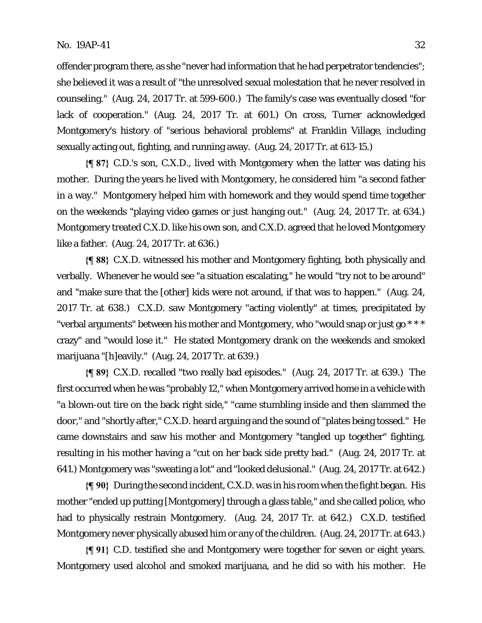offender program there, as she "never had information that he had perpetrator tendencies"; she believed it was a result of "the unresolved sexual molestation that he never resolved in counseling." (Aug. 24, 2017 Tr. at 599-600.) The family's case was eventually closed "for lack of cooperation." (Aug. 24, 2017 Tr. at 601.) On cross, Turner acknowledged Montgomery's history of "serious behavioral problems" at Franklin Village, including sexually acting out, fighting, and running away. (Aug. 24, 2017 Tr. at 613-15.)

**{¶ 87}** C.D.'s son, C.X.D., lived with Montgomery when the latter was dating his mother. During the years he lived with Montgomery, he considered him "a second father in a way." Montgomery helped him with homework and they would spend time together on the weekends "playing video games or just hanging out." (Aug. 24, 2017 Tr. at 634.) Montgomery treated C.X.D. like his own son, and C.X.D. agreed that he loved Montgomery like a father. (Aug. 24, 2017 Tr. at 636.)

**{¶ 88}** C.X.D. witnessed his mother and Montgomery fighting, both physically and verbally. Whenever he would see "a situation escalating," he would "try not to be around" and "make sure that the [other] kids were not around, if that was to happen." (Aug. 24, 2017 Tr. at 638.) C.X.D. saw Montgomery "acting violently" at times, precipitated by "verbal arguments" between his mother and Montgomery, who "would snap or just go \* \* \* crazy" and "would lose it." He stated Montgomery drank on the weekends and smoked marijuana "[h]eavily." (Aug. 24, 2017 Tr. at 639.)

**{¶ 89}** C.X.D. recalled "two really bad episodes." (Aug. 24, 2017 Tr. at 639.) The first occurred when he was "probably 12," when Montgomery arrived home in a vehicle with "a blown-out tire on the back right side," "came stumbling inside and then slammed the door," and "shortly after," C.X.D. heard arguing and the sound of "plates being tossed." He came downstairs and saw his mother and Montgomery "tangled up together" fighting, resulting in his mother having a "cut on her back side pretty bad." (Aug. 24, 2017 Tr. at 641.) Montgomery was "sweating a lot" and "looked delusional." (Aug. 24, 2017 Tr. at 642.)

**{¶ 90}** During the second incident, C.X.D. was in his room when the fight began. His mother "ended up putting [Montgomery] through a glass table," and she called police, who had to physically restrain Montgomery. (Aug. 24, 2017 Tr. at 642.) C.X.D. testified Montgomery never physically abused him or any of the children. (Aug. 24, 2017 Tr. at 643.)

**{¶ 91}** C.D. testified she and Montgomery were together for seven or eight years. Montgomery used alcohol and smoked marijuana, and he did so with his mother. He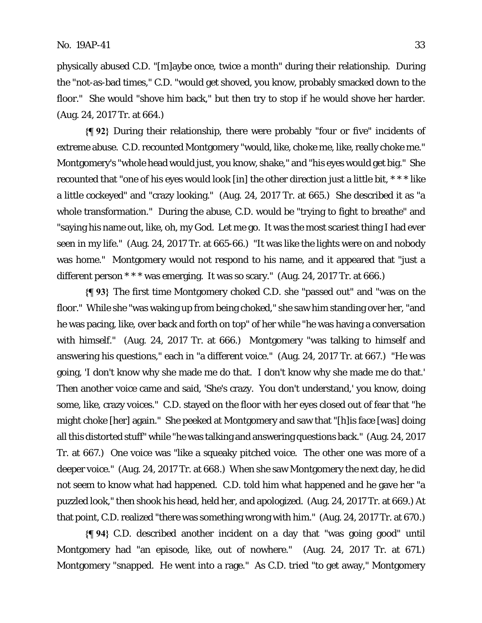physically abused C.D. "[m]aybe once, twice a month" during their relationship. During the "not-as-bad times," C.D. "would get shoved, you know, probably smacked down to the floor." She would "shove him back," but then try to stop if he would shove her harder. (Aug. 24, 2017 Tr. at 664.)

**{¶ 92}** During their relationship, there were probably "four or five" incidents of extreme abuse. C.D. recounted Montgomery "would, like, choke me, like, really choke me." Montgomery's "whole head would just, you know, shake," and "his eyes would get big." She recounted that "one of his eyes would look [in] the other direction just a little bit, \* \* \* like a little cockeyed" and "crazy looking." (Aug. 24, 2017 Tr. at 665.) She described it as "a whole transformation." During the abuse, C.D. would be "trying to fight to breathe" and "saying his name out, like, oh, my God. Let me go. It was the most scariest thing I had ever seen in my life." (Aug. 24, 2017 Tr. at 665-66.) "It was like the lights were on and nobody was home." Montgomery would not respond to his name, and it appeared that "just a different person  $***$  was emerging. It was so scary." (Aug. 24, 2017 Tr. at 666.)

**{¶ 93}** The first time Montgomery choked C.D. she "passed out" and "was on the floor." While she "was waking up from being choked," she saw him standing over her, "and he was pacing, like, over back and forth on top" of her while "he was having a conversation with himself." (Aug. 24, 2017 Tr. at 666.) Montgomery "was talking to himself and answering his questions," each in "a different voice." (Aug. 24, 2017 Tr. at 667.) "He was going, 'I don't know why she made me do that. I don't know why she made me do that.' Then another voice came and said, 'She's crazy. You don't understand,' you know, doing some, like, crazy voices." C.D. stayed on the floor with her eyes closed out of fear that "he might choke [her] again." She peeked at Montgomery and saw that "[h]is face [was] doing all this distorted stuff" while "he was talking and answering questions back." (Aug. 24, 2017 Tr. at 667.) One voice was "like a squeaky pitched voice. The other one was more of a deeper voice." (Aug. 24, 2017 Tr. at 668.) When she saw Montgomery the next day, he did not seem to know what had happened. C.D. told him what happened and he gave her "a puzzled look," then shook his head, held her, and apologized. (Aug. 24, 2017 Tr. at 669.) At that point, C.D. realized "there was something wrong with him." (Aug. 24, 2017 Tr. at 670.)

**{¶ 94}** C.D. described another incident on a day that "was going good" until Montgomery had "an episode, like, out of nowhere." (Aug. 24, 2017 Tr. at 671.) Montgomery "snapped. He went into a rage." As C.D. tried "to get away," Montgomery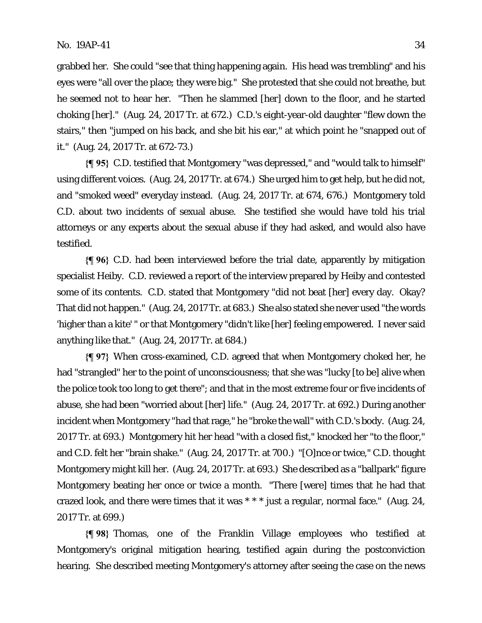grabbed her. She could "see that thing happening again. His head was trembling" and his eyes were "all over the place; they were big." She protested that she could not breathe, but he seemed not to hear her. "Then he slammed [her] down to the floor, and he started choking [her]." (Aug. 24, 2017 Tr. at 672.) C.D.'s eight-year-old daughter "flew down the stairs," then "jumped on his back, and she bit his ear," at which point he "snapped out of it." (Aug. 24, 2017 Tr. at 672-73.)

**{¶ 95}** C.D. testified that Montgomery "was depressed," and "would talk to himself" using different voices. (Aug. 24, 2017 Tr. at 674.) She urged him to get help, but he did not, and "smoked weed" everyday instead. (Aug. 24, 2017 Tr. at 674, 676.) Montgomery told C.D. about two incidents of sexual abuse. She testified she would have told his trial attorneys or any experts about the sexual abuse if they had asked, and would also have testified.

**{¶ 96}** C.D. had been interviewed before the trial date, apparently by mitigation specialist Heiby. C.D. reviewed a report of the interview prepared by Heiby and contested some of its contents. C.D. stated that Montgomery "did not beat [her] every day. Okay? That did not happen." (Aug. 24, 2017 Tr. at 683.) She also stated she never used "the words 'higher than a kite' " or that Montgomery "didn't like [her] feeling empowered. I never said anything like that." (Aug. 24, 2017 Tr. at 684.)

**{¶ 97}** When cross-examined, C.D. agreed that when Montgomery choked her, he had "strangled" her to the point of unconsciousness; that she was "lucky [to be] alive when the police took too long to get there"; and that in the most extreme four or five incidents of abuse, she had been "worried about [her] life." (Aug. 24, 2017 Tr. at 692.) During another incident when Montgomery "had that rage," he "broke the wall" with C.D.'s body. (Aug. 24, 2017 Tr. at 693.) Montgomery hit her head "with a closed fist," knocked her "to the floor," and C.D. felt her "brain shake." (Aug. 24, 2017 Tr. at 700.) "[O]nce or twice," C.D. thought Montgomery might kill her. (Aug. 24, 2017 Tr. at 693.) She described as a "ballpark" figure Montgomery beating her once or twice a month. "There [were] times that he had that crazed look, and there were times that it was \* \* \* just a regular, normal face." (Aug. 24, 2017 Tr. at 699.)

**{¶ 98}** Thomas, one of the Franklin Village employees who testified at Montgomery's original mitigation hearing, testified again during the postconviction hearing. She described meeting Montgomery's attorney after seeing the case on the news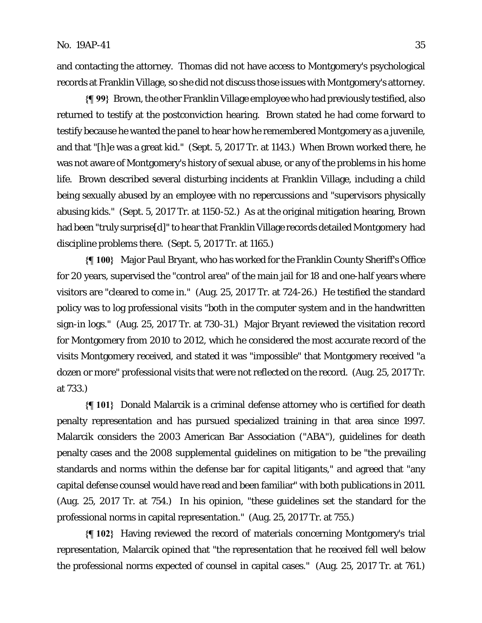and contacting the attorney. Thomas did not have access to Montgomery's psychological records at Franklin Village, so she did not discuss those issues with Montgomery's attorney.

**{¶ 99}** Brown, the other Franklin Village employee who had previously testified, also returned to testify at the postconviction hearing. Brown stated he had come forward to testify because he wanted the panel to hear how he remembered Montgomery as a juvenile, and that "[h]e was a great kid." (Sept. 5, 2017 Tr. at 1143.) When Brown worked there, he was not aware of Montgomery's history of sexual abuse, or any of the problems in his home life. Brown described several disturbing incidents at Franklin Village, including a child being sexually abused by an employee with no repercussions and "supervisors physically abusing kids." (Sept. 5, 2017 Tr. at 1150-52.) As at the original mitigation hearing, Brown had been "truly surprise<sup>[d]"</sup> to hear that Franklin Village records detailed Montgomery had discipline problems there. (Sept. 5, 2017 Tr. at 1165.)

**{¶ 100}** Major Paul Bryant, who has worked for the Franklin County Sheriff's Office for 20 years, supervised the "control area" of the main jail for 18 and one-half years where visitors are "cleared to come in." (Aug. 25, 2017 Tr. at 724-26.) He testified the standard policy was to log professional visits "both in the computer system and in the handwritten sign-in logs." (Aug. 25, 2017 Tr. at 730-31.) Major Bryant reviewed the visitation record for Montgomery from 2010 to 2012, which he considered the most accurate record of the visits Montgomery received, and stated it was "impossible" that Montgomery received "a dozen or more" professional visits that were not reflected on the record. (Aug. 25, 2017 Tr. at 733.)

**{¶ 101}** Donald Malarcik is a criminal defense attorney who is certified for death penalty representation and has pursued specialized training in that area since 1997. Malarcik considers the 2003 American Bar Association ("ABA"), guidelines for death penalty cases and the 2008 supplemental guidelines on mitigation to be "the prevailing standards and norms within the defense bar for capital litigants," and agreed that "any capital defense counsel would have read and been familiar" with both publications in 2011. (Aug. 25, 2017 Tr. at 754.) In his opinion, "these guidelines set the standard for the professional norms in capital representation." (Aug. 25, 2017 Tr. at 755.)

**{¶ 102}** Having reviewed the record of materials concerning Montgomery's trial representation, Malarcik opined that "the representation that he received fell well below the professional norms expected of counsel in capital cases." (Aug. 25, 2017 Tr. at 761.)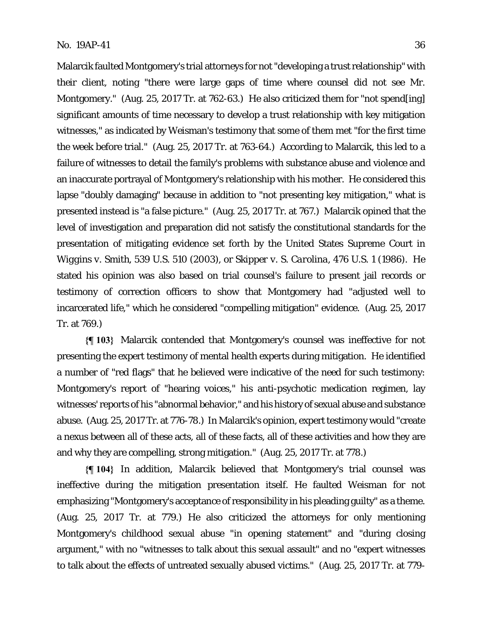Malarcik faulted Montgomery's trial attorneys for not "developing a trust relationship" with their client, noting "there were large gaps of time where counsel did not see Mr. Montgomery." (Aug. 25, 2017 Tr. at 762-63.) He also criticized them for "not spend[ing] significant amounts of time necessary to develop a trust relationship with key mitigation witnesses," as indicated by Weisman's testimony that some of them met "for the first time the week before trial." (Aug. 25, 2017 Tr. at 763-64.) According to Malarcik, this led to a failure of witnesses to detail the family's problems with substance abuse and violence and an inaccurate portrayal of Montgomery's relationship with his mother. He considered this lapse "doubly damaging" because in addition to "not presenting key mitigation," what is presented instead is "a false picture." (Aug. 25, 2017 Tr. at 767.) Malarcik opined that the level of investigation and preparation did not satisfy the constitutional standards for the presentation of mitigating evidence set forth by the United States Supreme Court in *Wiggins v. Smith*, 539 U.S. 510 (2003), or *Skipper v. S. Carolina*, 476 U.S. 1 (1986). He stated his opinion was also based on trial counsel's failure to present jail records or testimony of correction officers to show that Montgomery had "adjusted well to incarcerated life," which he considered "compelling mitigation" evidence. (Aug. 25, 2017 Tr. at 769.)

**{¶ 103}** Malarcik contended that Montgomery's counsel was ineffective for not presenting the expert testimony of mental health experts during mitigation. He identified a number of "red flags" that he believed were indicative of the need for such testimony: Montgomery's report of "hearing voices," his anti-psychotic medication regimen, lay witnesses' reports of his "abnormal behavior," and his history of sexual abuse and substance abuse. (Aug. 25, 2017 Tr. at 776-78.) In Malarcik's opinion, expert testimony would "create a nexus between all of these acts, all of these facts, all of these activities and how they are and why they are compelling, strong mitigation." (Aug. 25, 2017 Tr. at 778.)

**{¶ 104}** In addition, Malarcik believed that Montgomery's trial counsel was ineffective during the mitigation presentation itself. He faulted Weisman for not emphasizing "Montgomery's acceptance of responsibility in his pleading guilty" as a theme. (Aug. 25, 2017 Tr. at 779.) He also criticized the attorneys for only mentioning Montgomery's childhood sexual abuse "in opening statement" and "during closing argument," with no "witnesses to talk about this sexual assault" and no "expert witnesses to talk about the effects of untreated sexually abused victims." (Aug. 25, 2017 Tr. at 779-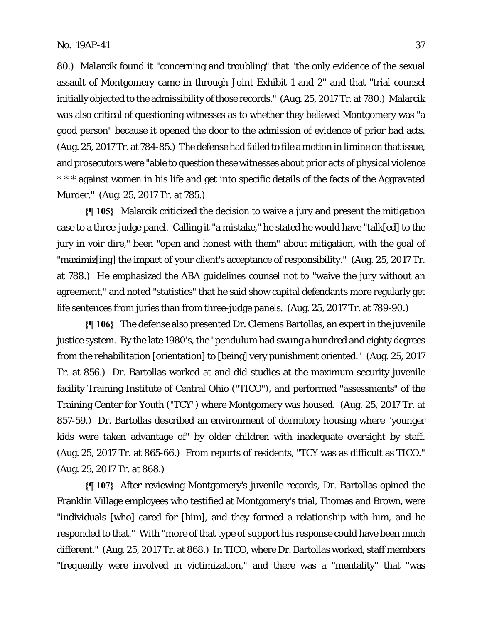80.) Malarcik found it "concerning and troubling" that "the only evidence of the sexual assault of Montgomery came in through Joint Exhibit 1 and 2" and that "trial counsel initially objected to the admissibility of those records." (Aug. 25, 2017 Tr. at 780.) Malarcik was also critical of questioning witnesses as to whether they believed Montgomery was "a good person" because it opened the door to the admission of evidence of prior bad acts. (Aug. 25, 2017 Tr. at 784-85.) The defense had failed to file a motion in limine on that issue, and prosecutors were "able to question these witnesses about prior acts of physical violence \* \* \* against women in his life and get into specific details of the facts of the Aggravated Murder." (Aug. 25, 2017 Tr. at 785.)

**{¶ 105}** Malarcik criticized the decision to waive a jury and present the mitigation case to a three-judge panel. Calling it "a mistake," he stated he would have "talk[ed] to the jury in voir dire," been "open and honest with them" about mitigation, with the goal of "maximiz[ing] the impact of your client's acceptance of responsibility." (Aug. 25, 2017 Tr. at 788.) He emphasized the ABA guidelines counsel not to "waive the jury without an agreement," and noted "statistics" that he said show capital defendants more regularly get life sentences from juries than from three-judge panels. (Aug. 25, 2017 Tr. at 789-90.)

**{¶ 106}** The defense also presented Dr. Clemens Bartollas, an expert in the juvenile justice system. By the late 1980's, the "pendulum had swung a hundred and eighty degrees from the rehabilitation [orientation] to [being] very punishment oriented." (Aug. 25, 2017 Tr. at 856.) Dr. Bartollas worked at and did studies at the maximum security juvenile facility Training Institute of Central Ohio ("TICO"), and performed "assessments" of the Training Center for Youth ("TCY") where Montgomery was housed. (Aug. 25, 2017 Tr. at 857-59.) Dr. Bartollas described an environment of dormitory housing where "younger kids were taken advantage of" by older children with inadequate oversight by staff. (Aug. 25, 2017 Tr. at 865-66.) From reports of residents, "TCY was as difficult as TICO." (Aug. 25, 2017 Tr. at 868.)

**{¶ 107}** After reviewing Montgomery's juvenile records, Dr. Bartollas opined the Franklin Village employees who testified at Montgomery's trial, Thomas and Brown, were "individuals [who] cared for [him], and they formed a relationship with him, and he responded to that." With "more of that type of support his response could have been much different." (Aug. 25, 2017 Tr. at 868.) In TICO, where Dr. Bartollas worked, staff members "frequently were involved in victimization," and there was a "mentality" that "was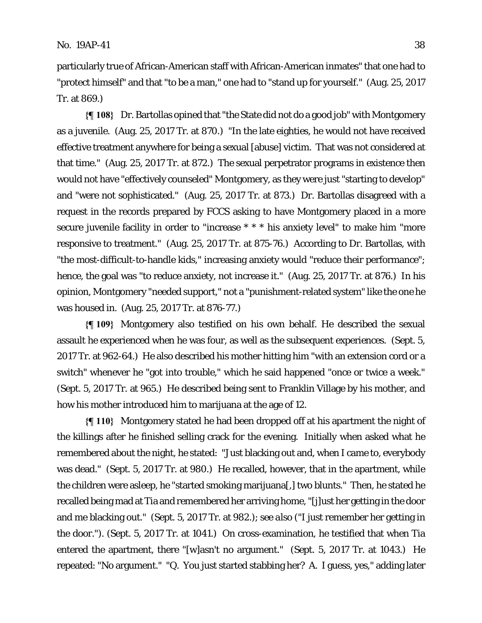particularly true of African-American staff with African-American inmates" that one had to "protect himself" and that "to be a man," one had to "stand up for yourself." (Aug. 25, 2017 Tr. at 869.)

**{¶ 108}** Dr. Bartollas opined that "the State did not do a good job" with Montgomery as a juvenile. (Aug. 25, 2017 Tr. at 870.) "In the late eighties, he would not have received effective treatment anywhere for being a sexual [abuse] victim. That was not considered at that time." (Aug. 25, 2017 Tr. at 872.) The sexual perpetrator programs in existence then would not have "effectively counseled" Montgomery, as they were just "starting to develop" and "were not sophisticated." (Aug. 25, 2017 Tr. at 873.) Dr. Bartollas disagreed with a request in the records prepared by FCCS asking to have Montgomery placed in a more secure juvenile facility in order to "increase \* \* \* his anxiety level" to make him "more responsive to treatment." (Aug. 25, 2017 Tr. at 875-76.) According to Dr. Bartollas, with "the most-difficult-to-handle kids," increasing anxiety would "reduce their performance"; hence, the goal was "to reduce anxiety, not increase it." (Aug. 25, 2017 Tr. at 876.) In his opinion, Montgomery "needed support," not a "punishment-related system" like the one he was housed in. (Aug. 25, 2017 Tr. at 876-77.)

**{¶ 109}** Montgomery also testified on his own behalf. He described the sexual assault he experienced when he was four, as well as the subsequent experiences. (Sept. 5, 2017 Tr. at 962-64.) He also described his mother hitting him "with an extension cord or a switch" whenever he "got into trouble," which he said happened "once or twice a week." (Sept. 5, 2017 Tr. at 965.) He described being sent to Franklin Village by his mother, and how his mother introduced him to marijuana at the age of 12.

**{¶ 110}** Montgomery stated he had been dropped off at his apartment the night of the killings after he finished selling crack for the evening. Initially when asked what he remembered about the night, he stated: "Just blacking out and, when I came to, everybody was dead." (Sept. 5, 2017 Tr. at 980.) He recalled, however, that in the apartment, while the children were asleep, he "started smoking marijuana[,] two blunts." Then, he stated he recalled being mad at Tia and remembered her arriving home, "[j]ust her getting in the door and me blacking out." (Sept. 5, 2017 Tr. at 982.); *see also* ("I just remember her getting in the door."). (Sept. 5, 2017 Tr. at 1041.) On cross-examination, he testified that when Tia entered the apartment, there "[w]asn't no argument." (Sept. 5, 2017 Tr. at 1043.) He repeated: "No argument." "Q*.* You just started stabbing her? A. I guess, yes," adding later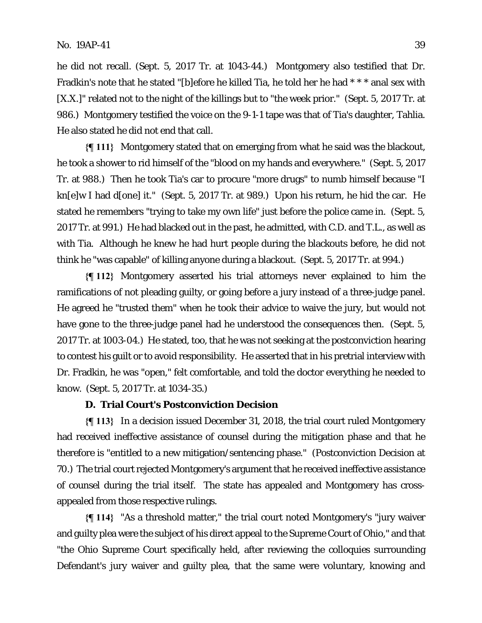he did not recall. (Sept. 5, 2017 Tr. at 1043-44.) Montgomery also testified that Dr. Fradkin's note that he stated "[b]efore he killed Tia, he told her he had \* \* \* anal sex with [X.X.]" related not to the night of the killings but to "the week prior." (Sept. 5, 2017 Tr. at 986.) Montgomery testified the voice on the 9-1-1 tape was that of Tia's daughter, Tahlia. He also stated he did not end that call.

**{¶ 111}** Montgomery stated that on emerging from what he said was the blackout, he took a shower to rid himself of the "blood on my hands and everywhere." (Sept. 5, 2017 Tr. at 988.) Then he took Tia's car to procure "more drugs" to numb himself because "I kn[e]w I had d[one] it." (Sept. 5, 2017 Tr. at 989.) Upon his return, he hid the car. He stated he remembers "trying to take my own life" just before the police came in. (Sept. 5, 2017 Tr. at 991.) He had blacked out in the past, he admitted, with C.D. and T.L., as well as with Tia. Although he knew he had hurt people during the blackouts before, he did not think he "was capable" of killing anyone during a blackout. (Sept. 5, 2017 Tr. at 994.)

**{¶ 112}** Montgomery asserted his trial attorneys never explained to him the ramifications of not pleading guilty, or going before a jury instead of a three-judge panel. He agreed he "trusted them" when he took their advice to waive the jury, but would not have gone to the three-judge panel had he understood the consequences then. (Sept. 5, 2017 Tr. at 1003-04.) He stated, too, that he was not seeking at the postconviction hearing to contest his guilt or to avoid responsibility. He asserted that in his pretrial interview with Dr. Fradkin, he was "open," felt comfortable, and told the doctor everything he needed to know. (Sept. 5, 2017 Tr. at 1034-35.)

#### **D. Trial Court's Postconviction Decision**

**{¶ 113}** In a decision issued December 31, 2018, the trial court ruled Montgomery had received ineffective assistance of counsel during the mitigation phase and that he therefore is "entitled to a new mitigation/sentencing phase." (Postconviction Decision at 70.) The trial court rejected Montgomery's argument that he received ineffective assistance of counsel during the trial itself.The state has appealed and Montgomery has crossappealed from those respective rulings.

**{¶ 114}** "As a threshold matter," the trial court noted Montgomery's "jury waiver and guilty plea were the subject of his direct appeal to the Supreme Court of Ohio," and that "the Ohio Supreme Court specifically held, after reviewing the colloquies surrounding Defendant's jury waiver and guilty plea, that the same were voluntary, knowing and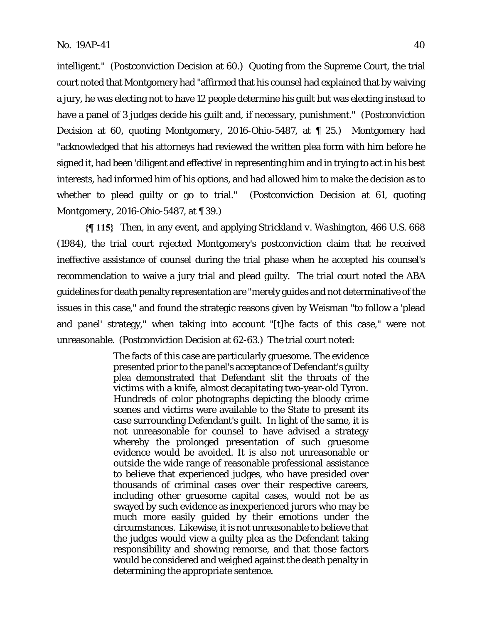intelligent." (Postconviction Decision at 60.) Quoting from the Supreme Court, the trial court noted that Montgomery had "affirmed that his counsel had explained that by waiving a jury, he was electing not to have 12 people determine his guilt but was electing instead to have a panel of 3 judges decide his guilt and, if necessary, punishment." (Postconviction Decision at 60, quoting *Montgomery*, 2016-Ohio-5487, at ¶ 25.) Montgomery had "acknowledged that his attorneys had reviewed the written plea form with him before he signed it, had been 'diligent and effective' in representing him and in trying to act in his best interests, had informed him of his options, and had allowed him to make the decision as to whether to plead guilty or go to trial." (Postconviction Decision at 61, quoting *Montgomery*, 2016-Ohio-5487, at ¶ 39.)

**{¶ 115}** Then, in any event, and applying *Strickland v. Washington*, 466 U.S. 668 (1984), the trial court rejected Montgomery's postconviction claim that he received ineffective assistance of counsel during the trial phase when he accepted his counsel's recommendation to waive a jury trial and plead guilty. The trial court noted the ABA guidelines for death penalty representation are "merely guides and not determinative of the issues in this case," and found the strategic reasons given by Weisman "to follow a 'plead and panel' strategy," when taking into account "[t]he facts of this case," were not unreasonable. (Postconviction Decision at 62-63.) The trial court noted:

> The facts of this case are particularly gruesome. The evidence presented prior to the panel's acceptance of Defendant's guilty plea demonstrated that Defendant slit the throats of the victims with a knife, almost decapitating two-year-old Tyron. Hundreds of color photographs depicting the bloody crime scenes and victims were available to the State to present its case surrounding Defendant's guilt. In light of the same, it is not unreasonable for counsel to have advised a strategy whereby the prolonged presentation of such gruesome evidence would be avoided. It is also not unreasonable or outside the wide range of reasonable professional assistance to believe that experienced judges, who have presided over thousands of criminal cases over their respective careers, including other gruesome capital cases, would not be as swayed by such evidence as inexperienced jurors who may be much more easily guided by their emotions under the circumstances. Likewise, it is not unreasonable to believe that the judges would view a guilty plea as the Defendant taking responsibility and showing remorse, and that those factors would be considered and weighed against the death penalty in determining the appropriate sentence.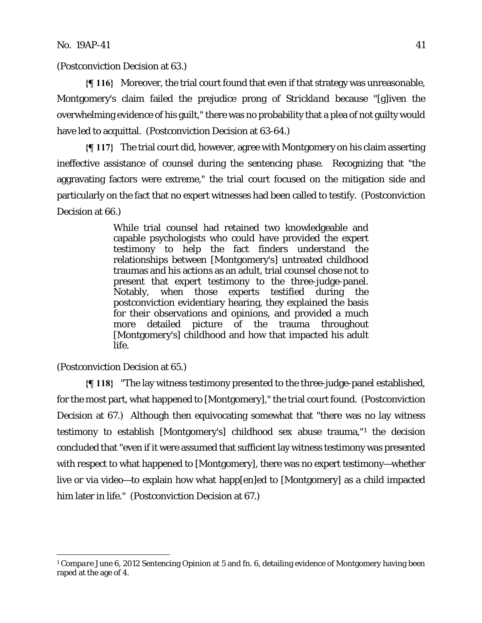(Postconviction Decision at 63.)

**{¶ 116}** Moreover, the trial court found that even if that strategy was unreasonable, Montgomery's claim failed the prejudice prong of *Strickland* because "[g]iven the overwhelming evidence of his guilt," there was no probability that a plea of not guilty would have led to acquittal. (Postconviction Decision at 63-64.)

**{¶ 117}** The trial court did, however, agree with Montgomery on his claim asserting ineffective assistance of counsel during the sentencing phase. Recognizing that "the aggravating factors were extreme," the trial court focused on the mitigation side and particularly on the fact that no expert witnesses had been called to testify. (Postconviction Decision at 66.)

> While trial counsel had retained two knowledgeable and capable psychologists who could have provided the expert testimony to help the fact finders understand the relationships between [Montgomery's] untreated childhood traumas and his actions as an adult, trial counsel chose not to present that expert testimony to the three-judge-panel. Notably, when those experts testified during the postconviction evidentiary hearing, they explained the basis for their observations and opinions, and provided a much more detailed picture of the trauma throughout [Montgomery's] childhood and how that impacted his adult life.

(Postconviction Decision at 65.)

<u>.</u>

**{¶ 118}** "The lay witness testimony presented to the three-judge-panel established, for the most part, what happened to [Montgomery]," the trial court found. (Postconviction Decision at 67.) Although then equivocating somewhat that "there was no lay witness testimony to establish [Montgomery's] childhood sex abuse trauma,"1 the decision concluded that "even if it were assumed that sufficient lay witness testimony was presented with respect to what happened to [Montgomery], there was no expert testimony—whether live or via video—to explain how what happ[en]ed to [Montgomery] as a child impacted him later in life." (Postconviction Decision at 67.)

<sup>1</sup> *Compare* June 6, 2012 Sentencing Opinion at 5 and fn. 6, detailing evidence of Montgomery having been raped at the age of 4.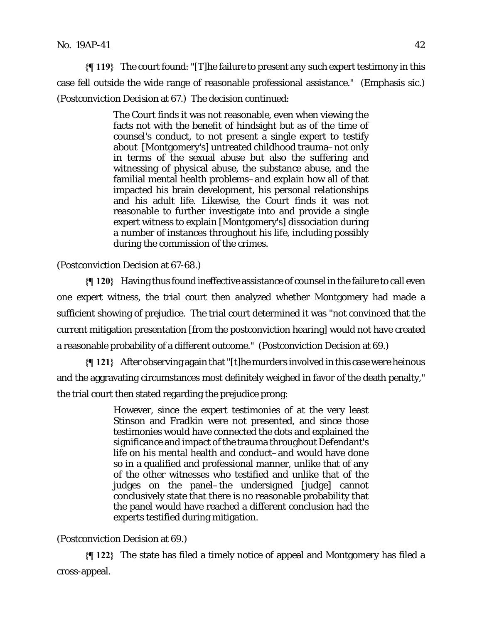**{¶ 119}** The court found: "[T]he failure to present *any* such expert testimony in this case fell outside the wide range of reasonable professional assistance." (Emphasis sic.) (Postconviction Decision at 67.) The decision continued:

> The Court finds it was not reasonable, even when viewing the facts not with the benefit of hindsight but as of the time of counsel's conduct, to not present a single expert to testify about [Montgomery's] untreated childhood trauma–not only in terms of the sexual abuse but also the suffering and witnessing of physical abuse, the substance abuse, and the familial mental health problems–and explain how all of that impacted his brain development, his personal relationships and his adult life. Likewise, the Court finds it was not reasonable to further investigate into and provide a single expert witness to explain [Montgomery's] dissociation during a number of instances throughout his life, including possibly during the commission of the crimes.

(Postconviction Decision at 67-68.)

**{¶ 120}** Having thus found ineffective assistance of counsel in the failure to call even one expert witness, the trial court then analyzed whether Montgomery had made a sufficient showing of prejudice. The trial court determined it was "not convinced that the current mitigation presentation [from the postconviction hearing] would not have created a reasonable probability of a different outcome." (Postconviction Decision at 69.)

**{¶ 121}** After observing again that "[t]he murders involved in this case were heinous and the aggravating circumstances most definitely weighed in favor of the death penalty," the trial court then stated regarding the prejudice prong:

> However, since the expert testimonies of at the very least Stinson and Fradkin were not presented, and since those testimonies would have connected the dots and explained the significance and impact of the trauma throughout Defendant's life on his mental health and conduct–and would have done so in a qualified and professional manner, unlike that of any of the other witnesses who testified and unlike that of the judges on the panel–the undersigned [judge] cannot conclusively state that there is no reasonable probability that the panel would have reached a different conclusion had the experts testified during mitigation.

# (Postconviction Decision at 69.)

**{¶ 122}** The state has filed a timely notice of appeal and Montgomery has filed a cross-appeal.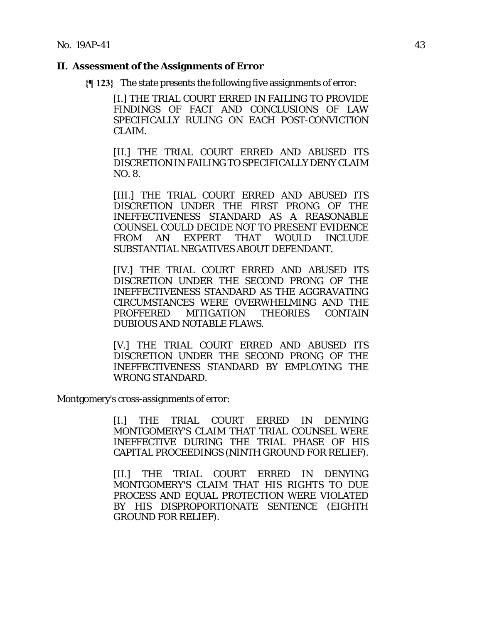# **II. Assessment of the Assignments of Error**

**{¶ 123}** The state presents the following five assignments of error:

[I.] THE TRIAL COURT ERRED IN FAILING TO PROVIDE FINDINGS OF FACT AND CONCLUSIONS OF LAW SPECIFICALLY RULING ON EACH POST-CONVICTION CLAIM.

[II.] THE TRIAL COURT ERRED AND ABUSED ITS DISCRETION IN FAILING TO SPECIFICALLY DENY CLAIM NO. 8.

[III.] THE TRIAL COURT ERRED AND ABUSED ITS DISCRETION UNDER THE FIRST PRONG OF THE INEFFECTIVENESS STANDARD AS A REASONABLE COUNSEL COULD DECIDE NOT TO PRESENT EVIDENCE FROM AN EXPERT THAT WOULD INCLUDE SUBSTANTIAL NEGATIVES ABOUT DEFENDANT.

[IV.] THE TRIAL COURT ERRED AND ABUSED ITS DISCRETION UNDER THE SECOND PRONG OF THE INEFFECTIVENESS STANDARD AS THE AGGRAVATING CIRCUMSTANCES WERE OVERWHELMING AND THE PROFFERED MITIGATION THEORIES CONTAIN DUBIOUS AND NOTABLE FLAWS.

[V.] THE TRIAL COURT ERRED AND ABUSED ITS DISCRETION UNDER THE SECOND PRONG OF THE INEFFECTIVENESS STANDARD BY EMPLOYING THE WRONG STANDARD.

Montgomery's cross-assignments of error:

[I.] THE TRIAL COURT ERRED IN DENYING MONTGOMERY'S CLAIM THAT TRIAL COUNSEL WERE INEFFECTIVE DURING THE TRIAL PHASE OF HIS CAPITAL PROCEEDINGS (NINTH GROUND FOR RELIEF).

[II.] THE TRIAL COURT ERRED IN DENYING MONTGOMERY'S CLAIM THAT HIS RIGHTS TO DUE PROCESS AND EQUAL PROTECTION WERE VIOLATED BY HIS DISPROPORTIONATE SENTENCE (EIGHTH GROUND FOR RELIEF).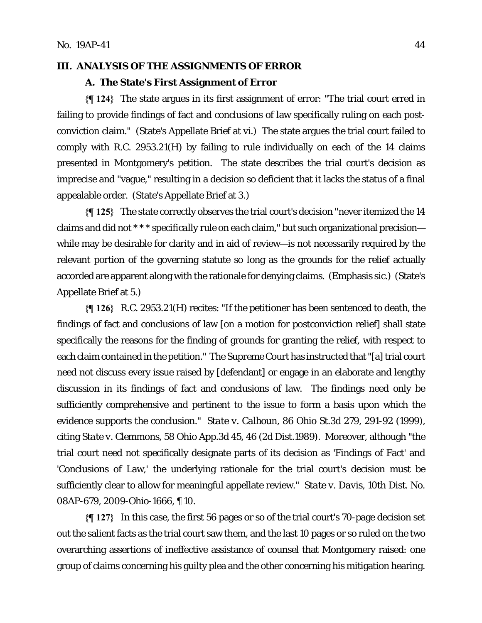# **III. ANALYSIS OF THE ASSIGNMENTS OF ERROR**

#### **A. The State's First Assignment of Error**

**{¶ 124}** The state argues in its first assignment of error: "The trial court erred in failing to provide findings of fact and conclusions of law specifically ruling on each postconviction claim." (State's Appellate Brief at vi.) The state argues the trial court failed to comply with R.C. 2953.21(H) by failing to rule individually on each of the 14 claims presented in Montgomery's petition. The state describes the trial court's decision as imprecise and "vague," resulting in a decision so deficient that it lacks the status of a final appealable order. (State's Appellate Brief at 3.)

**{¶ 125}** The state correctly observes the trial court's decision "never itemized the 14 claims and did not \* \* \* *specifically* rule on *each* claim," but such organizational precision while may be desirable for clarity and in aid of review—is not necessarily required by the relevant portion of the governing statute so long as the grounds for the relief actually accorded are apparent along with the rationale for denying claims. (Emphasis sic.) (State's Appellate Brief at 5.)

**{¶ 126}** R.C. 2953.21(H) recites: "If the petitioner has been sentenced to death, the findings of fact and conclusions of law [on a motion for postconviction relief] shall state specifically the reasons for the finding of grounds for granting the relief, with respect to each claim contained in the petition." The Supreme Court has instructed that "[a] trial court need not discuss every issue raised by [defendant] or engage in an elaborate and lengthy discussion in its findings of fact and conclusions of law. The findings need only be sufficiently comprehensive and pertinent to the issue to form a basis upon which the evidence supports the conclusion." *State v. Calhoun*, 86 Ohio St.3d 279, 291-92 (1999), citing *State v. Clemmons*, 58 Ohio App.3d 45, 46 (2d Dist.1989). Moreover, although "the trial court need not specifically designate parts of its decision as 'Findings of Fact' and 'Conclusions of Law,' the underlying rationale for the trial court's decision must be sufficiently clear to allow for meaningful appellate review." *State v. Davis*, 10th Dist. No. 08AP-679, 2009-Ohio-1666, ¶ 10.

**{¶ 127}** In this case, the first 56 pages or so of the trial court's 70-page decision set out the salient facts as the trial court saw them, and the last 10 pages or so ruled on the two overarching assertions of ineffective assistance of counsel that Montgomery raised: one group of claims concerning his guilty plea and the other concerning his mitigation hearing.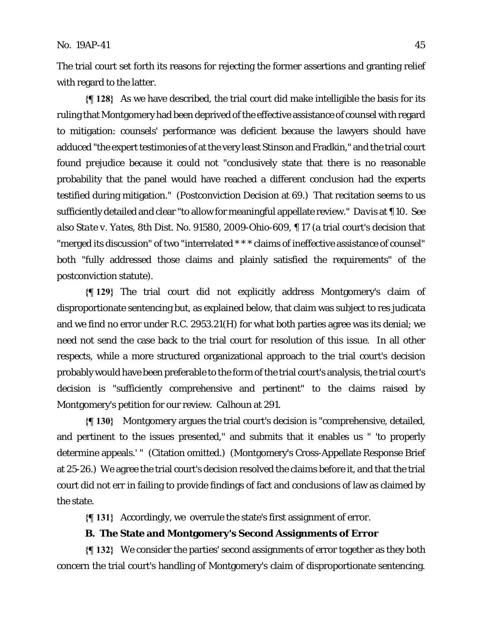The trial court set forth its reasons for rejecting the former assertions and granting relief with regard to the latter.

**{¶ 128}** As we have described, the trial court did make intelligible the basis for its ruling that Montgomery had been deprived of the effective assistance of counsel with regard to mitigation: counsels' performance was deficient because the lawyers should have adduced "the expert testimonies of at the very least Stinson and Fradkin," and the trial court found prejudice because it could not "conclusively state that there is no reasonable probability that the panel would have reached a different conclusion had the experts testified during mitigation." (Postconviction Decision at 69.) That recitation seems to us sufficiently detailed and clear "to allow for meaningful appellate review." *Davis* at ¶ 10. *See also State v. Yates*, 8th Dist. No. 91580, 2009-Ohio-609, ¶ 17 (a trial court's decision that "merged its discussion" of two "interrelated \* \* \* claims of ineffective assistance of counsel" both "fully addressed those claims and plainly satisfied the requirements" of the postconviction statute).

**{¶ 129}** The trial court did not explicitly address Montgomery's claim of disproportionate sentencing but, as explained below, that claim was subject to res judicata and we find no error under R.C. 2953.21(H) for what both parties agree was its denial; we need not send the case back to the trial court for resolution of this issue. In all other respects, while a more structured organizational approach to the trial court's decision probably would have been preferable to the form of the trial court's analysis, the trial court's decision is "sufficiently comprehensive and pertinent" to the claims raised by Montgomery's petition for our review. *Calhoun* at 291.

**{¶ 130}** Montgomery argues the trial court's decision is "comprehensive, detailed, and pertinent to the issues presented," and submits that it enables us " 'to properly determine appeals.' " (Citation omitted.) (Montgomery's Cross-Appellate Response Brief at 25-26.) We agree the trial court's decision resolved the claims before it, and that the trial court did not err in failing to provide findings of fact and conclusions of law as claimed by the state.

**{¶ 131}** Accordingly, we overrule the state's first assignment of error.

# **B. The State and Montgomery's Second Assignments of Error**

**{¶ 132}** We consider the parties' second assignments of error together as they both concern the trial court's handling of Montgomery's claim of disproportionate sentencing.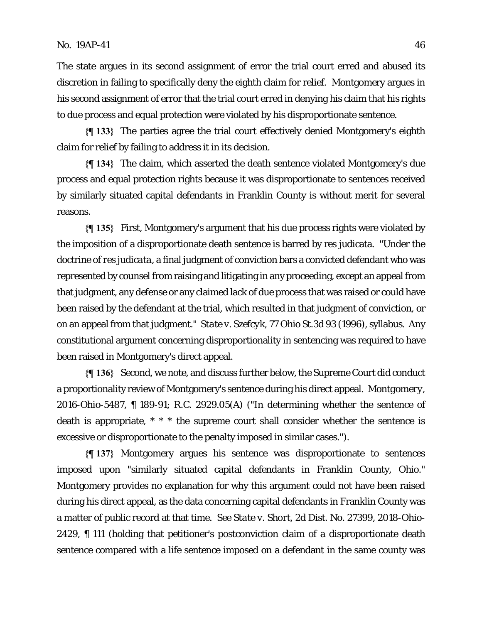The state argues in its second assignment of error the trial court erred and abused its discretion in failing to specifically deny the eighth claim for relief. Montgomery argues in his second assignment of error that the trial court erred in denying his claim that his rights to due process and equal protection were violated by his disproportionate sentence.

**{¶ 133}** The parties agree the trial court effectively denied Montgomery's eighth claim for relief by failing to address it in its decision.

**{¶ 134}** The claim, which asserted the death sentence violated Montgomery's due process and equal protection rights because it was disproportionate to sentences received by similarly situated capital defendants in Franklin County is without merit for several reasons.

**{¶ 135}** First, Montgomery's argument that his due process rights were violated by the imposition of a disproportionate death sentence is barred by res judicata. "Under the doctrine of *res judicata*, a final judgment of conviction bars a convicted defendant who was represented by counsel from raising and litigating in any proceeding, except an appeal from that judgment, any defense or any claimed lack of due process that was raised or could have been raised by the defendant at the trial, which resulted in that judgment of conviction, or on an appeal from that judgment." *State v. Szefcyk*, 77 Ohio St.3d 93 (1996), syllabus. Any constitutional argument concerning disproportionality in sentencing was required to have been raised in Montgomery's direct appeal.

**{¶ 136}** Second, we note, and discuss further below, the Supreme Court did conduct a proportionality review of Montgomery's sentence during his direct appeal. *Montgomery*, 2016-Ohio-5487, ¶ 189-91; R.C. 2929.05(A) ("In determining whether the sentence of death is appropriate, \* \* \* the supreme court shall consider whether the sentence is excessive or disproportionate to the penalty imposed in similar cases.").

**{¶ 137}** Montgomery argues his sentence was disproportionate to sentences imposed upon "similarly situated capital defendants in Franklin County, Ohio." Montgomery provides no explanation for why this argument could not have been raised during his direct appeal, as the data concerning capital defendants in Franklin County was a matter of public record at that time. *See State v. Short*, 2d Dist. No. 27399, 2018-Ohio-2429, ¶ 111 (holding that petitioner's postconviction claim of a disproportionate death sentence compared with a life sentence imposed on a defendant in the same county was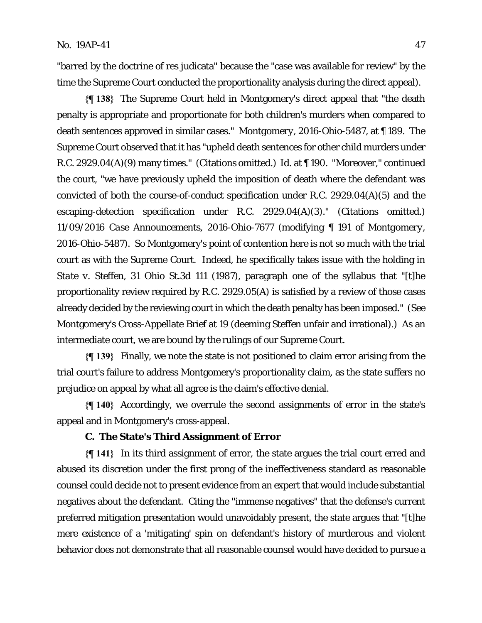"barred by the doctrine of res judicata" because the "case was available for review" by the time the Supreme Court conducted the proportionality analysis during the direct appeal).

**{¶ 138}** The Supreme Court held in Montgomery's direct appeal that "the death penalty is appropriate and proportionate for both children's murders when compared to death sentences approved in similar cases." *Montgomery*, 2016-Ohio-5487, at ¶ 189. The Supreme Court observed that it has "upheld death sentences for other child murders under R.C. 2929.04(A)(9) many times." (Citations omitted.) *Id.* at ¶ 190. "Moreover," continued the court, "we have previously upheld the imposition of death where the defendant was convicted of both the course-of-conduct specification under R.C. 2929.04(A)(5) and the escaping-detection specification under R.C. 2929.04(A)(3)." (Citations omitted.) *11/09/2016 Case Announcements*, 2016-Ohio-7677 (modifying ¶ 191 of *Montgomery*, 2016-Ohio-5487). So Montgomery's point of contention here is not so much with the trial court as with the Supreme Court. Indeed, he specifically takes issue with the holding in *State v. Steffen*, 31 Ohio St.3d 111 (1987), paragraph one of the syllabus that "[t]he proportionality review required by R.C. 2929.05(A) is satisfied by a review of those cases already decided by the reviewing court in which the death penalty has been imposed." (*See*  Montgomery's Cross-Appellate Brief at 19 (deeming *Steffen* unfair and irrational).) As an intermediate court, we are bound by the rulings of our Supreme Court.

**{¶ 139}** Finally, we note the state is not positioned to claim error arising from the trial court's failure to address Montgomery's proportionality claim, as the state suffers no prejudice on appeal by what all agree is the claim's effective denial.

**{¶ 140}** Accordingly, we overrule the second assignments of error in the state's appeal and in Montgomery's cross-appeal.

# **C. The State's Third Assignment of Error**

**{¶ 141}** In its third assignment of error, the state argues the trial court erred and abused its discretion under the first prong of the ineffectiveness standard as reasonable counsel could decide not to present evidence from an expert that would include substantial negatives about the defendant. Citing the "immense negatives" that the defense's current preferred mitigation presentation would unavoidably present, the state argues that "[t]he mere existence of a 'mitigating' spin on defendant's history of murderous and violent behavior does not demonstrate that all reasonable counsel would have decided to pursue a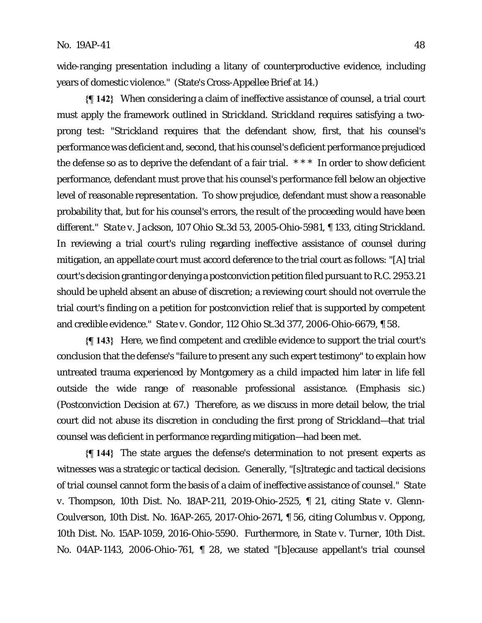wide-ranging presentation including a litany of counterproductive evidence, including years of domestic violence." (State's Cross-Appellee Brief at 14.)

**{¶ 142}** When considering a claim of ineffective assistance of counsel, a trial court must apply the framework outlined in *Strickland. Strickland* requires satisfying a twoprong test: "*Strickland* requires that the defendant show, first, that his counsel's performance was deficient and, second, that his counsel's deficient performance prejudiced the defense so as to deprive the defendant of a fair trial. \* \* \* In order to show deficient performance, defendant must prove that his counsel's performance fell below an objective level of reasonable representation. To show prejudice, defendant must show a reasonable probability that, but for his counsel's errors, the result of the proceeding would have been different." *State v. Jackson*, 107 Ohio St.3d 53, 2005-Ohio-5981, ¶ 133, citing *Strickland*. In reviewing a trial court's ruling regarding ineffective assistance of counsel during mitigation, an appellate court must accord deference to the trial court as follows: "[A] trial court's decision granting or denying a postconviction petition filed pursuant to R.C. 2953.21 should be upheld absent an abuse of discretion; a reviewing court should not overrule the trial court's finding on a petition for postconviction relief that is supported by competent and credible evidence." *State v. Gondor*, 112 Ohio St.3d 377, 2006-Ohio-6679, ¶ 58.

**{¶ 143}** Here, we find competent and credible evidence to support the trial court's conclusion that the defense's "failure to present *any* such expert testimony" to explain how untreated trauma experienced by Montgomery as a child impacted him later in life fell outside the wide range of reasonable professional assistance. (Emphasis sic.) (Postconviction Decision at 67.) Therefore, as we discuss in more detail below, the trial court did not abuse its discretion in concluding the first prong of *Strickland*—that trial counsel was deficient in performance regarding mitigation—had been met.

**{¶ 144}** The state argues the defense's determination to not present experts as witnesses was a strategic or tactical decision. Generally, "[s]trategic and tactical decisions of trial counsel cannot form the basis of a claim of ineffective assistance of counsel." *State v. Thompson*, 10th Dist. No. 18AP-211, 2019-Ohio-2525, ¶ 21, citing *State v. Glenn-Coulverson*, 10th Dist. No. 16AP-265, 2017-Ohio-2671, ¶ 56, citing *Columbus v. Oppong*, 10th Dist. No. 15AP-1059, 2016-Ohio-5590. Furthermore, in *State v. Turner*, 10th Dist. No. 04AP-1143, 2006-Ohio-761, ¶ 28, we stated "[b]ecause appellant's trial counsel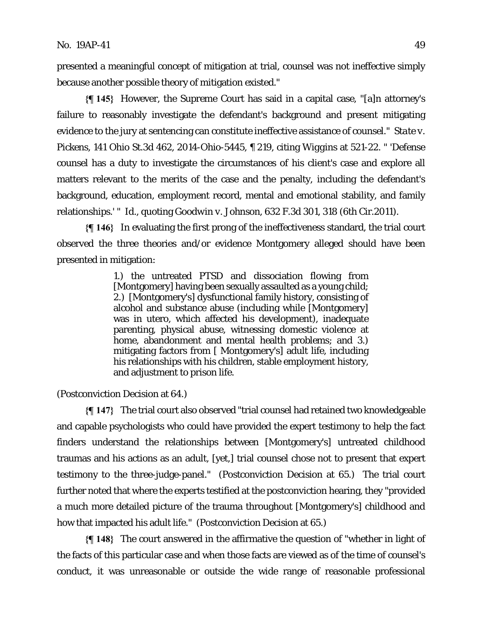presented a meaningful concept of mitigation at trial, counsel was not ineffective simply because another possible theory of mitigation existed."

**{¶ 145}** However, the Supreme Court has said in a capital case, "[a]n attorney's failure to reasonably investigate the defendant's background and present mitigating evidence to the jury at sentencing can constitute ineffective assistance of counsel." *State v. Pickens*, 141 Ohio St.3d 462, 2014-Ohio-5445, ¶ 219, citing *Wiggins* at 521-22. " 'Defense counsel has a duty to investigate the circumstances of his client's case and explore all matters relevant to the merits of the case and the penalty, including the defendant's background, education, employment record, mental and emotional stability, and family relationships.' " *Id.*, quoting *Goodwin v. Johnson*, 632 F.3d 301, 318 (6th Cir.2011).

**{¶ 146}** In evaluating the first prong of the ineffectiveness standard, the trial court observed the three theories and/or evidence Montgomery alleged should have been presented in mitigation:

> 1.) the untreated PTSD and dissociation flowing from [Montgomery] having been sexually assaulted as a young child; 2.) [Montgomery's] dysfunctional family history, consisting of alcohol and substance abuse (including while [Montgomery] was in utero, which affected his development), inadequate parenting, physical abuse, witnessing domestic violence at home, abandonment and mental health problems; and 3.) mitigating factors from [ Montgomery's] adult life, including his relationships with his children, stable employment history, and adjustment to prison life.

(Postconviction Decision at 64.)

**{¶ 147}** The trial court also observed "trial counsel had retained two knowledgeable and capable psychologists who could have provided the expert testimony to help the fact finders understand the relationships between [Montgomery's] untreated childhood traumas and his actions as an adult, [yet,] trial counsel chose not to present that expert testimony to the three-judge-panel." (Postconviction Decision at 65.) The trial court further noted that where the experts testified at the postconviction hearing, they "provided a much more detailed picture of the trauma throughout [Montgomery's] childhood and how that impacted his adult life." (Postconviction Decision at 65.)

**{¶ 148}** The court answered in the affirmative the question of "whether in light of the facts of this particular case and when those facts are viewed as of the time of counsel's conduct, it was unreasonable or outside the wide range of reasonable professional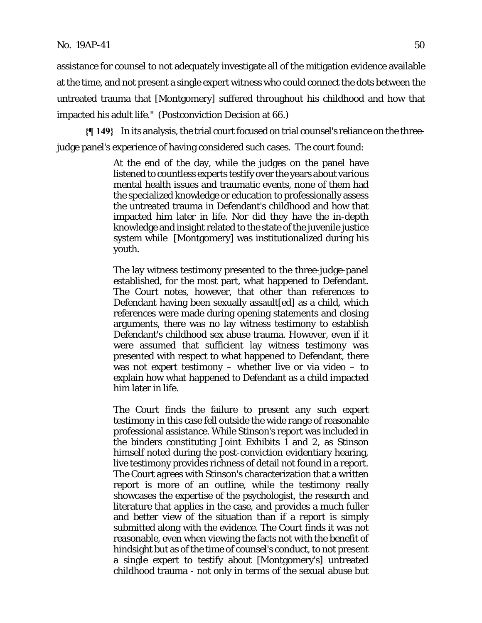assistance for counsel to not adequately investigate all of the mitigation evidence available at the time, and not present a single expert witness who could connect the dots between the untreated trauma that [Montgomery] suffered throughout his childhood and how that impacted his adult life." (Postconviction Decision at 66.)

**{¶ 149}** In its analysis, the trial court focused on trial counsel's reliance on the threejudge panel's experience of having considered such cases. The court found:

> At the end of the day, while the judges on the panel have listened to countless experts testify over the years about various mental health issues and traumatic events, none of them had the specialized knowledge or education to professionally assess the untreated trauma in Defendant's childhood and how that impacted him later in life. Nor did they have the in-depth knowledge and insight related to the state of the juvenile justice system while [Montgomery] was institutionalized during his youth.

> The lay witness testimony presented to the three-judge-panel established, for the most part, what happened to Defendant. The Court notes, however, that other than references to Defendant having been sexually assault[ed] as a child, which references were made during opening statements and closing arguments, there was no lay witness testimony to establish Defendant's childhood sex abuse trauma. However, even if it were assumed that sufficient lay witness testimony was presented with respect to what happened to Defendant, there was not expert testimony – whether live or via video – to explain how what happened to Defendant as a child impacted him later in life.

> The Court finds the failure to present *any* such expert testimony in this case fell outside the wide range of reasonable professional assistance. While Stinson's report was included in the binders constituting Joint Exhibits 1 and 2, as Stinson himself noted during the post-conviction evidentiary hearing, live testimony provides richness of detail not found in a report. The Court agrees with Stinson's characterization that a written report is more of an outline, while the testimony really showcases the expertise of the psychologist, the research and literature that applies in the case, and provides a much fuller and better view of the situation than if a report is simply submitted along with the evidence. The Court finds it was not reasonable, even when viewing the facts not with the benefit of hindsight but as of the time of counsel's conduct, to not present a single expert to testify about [Montgomery's] untreated childhood trauma - not only in terms of the sexual abuse but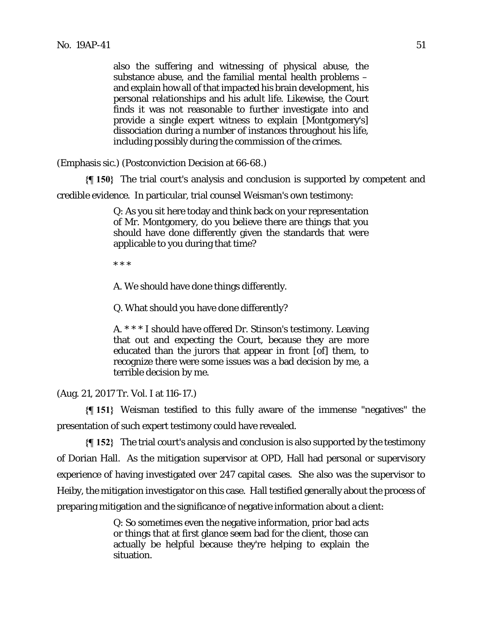also the suffering and witnessing of physical abuse, the substance abuse, and the familial mental health problems – and explain how all of that impacted his brain development, his personal relationships and his adult life. Likewise, the Court finds it was not reasonable to further investigate into and provide a single expert witness to explain [Montgomery's] dissociation during a number of instances throughout his life, including possibly during the commission of the crimes.

(Emphasis sic.) (Postconviction Decision at 66-68.)

**{¶ 150}** The trial court's analysis and conclusion is supported by competent and

credible evidence. In particular, trial counsel Weisman's own testimony:

Q: As you sit here today and think back on your representation of Mr. Montgomery, do you believe there are things that you should have done differently given the standards that were applicable to you during that time?

\* \* \*

A. We should have done things differently.

Q. What should you have done differently?

A. \* \* \* I should have offered Dr. Stinson's testimony. Leaving that out and expecting the Court, because they are more educated than the jurors that appear in front [of] them, to recognize there were some issues was a bad decision by me, a terrible decision by me.

(Aug. 21, 2017 Tr. Vol. I at 116-17.)

**{¶ 151}** Weisman testified to this fully aware of the immense "negatives" the presentation of such expert testimony could have revealed.

**{¶ 152}** The trial court's analysis and conclusion is also supported by the testimony of Dorian Hall. As the mitigation supervisor at OPD, Hall had personal or supervisory experience of having investigated over 247 capital cases. She also was the supervisor to Heiby, the mitigation investigator on this case. Hall testified generally about the process of preparing mitigation and the significance of negative information about a client:

> Q: So sometimes even the negative information, prior bad acts or things that at first glance seem bad for the client, those can actually be helpful because they're helping to explain the situation.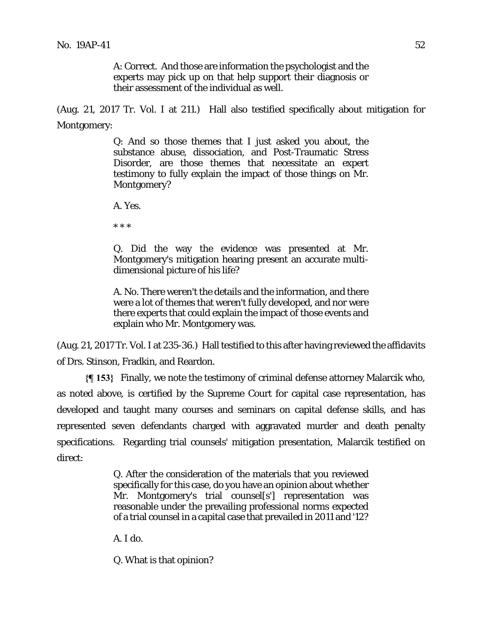A: Correct. And those are information the psychologist and the experts may pick up on that help support their diagnosis or their assessment of the individual as well.

(Aug. 21, 2017 Tr. Vol. I at 211.) Hall also testified specifically about mitigation for Montgomery:

> Q: And so those themes that I just asked you about, the substance abuse, dissociation, and Post-Traumatic Stress Disorder, are those themes that necessitate an expert testimony to fully explain the impact of those things on Mr. Montgomery?

A. Yes.

\* \* \*

Q. Did the way the evidence was presented at Mr. Montgomery's mitigation hearing present an accurate multidimensional picture of his life?

A. No. There weren't the details and the information, and there were a lot of themes that weren't fully developed, and nor were there experts that could explain the impact of those events and explain who Mr. Montgomery was.

(Aug. 21, 2017 Tr. Vol. I at 235-36.) Hall testified to this after having reviewed the affidavits of Drs. Stinson, Fradkin, and Reardon.

**{¶ 153}** Finally, we note the testimony of criminal defense attorney Malarcik who, as noted above, is certified by the Supreme Court for capital case representation, has developed and taught many courses and seminars on capital defense skills, and has represented seven defendants charged with aggravated murder and death penalty specifications. Regarding trial counsels' mitigation presentation, Malarcik testified on direct:

> Q. After the consideration of the materials that you reviewed specifically for this case, do you have an opinion about whether Mr. Montgomery's trial counsel[s'] representation was reasonable under the prevailing professional norms expected of a trial counsel in a capital case that prevailed in 2011 and '12?

A. I do.

Q. What is that opinion?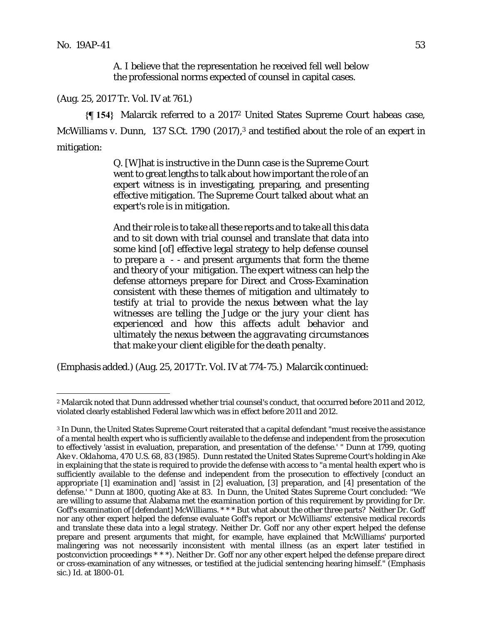<u>.</u>

A. I believe that the representation he received fell well below the professional norms expected of counsel in capital cases.

(Aug. 25, 2017 Tr. Vol. IV at 761.)

**{¶ 154}** Malarcik referred to a 20172 United States Supreme Court habeas case, *McWilliams v. Dunn*, 137 S.Ct. 1790 (2017),<sup>3</sup> and testified about the role of an expert in mitigation:

> Q. [W]hat is instructive in the Dunn case is the Supreme Court went to great lengths to talk about how important the role of an expert witness is in investigating, preparing, and presenting effective mitigation. The Supreme Court talked about what an expert's role is in mitigation.

> And their role is to take all these reports and to take all this data and to sit down with trial counsel and translate that data into some kind [of] effective legal strategy to help defense counsel to prepare a - - and present arguments that form the theme and theory of your mitigation. The expert witness can help the defense attorneys prepare for Direct and Cross-Examination consistent with these themes of mitigation *and ultimately to testify at trial to provide the nexus between what the lay witnesses are telling the Judge or the jury your client has experienced and how this affects adult behavior and ultimately the nexus between the aggravating circumstances that make your client eligible for the death penalty*.

(Emphasis added.) (Aug. 25, 2017 Tr. Vol. IV at 774-75.) Malarcik continued:

<sup>2</sup> Malarcik noted that *Dunn* addressed whether trial counsel's conduct, that occurred before 2011 and 2012, violated clearly established Federal law which was in effect before 2011 and 2012.

<sup>3</sup> In *Dunn*, the United States Supreme Court reiterated that a capital defendant "must receive the assistance of a mental health expert who is sufficiently available to the defense and independent from the prosecution to effectively 'assist in evaluation, preparation, and presentation of the defense.' " *Dunn* at 1799, quoting *Ake v. Oklahoma*, 470 U.S. 68, 83 (1985). *Dunn* restated the United States Supreme Court's holding in *Ake* in explaining that the state is required to provide the defense with access to "a mental health expert who is sufficiently available to the defense and independent from the prosecution to effectively [conduct an appropriate [1] examination and] 'assist in [2] evaluation, [3] preparation, and [4] presentation of the defense.' " *Dunn* at 1800, quoting *Ake* at 83. In *Dunn*, the United States Supreme Court concluded: "We are willing to assume that Alabama met the *examination* portion of this requirement by providing for Dr. Goff's examination of [defendant] McWilliams. \* \* \* But what about the other three parts? Neither Dr. Goff nor any other expert helped the defense evaluate Goff's report or McWilliams' extensive medical records and translate these data into a legal strategy. Neither Dr. Goff nor any other expert helped the defense prepare and present arguments that might, for example, have explained that McWilliams' purported malingering was not necessarily inconsistent with mental illness (as an expert later testified in postconviction proceedings \* \* \*). Neither Dr. Goff nor any other expert helped the defense prepare direct or cross-examination of any witnesses, or testified at the judicial sentencing hearing himself." (Emphasis sic.) *Id.* at 1800-01.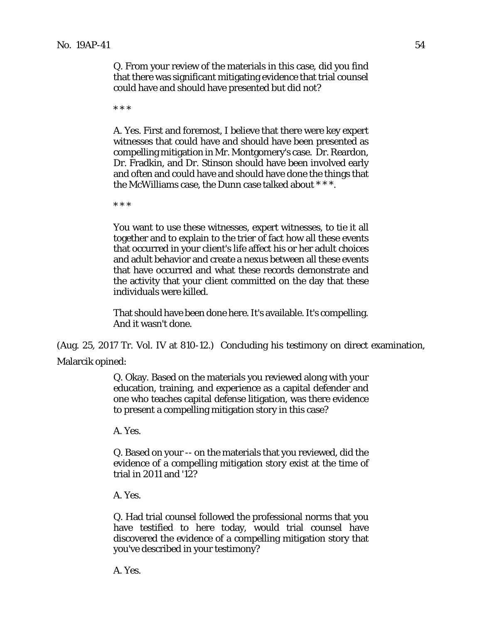Q. From your review of the materials in this case, did you find that there was significant mitigating evidence that trial counsel could have and should have presented but did not?

\* \* \*

A. Yes. First and foremost, I believe that there were key expert witnesses that could have and should have been presented as compelling mitigation in Mr. Montgomery's case. Dr. Reardon, Dr. Fradkin, and Dr. Stinson should have been involved early and often and could have and should have done the things that the McWilliams case, the Dunn case talked about \* \* \*.

\* \* \*

You want to use these witnesses, expert witnesses, to tie it all together and to explain to the trier of fact how all these events that occurred in your client's life affect his or her adult choices and adult behavior and create a nexus between all these events that have occurred and what these records demonstrate and the activity that your client committed on the day that these individuals were killed.

That should have been done here. It's available. It's compelling. And it wasn't done.

(Aug. 25, 2017 Tr. Vol. IV at 810-12.) Concluding his testimony on direct examination, Malarcik opined:

> Q. Okay. Based on the materials you reviewed along with your education, training, and experience as a capital defender and one who teaches capital defense litigation, was there evidence to present a compelling mitigation story in this case?

A. Yes.

Q. Based on your -- on the materials that you reviewed, did the evidence of a compelling mitigation story exist at the time of trial in 2011 and '12?

A. Yes.

Q. Had trial counsel followed the professional norms that you have testified to here today, would trial counsel have discovered the evidence of a compelling mitigation story that you've described in your testimony?

A. Yes.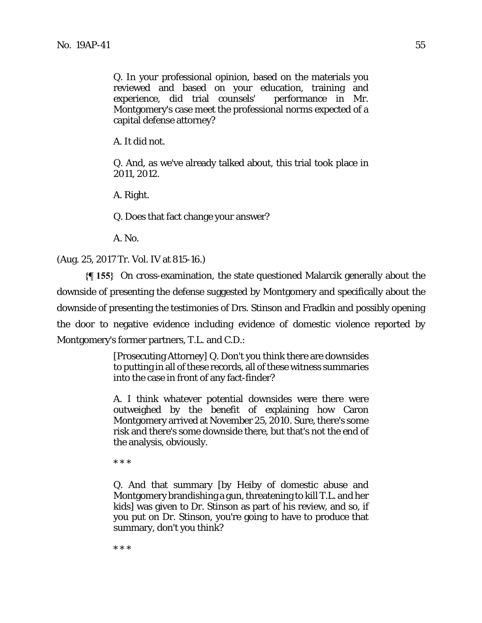Q. In your professional opinion, based on the materials you reviewed and based on your education, training and experience, did trial counsels' performance in Mr. Montgomery's case meet the professional norms expected of a capital defense attorney?

A. It did not.

Q. And, as we've already talked about, this trial took place in 2011, 2012.

A. Right.

Q. Does that fact change your answer?

A. No.

(Aug. 25, 2017 Tr. Vol. IV at 815-16.)

**{¶ 155}** On cross-examination, the state questioned Malarcik generally about the downside of presenting the defense suggested by Montgomery and specifically about the downside of presenting the testimonies of Drs. Stinson and Fradkin and possibly opening the door to negative evidence including evidence of domestic violence reported by Montgomery's former partners, T.L. and C.D.:

> [Prosecuting Attorney] Q. Don't you think there are downsides to putting in all of these records, all of these witness summaries into the case in front of any fact-finder?

> A. I think whatever potential downsides were there were outweighed by the benefit of explaining how Caron Montgomery arrived at November 25, 2010. Sure, there's some risk and there's some downside there, but that's not the end of the analysis, obviously.

\* \* \*

Q. And that summary [by Heiby of domestic abuse and Montgomery brandishing a gun, threatening to kill T.L. and her kids] was given to Dr. Stinson as part of his review, and so, if you put on Dr. Stinson, you're going to have to produce that summary, don't you think?

\* \* \*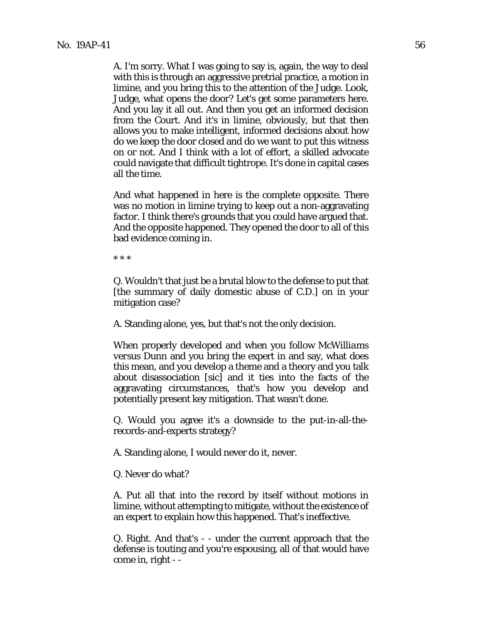A. I'm sorry. What I was going to say is, again, the way to deal with this is through an aggressive pretrial practice, a motion in limine, and you bring this to the attention of the Judge. Look, Judge, what opens the door? Let's get some parameters here. And you lay it all out. And then you get an informed decision from the Court. And it's in limine, obviously, but that then allows you to make intelligent, informed decisions about how do we keep the door closed and do we want to put this witness on or not. And I think with a lot of effort, a skilled advocate could navigate that difficult tightrope. It's done in capital cases all the time.

And what happened in here is the complete opposite. There was no motion in limine trying to keep out a non-aggravating factor. I think there's grounds that you could have argued that. And the opposite happened. They opened the door to all of this bad evidence coming in.

\* \* \*

Q. Wouldn't that just be a brutal blow to the defense to put that [the summary of daily domestic abuse of C.D.] on in your mitigation case?

A. Standing alone, yes, but that's not the only decision.

When properly developed and when you follow *McWilliams versus Dunn* and you bring the expert in and say, what does this mean, and you develop a theme and a theory and you talk about disassociation [sic] and it ties into the facts of the aggravating circumstances, that's how you develop and potentially present key mitigation. That wasn't done.

Q. Would you agree it's a downside to the put-in-all-therecords-and-experts strategy?

A. Standing alone, I would never do it, never.

Q. Never do what?

A. Put all that into the record by itself without motions in limine, without attempting to mitigate, without the existence of an expert to explain how this happened. That's ineffective.

Q. Right. And that's - - under the current approach that the defense is touting and you're espousing, all of that would have come in, right - -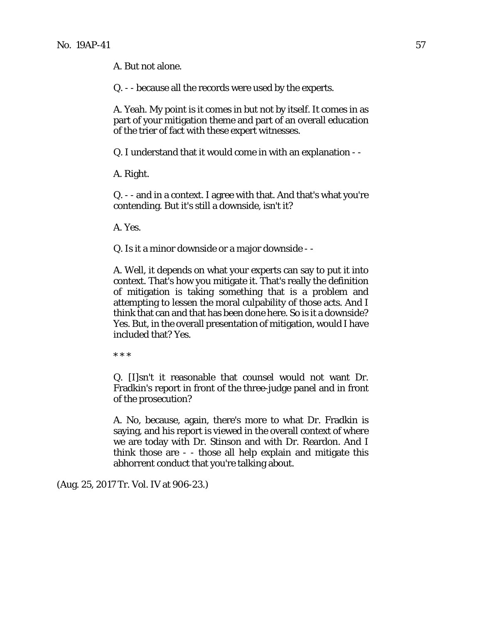A. But not alone.

Q. - - because all the records were used by the experts.

A. Yeah. My point is it comes in but not by itself. It comes in as part of your mitigation theme and part of an overall education of the trier of fact with these expert witnesses.

Q. I understand that it would come in with an explanation - -

A. Right.

Q. - - and in a context. I agree with that. And that's what you're contending. But it's still a downside, isn't it?

A. Yes.

Q. Is it a minor downside or a major downside - -

A. Well, it depends on what your experts can say to put it into context. That's how you mitigate it. That's really the definition of mitigation is taking something that is a problem and attempting to lessen the moral culpability of those acts. And I think that can and that has been done here. So is it a downside? Yes. But, in the overall presentation of mitigation, would I have included that? Yes.

\* \* \*

Q. [I]sn't it reasonable that counsel would not want Dr. Fradkin's report in front of the three-judge panel and in front of the prosecution?

A. No, because, again, there's more to what Dr. Fradkin is saying, and his report is viewed in the overall context of where we are today with Dr. Stinson and with Dr. Reardon. And I think those are - - those all help explain and mitigate this abhorrent conduct that you're talking about.

(Aug. 25, 2017 Tr. Vol. IV at 906-23.)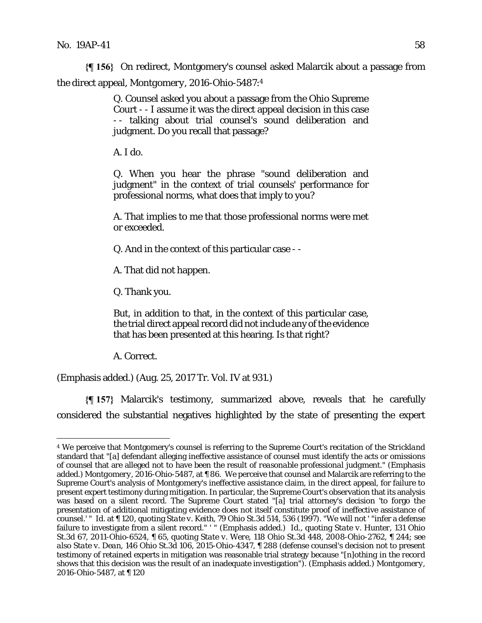**{¶ 156}** On redirect, Montgomery's counsel asked Malarcik about a passage from the direct appeal, *Montgomery*, 2016-Ohio-5487:4

> Q. Counsel asked you about a passage from the Ohio Supreme Court - - I assume it was the direct appeal decision in this case - - talking about trial counsel's sound deliberation and judgment. Do you recall that passage?

A. I do.

Q. When you hear the phrase "sound deliberation and judgment" in the context of trial counsels' performance for professional norms, what does that imply to you?

A. That implies to me that those professional norms were met or exceeded.

Q. And in the context of this particular case - -

A. That did not happen.

Q. Thank you.

But, in addition to that, in the context of this particular case, the trial direct appeal record did not include any of the evidence that has been presented at this hearing. Is that right?

A. Correct.

<u>.</u>

(Emphasis added.) (Aug. 25, 2017 Tr. Vol. IV at 931.)

**{¶ 157}** Malarcik's testimony, summarized above, reveals that he carefully considered the substantial negatives highlighted by the state of presenting the expert

<sup>4</sup> We perceive that Montgomery's counsel is referring to the Supreme Court's recitation of the *Strickland* standard that "[a] defendant alleging ineffective assistance of counsel must identify the acts or omissions of counsel that are alleged not to have been the result of *reasonable professional judgment*." (Emphasis added.) *Montgomery*, 2016-Ohio-5487, at ¶ 86. We perceive that counsel and Malarcik are referring to the Supreme Court's analysis of Montgomery's ineffective assistance claim, in the direct appeal, for failure to present expert testimony during mitigation. In particular, the Supreme Court's observation that its analysis was based on a silent record. The Supreme Court stated "[a] trial attorney's decision 'to forgo the presentation of additional mitigating evidence does not itself constitute proof of ineffective assistance of counsel.' " *Id.* at ¶ 120, quoting *State v. Keith*, 79 Ohio St.3d 514, 536 (1997). "We will not ' "infer a defense failure to investigate from a *silent* record." ' " (Emphasis added.) *Id.*, quoting *State v. Hunter*, 131 Ohio St.3d 67, 2011-Ohio-6524, ¶ 65, quoting *State v. Were*, 118 Ohio St.3d 448, 2008-Ohio-2762, ¶ 244; *see also State v. Dean*, 146 Ohio St.3d 106, 2015-Ohio-4347, ¶ 288 (defense counsel's decision not to present testimony of retained experts in mitigation was reasonable trial strategy because "[*n*]*othing in the record* shows that this decision was the result of an inadequate investigation"). (Emphasis added.) *Montgomery*, 2016-Ohio-5487, at ¶ 120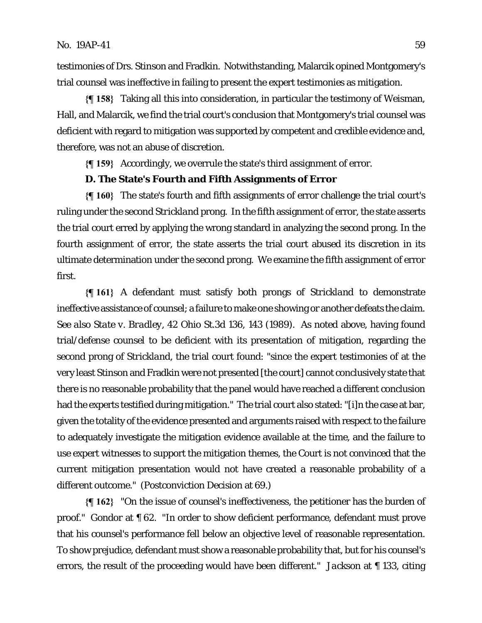testimonies of Drs. Stinson and Fradkin. Notwithstanding, Malarcik opined Montgomery's trial counsel was ineffective in failing to present the expert testimonies as mitigation.

**{¶ 158}** Taking all this into consideration, in particular the testimony of Weisman, Hall, and Malarcik, we find the trial court's conclusion that Montgomery's trial counsel was deficient with regard to mitigation was supported by competent and credible evidence and, therefore, was not an abuse of discretion.

**{¶ 159}** Accordingly, we overrule the state's third assignment of error.

### **D. The State's Fourth and Fifth Assignments of Error**

**{¶ 160}** The state's fourth and fifth assignments of error challenge the trial court's ruling under the second *Strickland* prong. In the fifth assignment of error, the state asserts the trial court erred by applying the wrong standard in analyzing the second prong. In the fourth assignment of error, the state asserts the trial court abused its discretion in its ultimate determination under the second prong. We examine the fifth assignment of error first.

**{¶ 161}** A defendant must satisfy both prongs of *Strickland* to demonstrate ineffective assistance of counsel; a failure to make one showing or another defeats the claim. *See also State v. Bradley*, 42 Ohio St.3d 136, 143 (1989). As noted above, having found trial/defense counsel to be deficient with its presentation of mitigation, regarding the second prong of *Strickland*, the trial court found: "since the expert testimonies of at the very least Stinson and Fradkin were not presented [the court] cannot conclusively state that there is no reasonable probability that the panel would have reached a different conclusion had the experts testified during mitigation." The trial court also stated: "[i]n the case at bar, given the totality of the evidence presented and arguments raised with respect to the failure to adequately investigate the mitigation evidence available at the time, and the failure to use expert witnesses to support the mitigation themes, the Court is not convinced that the current mitigation presentation would not have created a reasonable probability of a different outcome." (Postconviction Decision at 69.)

**{¶ 162}** "On the issue of counsel's ineffectiveness, the petitioner has the burden of proof." *Gondor* at ¶ 62. "In order to show deficient performance, defendant must prove that his counsel's performance fell below an objective level of reasonable representation. To show prejudice, defendant must show a reasonable probability that, but for his counsel's errors, the result of the proceeding would have been different." *Jackson* at ¶ 133, citing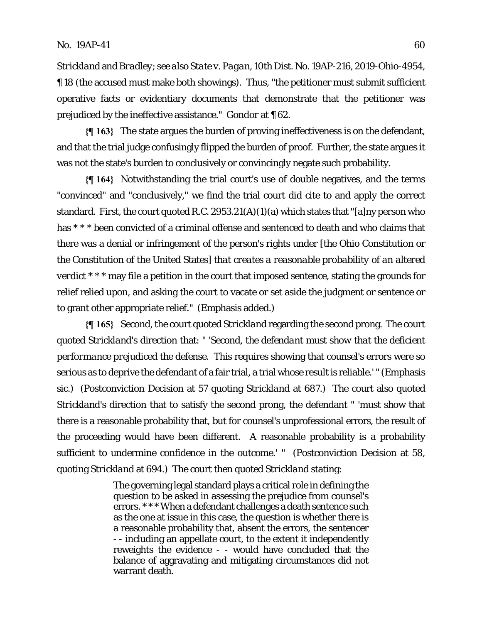*Strickland* and *Bradley*; *see also State v. Pagan*, 10th Dist. No. 19AP-216, 2019-Ohio-4954, ¶ 18 (the accused must make both showings). Thus, "the petitioner must submit sufficient operative facts or evidentiary documents that demonstrate that the petitioner was prejudiced by the ineffective assistance." *Gondor* at ¶ 62.

**{¶ 163}** The state argues the burden of proving ineffectiveness is on the defendant, and that the trial judge confusingly flipped the burden of proof. Further, the state argues it was not the state's burden to conclusively or convincingly negate such probability.

**{¶ 164}** Notwithstanding the trial court's use of double negatives, and the terms "convinced" and "conclusively," we find the trial court did cite to and apply the correct standard. First, the court quoted R.C. 2953.21(A)(1)(a) which states that "[a]ny person who has \* \* \* been convicted of a criminal offense and sentenced to death and who claims that there was a denial or infringement of the person's rights under [the Ohio Constitution or the Constitution of the United States] *that creates a reasonable probability of an altered verdict* \* \* \* may file a petition in the court that imposed sentence, stating the grounds for relief relied upon, and asking the court to vacate or set aside the judgment or sentence or to grant other appropriate relief." (Emphasis added.)

**{¶ 165}** Second, the court quoted *Strickland* regarding the second prong. The court quoted *Strickland*'s direction that: " '*Second, the defendant must show that the deficient performance prejudiced the defense*. This requires showing that counsel's errors were so serious as to deprive the defendant of a fair trial, a trial whose result is reliable.' " (Emphasis sic.) (Postconviction Decision at 57 quoting *Strickland* at 687.) The court also quoted *Strickland*'s direction that to satisfy the second prong, the defendant " 'must show that there is a reasonable probability that, but for counsel's unprofessional errors, the result of the proceeding would have been different. A reasonable probability is a probability sufficient to undermine confidence in the outcome.' " (Postconviction Decision at 58, quoting *Strickland* at 694.) The court then quoted *Strickland* stating:

> The governing legal standard plays a critical role in defining the question to be asked in assessing the prejudice from counsel's errors. \*\*\* When a defendant challenges a death sentence such as the one at issue in this case, the question is whether there is a reasonable probability that, absent the errors, the sentencer - - including an appellate court, to the extent it independently reweights the evidence - - would have concluded that the balance of aggravating and mitigating circumstances did not warrant death.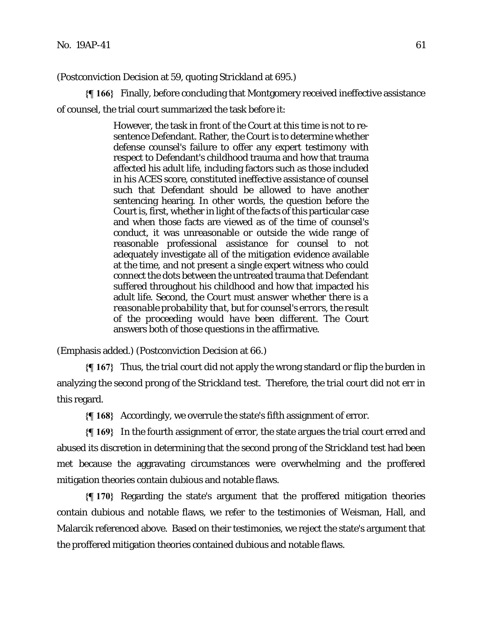(Postconviction Decision at 59, quoting *Strickland* at 695.)

**{¶ 166}** Finally, before concluding that Montgomery received ineffective assistance of counsel, the trial court summarized the task before it:

> However, the task in front of the Court at this time is not to resentence Defendant. Rather, the Court is to determine whether defense counsel's failure to offer any expert testimony with respect to Defendant's childhood trauma and how that trauma affected his adult life, including factors such as those included in his ACES score, constituted ineffective assistance of counsel such that Defendant should be allowed to have another sentencing hearing. In other words, the question before the Court is, first, whether in light of the facts of this particular case and when those facts are viewed as of the time of counsel's conduct, it was unreasonable or outside the wide range of reasonable professional assistance for counsel to not adequately investigate all of the mitigation evidence available at the time, and not present a single expert witness who could connect the dots between the untreated trauma that Defendant suffered throughout his childhood and how that impacted his adult life. *Second, the Court must answer whether there is a reasonable probability that, but for counsel's errors, the result of the proceeding would have been different.* The Court answers both of those questions in the affirmative.

(Emphasis added.) (Postconviction Decision at 66.)

**{¶ 167}** Thus, the trial court did not apply the wrong standard or flip the burden in analyzing the second prong of the *Strickland* test. Therefore, the trial court did not err in this regard.

**{¶ 168}** Accordingly, we overrule the state's fifth assignment of error.

**{¶ 169}** In the fourth assignment of error, the state argues the trial court erred and abused its discretion in determining that the second prong of the *Strickland* test had been met because the aggravating circumstances were overwhelming and the proffered mitigation theories contain dubious and notable flaws.

**{¶ 170}** Regarding the state's argument that the proffered mitigation theories contain dubious and notable flaws, we refer to the testimonies of Weisman, Hall, and Malarcik referenced above. Based on their testimonies, we reject the state's argument that the proffered mitigation theories contained dubious and notable flaws.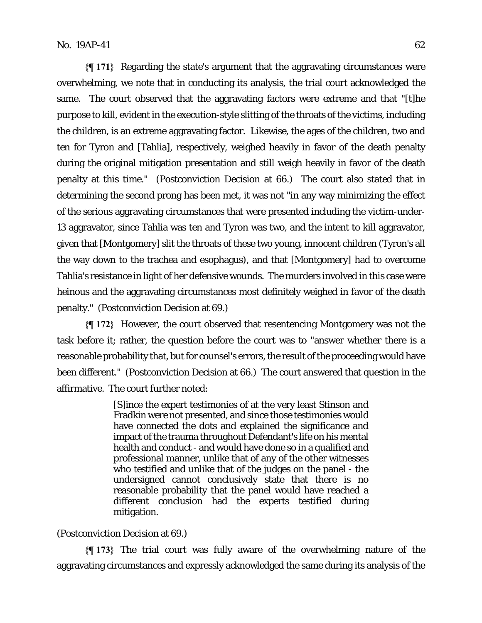**{¶ 171}** Regarding the state's argument that the aggravating circumstances were overwhelming, we note that in conducting its analysis, the trial court acknowledged the same. The court observed that the aggravating factors were extreme and that "[t]he purpose to kill, evident in the execution-style slitting of the throats of the victims, including the children, is an extreme aggravating factor. Likewise, the ages of the children, two and ten for Tyron and [Tahlia], respectively, weighed heavily in favor of the death penalty during the original mitigation presentation and still weigh heavily in favor of the death penalty at this time." (Postconviction Decision at 66.) The court also stated that in determining the second prong has been met, it was not "in any way minimizing the effect of the serious aggravating circumstances that were presented including the victim-under-13 aggravator, since Tahlia was ten and Tyron was two, and the intent to kill aggravator, given that [Montgomery] slit the throats of these two young, innocent children (Tyron's all the way down to the trachea and esophagus), and that [Montgomery] had to overcome Tahlia's resistance in light of her defensive wounds. The murders involved in this case were heinous and the aggravating circumstances most definitely weighed in favor of the death penalty." (Postconviction Decision at 69.)

**{¶ 172}** However, the court observed that resentencing Montgomery was not the task before it; rather, the question before the court was to "answer whether there is a reasonable probability that, but for counsel's errors, the result of the proceeding would have been different." (Postconviction Decision at 66.) The court answered that question in the affirmative. The court further noted:

> [S]ince the expert testimonies of at the very least Stinson and Fradkin were not presented, and since those testimonies would have connected the dots and explained the significance and impact of the trauma throughout Defendant's life on his mental health and conduct - and would have done so in a qualified and professional manner, unlike that of any of the other witnesses who testified and unlike that of the judges on the panel - the undersigned cannot conclusively state that there is no reasonable probability that the panel would have reached a different conclusion had the experts testified during mitigation.

#### (Postconviction Decision at 69.)

**{¶ 173}** The trial court was fully aware of the overwhelming nature of the aggravating circumstances and expressly acknowledged the same during its analysis of the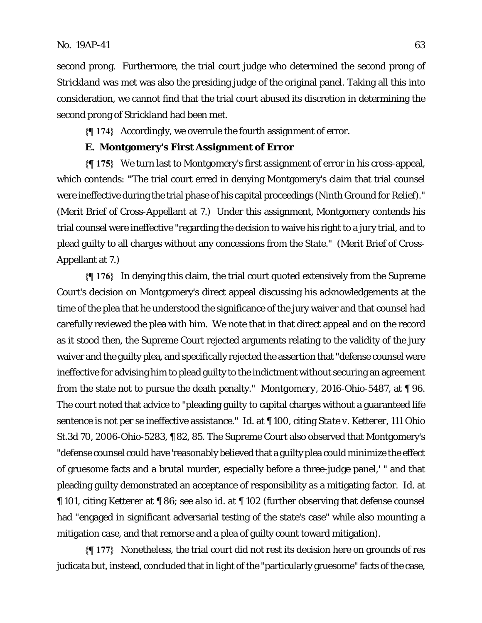second prong. Furthermore, the trial court judge who determined the second prong of *Strickland* was met was also the presiding judge of the original panel. Taking all this into consideration, we cannot find that the trial court abused its discretion in determining the second prong of *Strickland* had been met.

**{¶ 174}** Accordingly, we overrule the fourth assignment of error.

# **E. Montgomery's First Assignment of Error**

**{¶ 175}** We turn last to Montgomery's first assignment of error in his cross-appeal, which contends: **"**The trial court erred in denying Montgomery's claim that trial counsel were ineffective during the trial phase of his capital proceedings (Ninth Ground for Relief)." (Merit Brief of Cross-Appellant at 7.) Under this assignment, Montgomery contends his trial counsel were ineffective "regarding the decision to waive his right to a jury trial, and to plead guilty to all charges without any concessions from the State." (Merit Brief of Cross-Appellant at 7.)

**{¶ 176}** In denying this claim, the trial court quoted extensively from the Supreme Court's decision on Montgomery's direct appeal discussing his acknowledgements at the time of the plea that he understood the significance of the jury waiver and that counsel had carefully reviewed the plea with him. We note that in that direct appeal and on the record as it stood then, the Supreme Court rejected arguments relating to the validity of the jury waiver and the guilty plea, and specifically rejected the assertion that "defense counsel were ineffective for advising him to plead guilty to the indictment without securing an agreement from the state not to pursue the death penalty." *Montgomery,* 2016-Ohio-5487, at ¶ 96. The court noted that advice to "pleading guilty to capital charges without a guaranteed life sentence is not per se ineffective assistance." *Id.* at ¶ 100, citing *State v. Ketterer*, 111 Ohio St.3d 70, 2006-Ohio-5283, ¶ 82, 85. The Supreme Court also observed that Montgomery's "defense counsel could have 'reasonably believed that a guilty plea could minimize the effect of gruesome facts and a brutal murder, especially before a three-judge panel,' " and that pleading guilty demonstrated an acceptance of responsibility as a mitigating factor. *Id.* at ¶ 101, citing *Ketterer* at ¶ 86; *see also id.* at ¶ 102 (further observing that defense counsel had "engaged in significant adversarial testing of the state's case" while also mounting a mitigation case, and that remorse and a plea of guilty count toward mitigation).

**{¶ 177}** Nonetheless, the trial court did not rest its decision here on grounds of res judicata but, instead, concluded that in light of the "particularly gruesome" facts of the case,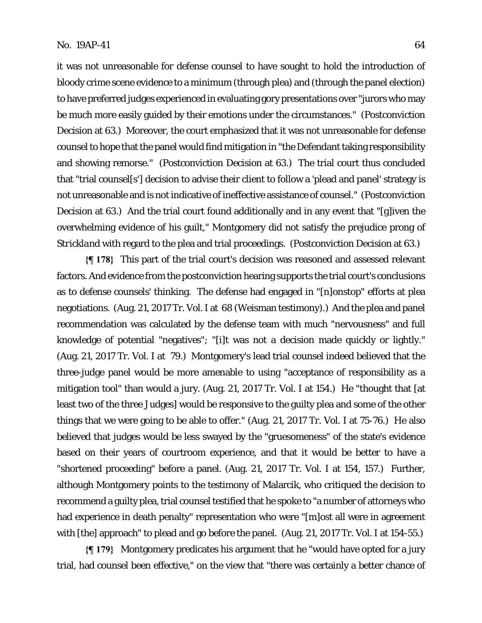it was not unreasonable for defense counsel to have sought to hold the introduction of bloody crime scene evidence to a minimum (through plea) and (through the panel election) to have preferred judges experienced in evaluating gory presentations over "jurors who may be much more easily guided by their emotions under the circumstances." (Postconviction Decision at 63.) Moreover, the court emphasized that it was not unreasonable for defense counsel to hope that the panel would find mitigation in "the Defendant taking responsibility and showing remorse." (Postconviction Decision at 63.)The trial court thus concluded that "trial counsel[s'] decision to advise their client to follow a 'plead and panel' strategy is not unreasonable and is not indicative of ineffective assistance of counsel." (Postconviction Decision at 63.)And the trial court found additionally and in any event that "[g]iven the overwhelming evidence of his guilt," Montgomery did not satisfy the prejudice prong of *Strickland* with regard to the plea and trial proceedings. (Postconviction Decision at 63.)

**{¶ 178}** This part of the trial court's decision was reasoned and assessed relevant factors. And evidence from the postconviction hearing supports the trial court's conclusions as to defense counsels' thinking. The defense had engaged in "[n]onstop" efforts at plea negotiations. (Aug. 21, 2017 Tr. Vol. I at 68 (Weisman testimony).) And the plea and panel recommendation was calculated by the defense team with much "nervousness" and full knowledge of potential "negatives"; "[i]t was not a decision made quickly or lightly." (Aug. 21, 2017 Tr. Vol. I at 79.) Montgomery's lead trial counsel indeed believed that the three-judge panel would be more amenable to using "acceptance of responsibility as a mitigation tool" than would a jury. (Aug. 21, 2017 Tr. Vol. I at 154.) He "thought that [at least two of the three Judges] would be responsive to the guilty plea and some of the other things that we were going to be able to offer." (Aug. 21, 2017 Tr. Vol. I at 75-76.) He also believed that judges would be less swayed by the "gruesomeness" of the state's evidence based on their years of courtroom experience, and that it would be better to have a "shortened proceeding" before a panel. (Aug. 21, 2017 Tr. Vol. I at 154, 157.) Further, although Montgomery points to the testimony of Malarcik, who critiqued the decision to recommend a guilty plea, trial counsel testified that he spoke to "a number of attorneys who had experience in death penalty" representation who were "[m]ost all were in agreement with [the] approach" to plead and go before the panel. (Aug. 21, 2017 Tr. Vol. I at 154-55.)

**{¶ 179}** Montgomery predicates his argument that he "would have opted for a jury trial, had counsel been effective," on the view that "there was certainly a better chance of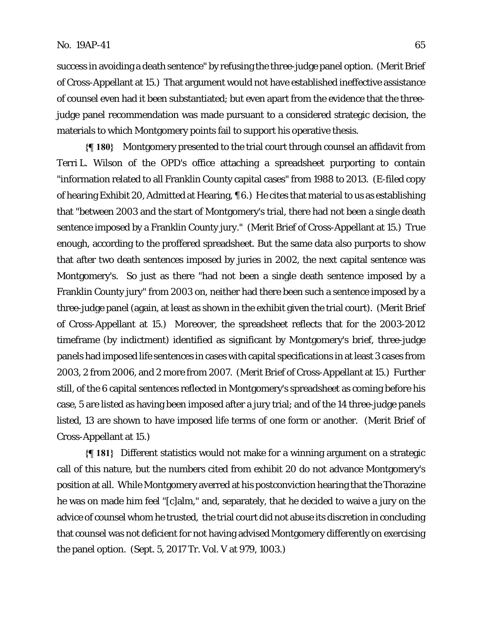success in avoiding a death sentence" by refusing the three-judge panel option. (Merit Brief of Cross-Appellant at 15.) That argument would not have established ineffective assistance of counsel even had it been substantiated; but even apart from the evidence that the threejudge panel recommendation was made pursuant to a considered strategic decision, the materials to which Montgomery points fail to support his operative thesis.

**{¶ 180}** Montgomery presented to the trial court through counsel an affidavit from Terri L. Wilson of the OPD's office attaching a spreadsheet purporting to contain "information related to all Franklin County capital cases" from 1988 to 2013. (E-filed copy of hearing Exhibit 20, Admitted at Hearing, ¶ 6.) He cites that material to us as establishing that "between 2003 and the start of Montgomery's trial, there had not been a single death sentence imposed by a Franklin County jury." (Merit Brief of Cross-Appellant at 15.) True enough, according to the proffered spreadsheet. But the same data also purports to show that after two death sentences imposed by juries in 2002, the next capital sentence was Montgomery's. So just as there "had not been a single death sentence imposed by a Franklin County jury" from 2003 on, neither had there been such a sentence imposed by a three-judge panel (again, at least as shown in the exhibit given the trial court). (Merit Brief of Cross-Appellant at 15.)Moreover, the spreadsheet reflects that for the 2003-2012 timeframe (by indictment) identified as significant by Montgomery's brief, three-judge panels had imposed life sentences in cases with capital specifications in at least 3 cases from 2003, 2 from 2006, and 2 more from 2007. (Merit Brief of Cross-Appellant at 15.) Further still, of the 6 capital sentences reflected in Montgomery's spreadsheet as coming before his case, 5 are listed as having been imposed after a jury trial; and of the 14 three-judge panels listed, 13 are shown to have imposed life terms of one form or another. (Merit Brief of Cross-Appellant at 15.)

**{¶ 181}** Different statistics would not make for a winning argument on a strategic call of this nature, but the numbers cited from exhibit 20 do not advance Montgomery's position at all. While Montgomery averred at his postconviction hearing that the Thorazine he was on made him feel "[c]alm," and, separately, that he decided to waive a jury on the advice of counsel whom he trusted, the trial court did not abuse its discretion in concluding that counsel was not deficient for not having advised Montgomery differently on exercising the panel option. (Sept. 5, 2017 Tr. Vol. V at 979, 1003.)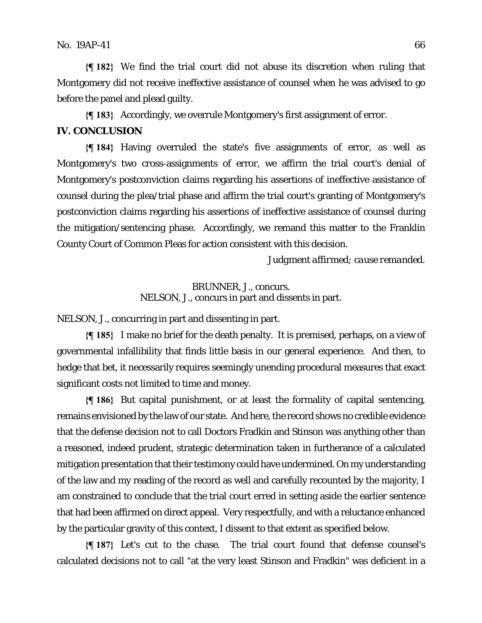**{¶ 182}** We find the trial court did not abuse its discretion when ruling that Montgomery did not receive ineffective assistance of counsel when he was advised to go before the panel and plead guilty.

**{¶ 183}** Accordingly, we overrule Montgomery's first assignment of error.

# **IV. CONCLUSION**

**{¶ 184}** Having overruled the state's five assignments of error, as well as Montgomery's two cross-assignments of error, we affirm the trial court's denial of Montgomery's postconviction claims regarding his assertions of ineffective assistance of counsel during the plea/trial phase and affirm the trial court's granting of Montgomery's postconviction claims regarding his assertions of ineffective assistance of counsel during the mitigation/sentencing phase. Accordingly, we remand this matter to the Franklin County Court of Common Pleas for action consistent with this decision.

*Judgment affirmed; cause remanded.* 

BRUNNER, J., concurs. NELSON, J., concurs in part and dissents in part.

NELSON, J., concurring in part and dissenting in part.

**{¶ 185}** I make no brief for the death penalty. It is premised, perhaps, on a view of governmental infallibility that finds little basis in our general experience. And then, to hedge that bet, it necessarily requires seemingly unending procedural measures that exact significant costs not limited to time and money.

**{¶ 186}** But capital punishment, or at least the formality of capital sentencing, remains envisioned by the law of our state. And here, the record shows no credible evidence that the defense decision not to call Doctors Fradkin and Stinson was anything other than a reasoned, indeed prudent, strategic determination taken in furtherance of a calculated mitigation presentation that their testimony could have undermined. On my understanding of the law and my reading of the record as well and carefully recounted by the majority, I am constrained to conclude that the trial court erred in setting aside the earlier sentence that had been affirmed on direct appeal. Very respectfully, and with a reluctance enhanced by the particular gravity of this context, I dissent to that extent as specified below.

**{¶ 187}** Let's cut to the chase. The trial court found that defense counsel's calculated decisions not to call "at the very least Stinson and Fradkin" was deficient in a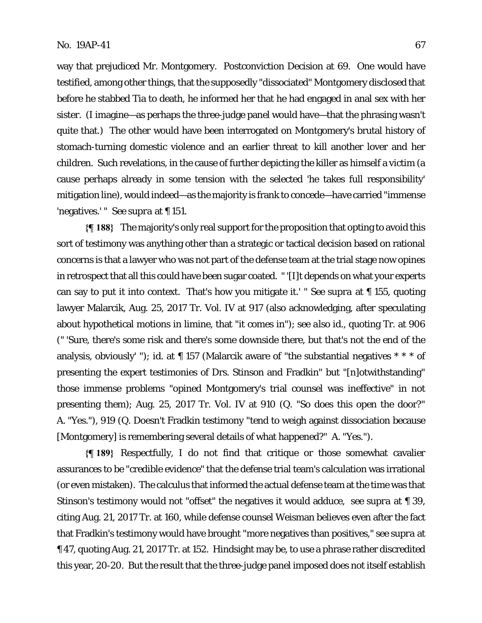way that prejudiced Mr. Montgomery. Postconviction Decision at 69. One would have testified, among other things, that the supposedly "dissociated" Montgomery disclosed that before he stabbed Tia to death, he informed her that he had engaged in anal sex with her sister. (I imagine—as perhaps the three-judge panel would have—that the phrasing wasn't quite that.) The other would have been interrogated on Montgomery's brutal history of stomach-turning domestic violence and an earlier threat to kill another lover and her children. Such revelations, in the cause of further depicting the killer as himself a victim (a cause perhaps already in some tension with the selected 'he takes full responsibility' mitigation line), would indeed—as the majority is frank to concede—have carried "immense 'negatives.' " *See supra* at ¶ 151.

**{¶ 188}** The majority's only real support for the proposition that opting to avoid this sort of testimony was anything other than a strategic or tactical decision based on rational concerns is that a lawyer who was not part of the defense team at the trial stage now opines in retrospect that all this could have been sugar coated. " '[I]t depends on what your experts can say to put it into context. That's how you mitigate it.' " *See supra* at ¶ 155, quoting lawyer Malarcik, Aug. 25, 2017 Tr. Vol. IV at 917 (also acknowledging, after speculating about hypothetical motions in limine, that "it comes in"); *see also id.*, quoting Tr. at 906 (" 'Sure, there's some risk and there's some downside there, but that's not the end of the analysis, obviously' "); *id.* at  $\P$  157 (Malarcik aware of "the substantial negatives \* \* \* of presenting the expert testimonies of Drs. Stinson and Fradkin" but "[n]otwithstanding" those immense problems "opined Montgomery's trial counsel was ineffective" in not presenting them); Aug. 25, 2017 Tr. Vol. IV at 910 (Q. "So does this open the door?" A. "Yes."), 919 (Q. Doesn't Fradkin testimony "tend to weigh against dissociation because [Montgomery] is remembering several details of what happened?" A. "Yes.").

**{¶ 189}** Respectfully, I do not find that critique or those somewhat cavalier assurances to be "credible evidence" that the defense trial team's calculation was irrational (or even mistaken). The calculus that informed the actual defense team at the time was that Stinson's testimony would not "offset" the negatives it would adduce, *see supra* at ¶ 39, citing Aug. 21, 2017 Tr. at 160, while defense counsel Weisman believes even after the fact that Fradkin's testimony would have brought "more negatives than positives," *see supra* at ¶ 47, quoting Aug. 21, 2017 Tr. at 152. Hindsight may be, to use a phrase rather discredited this year, 20-20. But the result that the three-judge panel imposed does not itself establish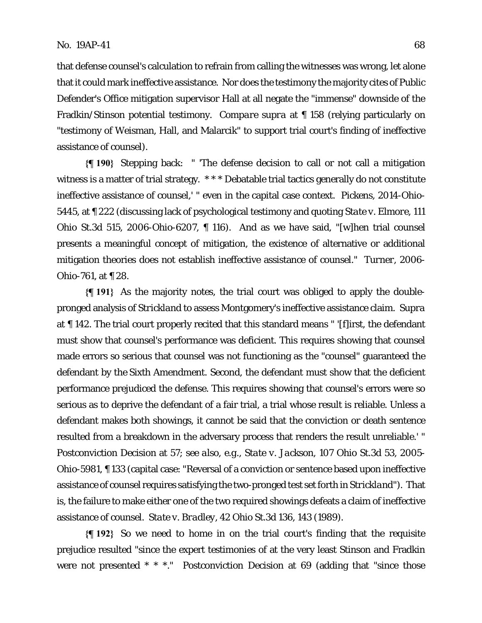that defense counsel's calculation to refrain from calling the witnesses was wrong, let alone that it could mark ineffective assistance. Nor does the testimony the majority cites of Public Defender's Office mitigation supervisor Hall at all negate the "immense" downside of the Fradkin/Stinson potential testimony. *Compare supra* at ¶ 158 (relying particularly on "testimony of Weisman, Hall, and Malarcik" to support trial court's finding of ineffective assistance of counsel).

**{¶ 190}** Stepping back: " 'The defense decision to call or not call a mitigation witness is a matter of trial strategy. \*\*\* Debatable trial tactics generally do not constitute ineffective assistance of counsel,' " even in the capital case context. *Pickens*, 2014-Ohio-5445, at ¶ 222 (discussing lack of psychological testimony and quoting *State v. Elmore,* 111 Ohio St.3d 515, 2006-Ohio-6207, ¶ 116). And as we have said, "[w]hen trial counsel presents a meaningful concept of mitigation, the existence of alternative or additional mitigation theories does not establish ineffective assistance of counsel." *Turner*, 2006- Ohio-761, at ¶ 28.

**{¶ 191}** As the majority notes, the trial court was obliged to apply the doublepronged analysis of *Strickland* to assess Montgomery's ineffective assistance claim. *Supra*  at ¶ 142. The trial court properly recited that this standard means " '[f]irst, the defendant must show that counsel's performance was deficient. This requires showing that counsel made errors so serious that counsel was not functioning as the "counsel" guaranteed the defendant by the Sixth Amendment. Second, the defendant must show that the deficient performance prejudiced the defense. This requires showing that counsel's errors were so serious as to deprive the defendant of a fair trial, a trial whose result is reliable. Unless a defendant makes both showings, it cannot be said that the conviction or death sentence resulted from a breakdown in the adversary process that renders the result unreliable.' " Postconviction Decision at 57; *see also, e.g., State v. Jackson*, 107 Ohio St.3d 53, 2005- Ohio-5981, ¶ 133 (capital case: "Reversal of a conviction or sentence based upon ineffective assistance of counsel requires satisfying the two-pronged test set forth in *Strickland*"). That is, the failure to make either one of the two required showings defeats a claim of ineffective assistance of counsel. *State v. Bradley*, 42 Ohio St.3d 136, 143 (1989).

**{¶ 192}** So we need to home in on the trial court's finding that the requisite prejudice resulted "since the expert testimonies of at the very least Stinson and Fradkin were not presented \* \* \*." Postconviction Decision at 69 (adding that "since those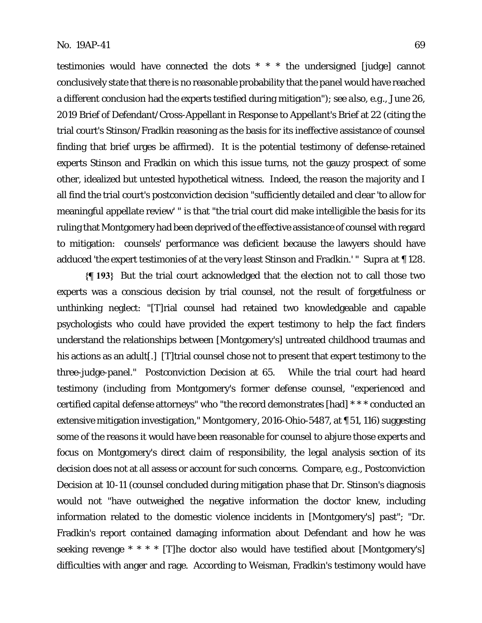testimonies would have connected the dots \* \* \* the undersigned [judge] cannot conclusively state that there is no reasonable probability that the panel would have reached a different conclusion had the experts testified during mitigation"); *see also, e.g.*, June 26, 2019 Brief of Defendant/Cross-Appellant in Response to Appellant's Brief at 22 (citing the trial court's Stinson/Fradkin reasoning as the basis for its ineffective assistance of counsel finding that brief urges be affirmed). It is the potential testimony of defense-retained experts Stinson and Fradkin on which this issue turns, not the gauzy prospect of some other, idealized but untested hypothetical witness. Indeed, the reason the majority and I all find the trial court's postconviction decision "sufficiently detailed and clear 'to allow for meaningful appellate review' " is that "the trial court did make intelligible the basis for its ruling that Montgomery had been deprived of the effective assistance of counsel with regard to mitigation: counsels' performance was deficient because the lawyers should have adduced 'the expert testimonies of at the very least Stinson and Fradkin.' " *Supra* at ¶ 128.

**{¶ 193}** But the trial court acknowledged that the election not to call those two experts was a conscious decision by trial counsel, not the result of forgetfulness or unthinking neglect: "[T]rial counsel had retained two knowledgeable and capable psychologists who could have provided the expert testimony to help the fact finders understand the relationships between [Montgomery's] untreated childhood traumas and his actions as an adult<sup>[1]</sup>. [T]trial counsel chose not to present that expert testimony to the three-judge-panel." Postconviction Decision at 65. While the trial court had heard testimony (including from Montgomery's former defense counsel, "experienced and certified capital defense attorneys" who "the record demonstrates [had] \* \* \* conducted an extensive mitigation investigation," *Montgomery*, 2016-Ohio-5487, at ¶ 51, 116) suggesting some of the reasons it would have been reasonable for counsel to abjure those experts and focus on Montgomery's direct claim of responsibility, the legal analysis section of its decision does not at all assess or account for such concerns. *Compare, e.g.,* Postconviction Decision at 10-11 (counsel concluded during mitigation phase that Dr. Stinson's diagnosis would not "have outweighed the negative information the doctor knew, including information related to the domestic violence incidents in [Montgomery's] past"; "Dr. Fradkin's report contained damaging information about Defendant and how he was seeking revenge \* \* \* \* [T]he doctor also would have testified about [Montgomery's] difficulties with anger and rage. According to Weisman, Fradkin's testimony would have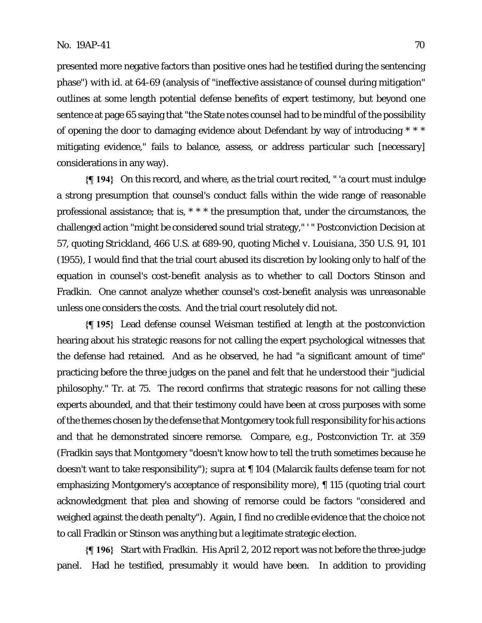presented more negative factors than positive ones had he testified during the sentencing phase") *with id.* at 64-69 (analysis of "ineffective assistance of counsel during mitigation" outlines at some length potential defense benefits of expert testimony, but beyond one sentence at page 65 saying that "the State notes counsel had to be mindful of the possibility of opening the door to damaging evidence about Defendant by way of introducing \* \* \* mitigating evidence," fails to balance, assess, or address particular such [necessary] considerations in any way).

**{¶ 194}** On this record, and where, as the trial court recited, " 'a court must indulge a strong presumption that counsel's conduct falls within the wide range of reasonable professional assistance; that is, \* \* \* the presumption that, under the circumstances, the challenged action "might be considered sound trial strategy," ' " Postconviction Decision at 57, quoting *Strickland*, 466 U.S. at 689-90, quoting *Michel v. Louisiana*, 350 U.S. 91, 101 (1955), I would find that the trial court abused its discretion by looking only to half of the equation in counsel's cost-benefit analysis as to whether to call Doctors Stinson and Fradkin. One cannot analyze whether counsel's cost-benefit analysis was unreasonable unless one considers the costs. And the trial court resolutely did not.

**{¶ 195}** Lead defense counsel Weisman testified at length at the postconviction hearing about his strategic reasons for not calling the expert psychological witnesses that the defense had retained. And as he observed, he had "a significant amount of time" practicing before the three judges on the panel and felt that he understood their "judicial philosophy." Tr. at 75. The record confirms that strategic reasons for not calling these experts abounded, and that their testimony could have been at cross purposes with some of the themes chosen by the defense that Montgomery took full responsibility for his actions and that he demonstrated sincere remorse. *Compare, e.g.*, Postconviction Tr. at 359 (Fradkin says that Montgomery "doesn't know how to tell the truth sometimes because he doesn't want to take responsibility"); *supra* at ¶ 104 (Malarcik faults defense team for not emphasizing Montgomery's acceptance of responsibility *more*), ¶ 115 (quoting trial court acknowledgment that plea and showing of remorse could be factors "considered and weighed against the death penalty"). Again, I find no credible evidence that the choice not to call Fradkin or Stinson was anything but a legitimate strategic election.

**{¶ 196}** Start with Fradkin. His April 2, 2012 report was not before the three-judge panel. Had he testified, presumably it would have been. In addition to providing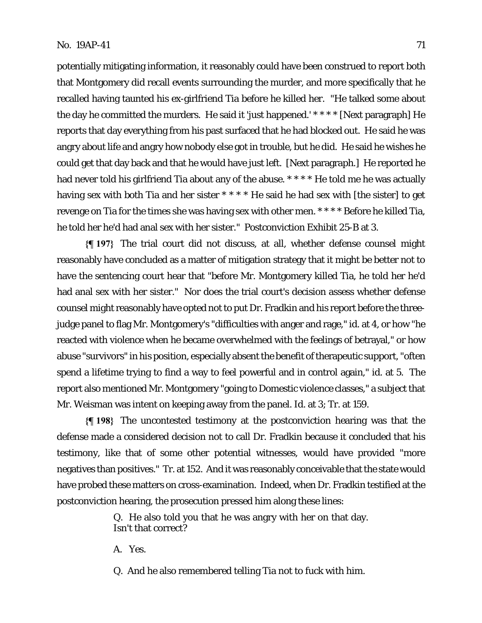potentially mitigating information, it reasonably could have been construed to report both that Montgomery did recall events surrounding the murder, and more specifically that he recalled having taunted his ex-girlfriend Tia before he killed her. "He talked some about the day he committed the murders. He said it 'just happened.' \* \* \* \* [Next paragraph] He reports that day everything from his past surfaced that he had blocked out. He said he was angry about life and angry how nobody else got in trouble, but he did. He said he wishes he could get that day back and that he would have just left. [Next paragraph.] He reported he had never told his girlfriend Tia about any of the abuse. \*\*\*\* He told me he was actually having sex with both Tia and her sister \* \* \* \* He said he had sex with [the sister] to get revenge on Tia for the times she was having sex with other men. \* \* \* \* Before he killed Tia, he told her he'd had anal sex with her sister." Postconviction Exhibit 25-B at 3.

**{¶ 197}** The trial court did not discuss, at all, whether defense counsel might reasonably have concluded as a matter of mitigation strategy that it might be better not to have the sentencing court hear that "before Mr. Montgomery killed Tia, he told her he'd had anal sex with her sister." Nor does the trial court's decision assess whether defense counsel might reasonably have opted not to put Dr. Fradkin and his report before the threejudge panel to flag Mr. Montgomery's "difficulties with anger and rage," *id.* at 4, or how "he reacted with violence when he became overwhelmed with the feelings of betrayal," or how abuse "survivors" in his position, especially absent the benefit of therapeutic support, "often spend a lifetime trying to find a way to feel powerful and in control again," *id.* at 5. The report also mentioned Mr. Montgomery "going to Domestic violence classes," a subject that Mr. Weisman was intent on keeping away from the panel. *Id.* at 3; Tr. at 159.

**{¶ 198}** The uncontested testimony at the postconviction hearing was that the defense made a considered decision not to call Dr. Fradkin because it concluded that his testimony, like that of some other potential witnesses, would have provided "more negatives than positives." Tr. at 152. And it was reasonably conceivable that the state would have probed these matters on cross-examination. Indeed, when Dr. Fradkin testified at the postconviction hearing, the prosecution pressed him along these lines:

> Q. He also told you that he was angry with her on that day. Isn't that correct?

A. Yes.

Q. And he also remembered telling Tia not to fuck with him.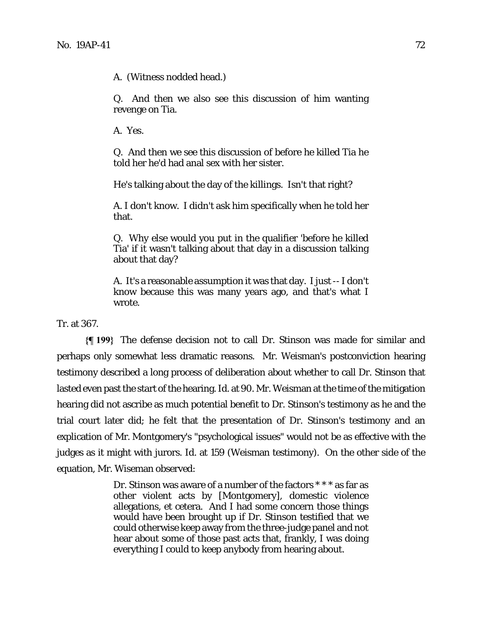A. (Witness nodded head.)

Q. And then we also see this discussion of him wanting revenge on Tia.

A. Yes.

Q. And then we see this discussion of before he killed Tia he told her he'd had anal sex with her sister.

He's talking about the day of the killings. Isn't that right?

A. I don't know. I didn't ask him specifically when he told her that.

Q. Why else would you put in the qualifier 'before he killed Tia' if it wasn't talking about that day in a discussion talking about that day?

A. It's a reasonable assumption it was that day. I just -- I don't know because this was many years ago, and that's what I wrote.

Tr. at 367.

**{¶ 199}** The defense decision not to call Dr. Stinson was made for similar and perhaps only somewhat less dramatic reasons. Mr. Weisman's postconviction hearing testimony described a long process of deliberation about whether to call Dr. Stinson that lasted even past the start of the hearing. *Id.* at 90. Mr. Weisman at the time of the mitigation hearing did not ascribe as much potential benefit to Dr. Stinson's testimony as he and the trial court later did; he felt that the presentation of Dr. Stinson's testimony and an explication of Mr. Montgomery's "psychological issues" would not be as effective with the judges as it might with jurors. *Id.* at 159 (Weisman testimony). On the other side of the equation, Mr. Wiseman observed:

> Dr. Stinson was aware of a number of the factors \* \* \* as far as other violent acts by [Montgomery], domestic violence allegations, et cetera. And I had some concern those things would have been brought up if Dr. Stinson testified that we could otherwise keep away from the three-judge panel and not hear about some of those past acts that, frankly, I was doing everything I could to keep anybody from hearing about.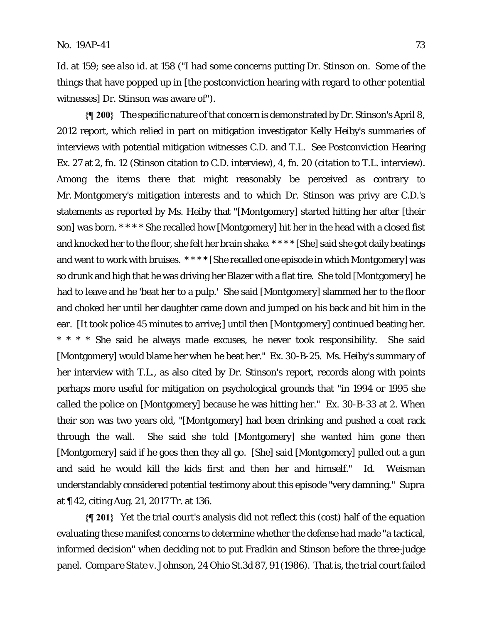*Id.* at 159; *see also id.* at 158 ("I had some concerns putting Dr. Stinson on. Some of the things that have popped up in [the postconviction hearing with regard to other potential witnesses] Dr. Stinson was aware of").

**{¶ 200}** The specific nature of that concern is demonstrated by Dr. Stinson's April 8, 2012 report, which relied in part on mitigation investigator Kelly Heiby's summaries of interviews with potential mitigation witnesses C.D. and T.L. *See* Postconviction Hearing Ex. 27 at 2, fn. 12 (Stinson citation to C.D. interview), 4, fn. 20 (citation to T.L. interview). Among the items there that might reasonably be perceived as contrary to Mr. Montgomery's mitigation interests and to which Dr. Stinson was privy are C.D.'s statements as reported by Ms. Heiby that "[Montgomery] started hitting her after [their son] was born. \* \* \* \* She recalled how [Montgomery] hit her in the head with a closed fist and knocked her to the floor, she felt her brain shake. \* \* \* \* [She] said she got daily beatings and went to work with bruises. \* \* \* \* [She recalled one episode in which Montgomery] was so drunk and high that he was driving her Blazer with a flat tire. She told [Montgomery] he had to leave and he 'beat her to a pulp.' She said [Montgomery] slammed her to the floor and choked her until her daughter came down and jumped on his back and bit him in the ear. [It took police 45 minutes to arrive;] until then [Montgomery] continued beating her. \* \* \* \* She said he always made excuses, he never took responsibility. She said [Montgomery] would blame her when he beat her." Ex. 30-B-25. Ms. Heiby's summary of her interview with T.L., as also cited by Dr. Stinson's report, records along with points perhaps more useful for mitigation on psychological grounds that "in 1994 or 1995 she called the police on [Montgomery] because he was hitting her." Ex. 30-B-33 at 2. When their son was two years old, "[Montgomery] had been drinking and pushed a coat rack through the wall. She said she told [Montgomery] she wanted him gone then [Montgomery] said if he goes then they all go. [She] said [Montgomery] pulled out a gun and said he would kill the kids first and then her and himself." *Id*. Weisman understandably considered potential testimony about this episode "very damning." *Supra*  at ¶ 42, citing Aug. 21, 2017 Tr. at 136.

**{¶ 201}** Yet the trial court's analysis did not reflect this (cost) half of the equation evaluating these manifest concerns to determine whether the defense had made "a tactical, informed decision" when deciding not to put Fradkin and Stinson before the three-judge panel. *Compare State v. Johnson*, 24 Ohio St.3d 87, 91 (1986). That is, the trial court failed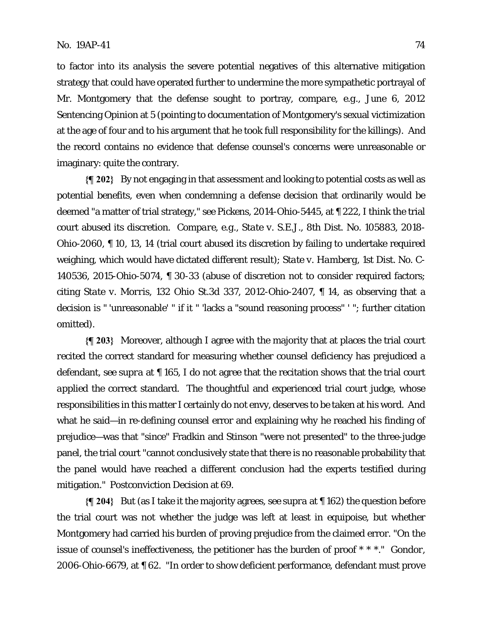to factor into its analysis the severe potential negatives of this alternative mitigation strategy that could have operated further to undermine the more sympathetic portrayal of Mr. Montgomery that the defense sought to portray, *compare, e.g.,* June 6, 2012 Sentencing Opinion at 5 (pointing to documentation of Montgomery's sexual victimization at the age of four and to his argument that he took full responsibility for the killings). And the record contains no evidence that defense counsel's concerns were unreasonable or imaginary: quite the contrary.

**{¶ 202}** By not engaging in that assessment and looking to potential costs as well as potential benefits, even when condemning a defense decision that ordinarily would be deemed "a matter of trial strategy," *see Pickens*, 2014-Ohio-5445, at ¶ 222, I think the trial court abused its discretion. *Compare, e.g., State v. S.E.J.*, 8th Dist. No. 105883, 2018- Ohio-2060, ¶ 10, 13, 14 (trial court abused its discretion by failing to undertake required weighing, which would have dictated different result); *State v. Hamberg*, 1st Dist. No. C-140536, 2015-Ohio-5074, ¶ 30-33 (abuse of discretion not to consider required factors; citing *State v. Morris*, 132 Ohio St.3d 337, 2012-Ohio-2407, ¶ 14, as observing that a decision is " 'unreasonable' " if it " 'lacks a "sound reasoning process" ' "; further citation omitted).

**{¶ 203}** Moreover, although I agree with the majority that at places the trial court *recited* the correct standard for measuring whether counsel deficiency has prejudiced a defendant, *see supra* at ¶ 165, I do not agree that the recitation shows that the trial court *applied* the correct standard. The thoughtful and experienced trial court judge, whose responsibilities in this matter I certainly do not envy, deserves to be taken at his word. And what he said—in re-defining counsel error and explaining why he reached his finding of prejudice—was that "since" Fradkin and Stinson "were not presented" to the three-judge panel, the trial court "cannot conclusively state that there is no reasonable probability that the panel would have reached a different conclusion had the experts testified during mitigation." Postconviction Decision at 69.

**{¶ 204}** But (as I take it the majority agrees, *see supra* at ¶ 162) the question before the trial court was not whether the judge was left at least in equipoise, but whether Montgomery had carried his burden of proving prejudice from the claimed error. "On the issue of counsel's ineffectiveness, the petitioner has the burden of proof \* \* \*." *Gondor*, 2006-Ohio-6679, at ¶ 62. "In order to show deficient performance, defendant must prove